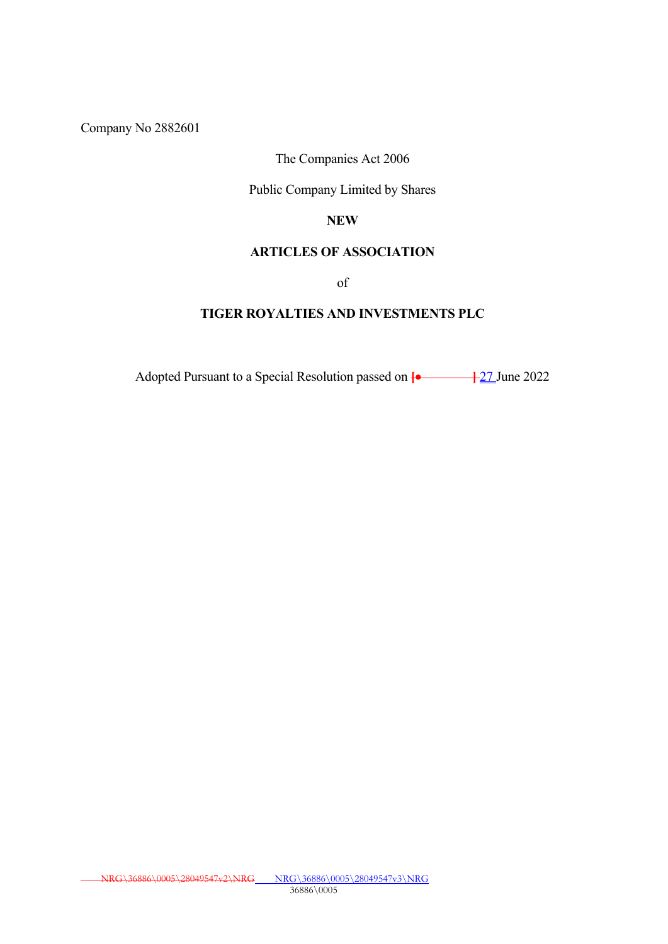Company No 2882601

## The Companies Act 2006

## Public Company Limited by Shares

## **NEW**

## **ARTICLES OF ASSOCIATION**

of

## **TIGER ROYALTIES AND INVESTMENTS PLC**

Adopted Pursuant to a Special Resolution passed on  $\left\{ \bullet \right\}$  27 June 2022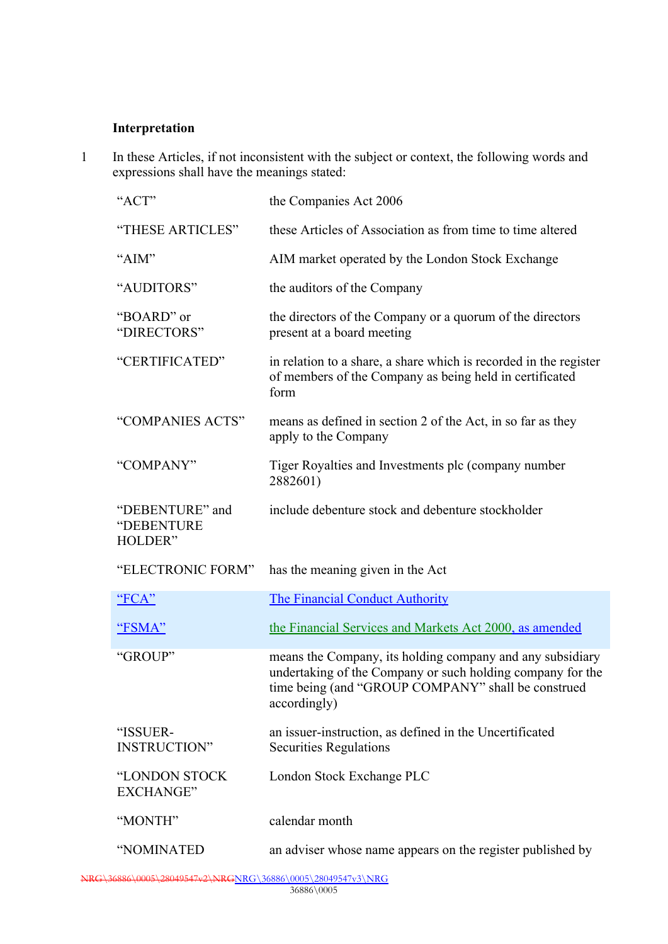## **Interpretation**

1 In these Articles, if not inconsistent with the subject or context, the following words and expressions shall have the meanings stated:

| "ACT"                                    | the Companies Act 2006                                                                                                                                                                        |  |  |
|------------------------------------------|-----------------------------------------------------------------------------------------------------------------------------------------------------------------------------------------------|--|--|
| "THESE ARTICLES"                         | these Articles of Association as from time to time altered                                                                                                                                    |  |  |
| "AIM"                                    | AIM market operated by the London Stock Exchange                                                                                                                                              |  |  |
| "AUDITORS"                               | the auditors of the Company                                                                                                                                                                   |  |  |
| "BOARD" or<br>"DIRECTORS"                | the directors of the Company or a quorum of the directors<br>present at a board meeting                                                                                                       |  |  |
| "CERTIFICATED"                           | in relation to a share, a share which is recorded in the register<br>of members of the Company as being held in certificated<br>form                                                          |  |  |
| "COMPANIES ACTS"                         | means as defined in section 2 of the Act, in so far as they<br>apply to the Company                                                                                                           |  |  |
| "COMPANY"                                | Tiger Royalties and Investments plc (company number<br>2882601)                                                                                                                               |  |  |
| "DEBENTURE" and<br>"DEBENTURE<br>HOLDER" | include debenture stock and debenture stockholder                                                                                                                                             |  |  |
| "ELECTRONIC FORM"                        | has the meaning given in the Act                                                                                                                                                              |  |  |
| <u>"FCA"</u>                             | <b>The Financial Conduct Authority</b>                                                                                                                                                        |  |  |
| "FSMA"                                   | the Financial Services and Markets Act 2000, as amended                                                                                                                                       |  |  |
| "GROUP"                                  | means the Company, its holding company and any subsidiary<br>undertaking of the Company or such holding company for the<br>time being (and "GROUP COMPANY" shall be construed<br>accordingly) |  |  |
| "ISSUER-<br><b>INSTRUCTION"</b>          | an issuer-instruction, as defined in the Uncertificated<br><b>Securities Regulations</b>                                                                                                      |  |  |
| "LONDON STOCK<br><b>EXCHANGE</b> "       | London Stock Exchange PLC                                                                                                                                                                     |  |  |
| "MONTH"                                  | calendar month                                                                                                                                                                                |  |  |
| "NOMINATED                               | an adviser whose name appears on the register published by                                                                                                                                    |  |  |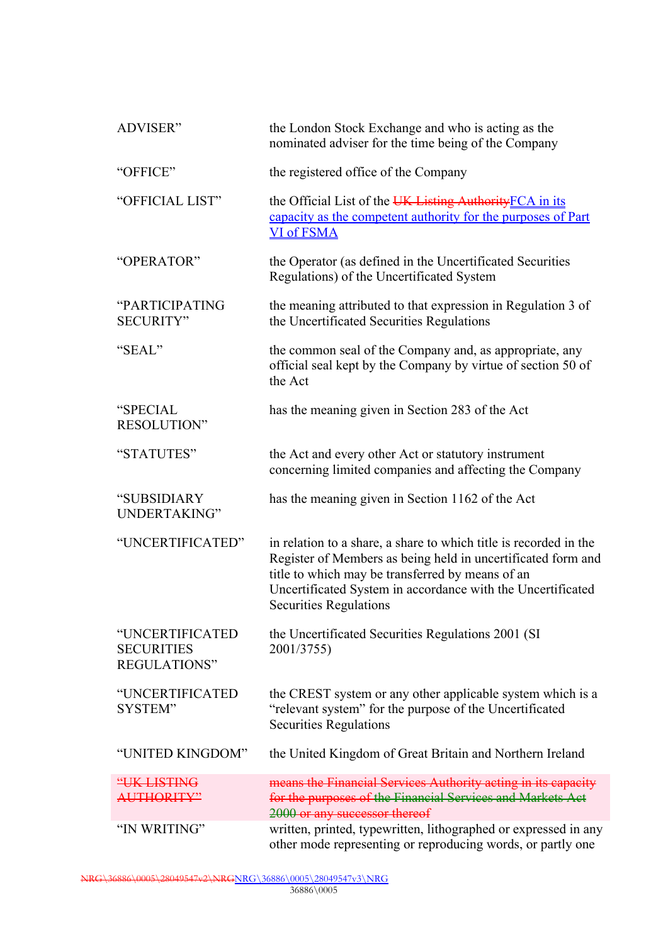| ADVISER"                                                    | the London Stock Exchange and who is acting as the<br>nominated adviser for the time being of the Company                                                                                                                                                                             |  |  |
|-------------------------------------------------------------|---------------------------------------------------------------------------------------------------------------------------------------------------------------------------------------------------------------------------------------------------------------------------------------|--|--|
| "OFFICE"                                                    | the registered office of the Company                                                                                                                                                                                                                                                  |  |  |
| "OFFICIAL LIST"                                             | the Official List of the UK Listing Authority FCA in its<br>capacity as the competent authority for the purposes of Part<br><b>VI of FSMA</b>                                                                                                                                         |  |  |
| "OPERATOR"                                                  | the Operator (as defined in the Uncertificated Securities<br>Regulations) of the Uncertificated System                                                                                                                                                                                |  |  |
| "PARTICIPATING<br><b>SECURITY"</b>                          | the meaning attributed to that expression in Regulation 3 of<br>the Uncertificated Securities Regulations                                                                                                                                                                             |  |  |
| "SEAL"                                                      | the common seal of the Company and, as appropriate, any<br>official seal kept by the Company by virtue of section 50 of<br>the Act                                                                                                                                                    |  |  |
| "SPECIAL<br>RESOLUTION"                                     | has the meaning given in Section 283 of the Act                                                                                                                                                                                                                                       |  |  |
| "STATUTES"                                                  | the Act and every other Act or statutory instrument<br>concerning limited companies and affecting the Company                                                                                                                                                                         |  |  |
| "SUBSIDIARY<br>UNDERTAKING"                                 | has the meaning given in Section 1162 of the Act                                                                                                                                                                                                                                      |  |  |
| "UNCERTIFICATED"                                            | in relation to a share, a share to which title is recorded in the<br>Register of Members as being held in uncertificated form and<br>title to which may be transferred by means of an<br>Uncertificated System in accordance with the Uncertificated<br><b>Securities Regulations</b> |  |  |
| "UNCERTIFICATED<br><b>SECURITIES</b><br><b>REGULATIONS"</b> | the Uncertificated Securities Regulations 2001 (SI)<br>2001/3755)                                                                                                                                                                                                                     |  |  |
| "UNCERTIFICATED<br>SYSTEM"                                  | the CREST system or any other applicable system which is a<br>"relevant system" for the purpose of the Uncertificated<br><b>Securities Regulations</b>                                                                                                                                |  |  |
| "UNITED KINGDOM"                                            | the United Kingdom of Great Britain and Northern Ireland                                                                                                                                                                                                                              |  |  |
| "UK LISTING<br><b>AUTHORITY"</b>                            | means the Financial Services Authority acting in its capacity<br>for the purposes of the Financial Services and Markets Act<br>2000 or any successor thereof                                                                                                                          |  |  |
| "IN WRITING"                                                | written, printed, typewritten, lithographed or expressed in any<br>other mode representing or reproducing words, or partly one                                                                                                                                                        |  |  |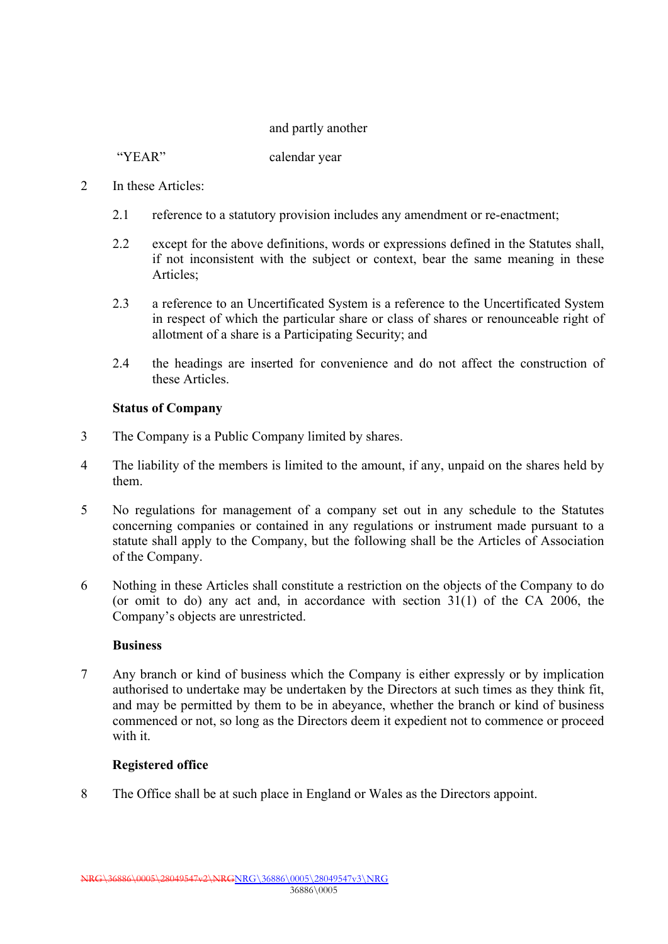### and partly another

"YEAR" calendar year

- 2 In these Articles:
	- 2.1 reference to a statutory provision includes any amendment or re-enactment;
	- 2.2 except for the above definitions, words or expressions defined in the Statutes shall, if not inconsistent with the subject or context, bear the same meaning in these Articles;
	- 2.3 a reference to an Uncertificated System is a reference to the Uncertificated System in respect of which the particular share or class of shares or renounceable right of allotment of a share is a Participating Security; and
	- 2.4 the headings are inserted for convenience and do not affect the construction of these Articles.

## **Status of Company**

- 3 The Company is a Public Company limited by shares.
- 4 The liability of the members is limited to the amount, if any, unpaid on the shares held by them.
- 5 No regulations for management of a company set out in any schedule to the Statutes concerning companies or contained in any regulations or instrument made pursuant to a statute shall apply to the Company, but the following shall be the Articles of Association of the Company.
- 6 Nothing in these Articles shall constitute a restriction on the objects of the Company to do (or omit to do) any act and, in accordance with section 31(1) of the CA 2006, the Company's objects are unrestricted.

#### **Business**

7 Any branch or kind of business which the Company is either expressly or by implication authorised to undertake may be undertaken by the Directors at such times as they think fit, and may be permitted by them to be in abeyance, whether the branch or kind of business commenced or not, so long as the Directors deem it expedient not to commence or proceed with it.

## **Registered office**

8 The Office shall be at such place in England or Wales as the Directors appoint.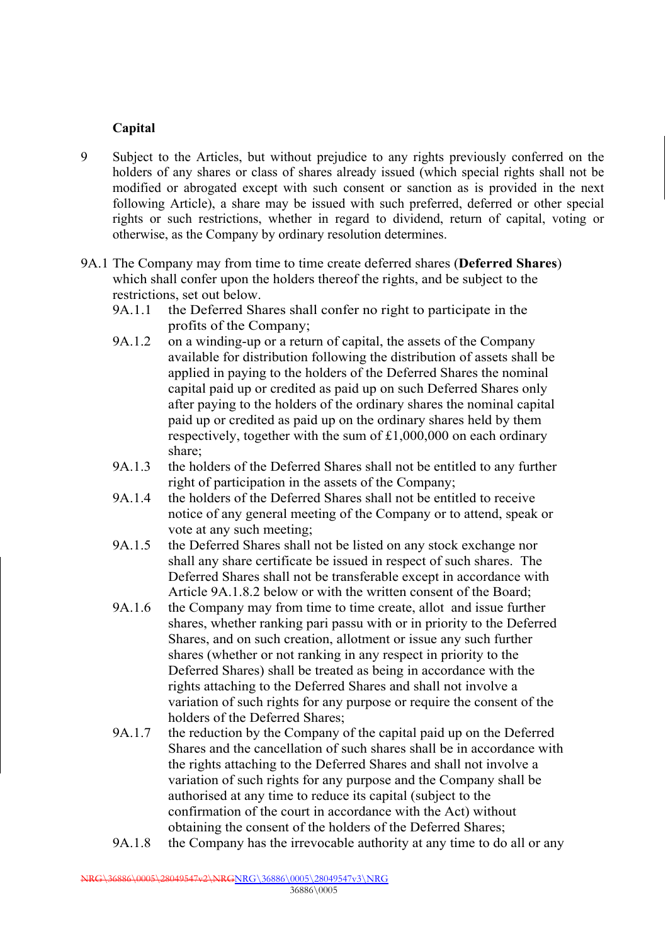## **Capital**

- 9 Subject to the Articles, but without prejudice to any rights previously conferred on the holders of any shares or class of shares already issued (which special rights shall not be modified or abrogated except with such consent or sanction as is provided in the next following Article), a share may be issued with such preferred, deferred or other special rights or such restrictions, whether in regard to dividend, return of capital, voting or otherwise, as the Company by ordinary resolution determines.
- 9A.1 The Company may from time to time create deferred shares (**Deferred Shares**) which shall confer upon the holders thereof the rights, and be subject to the restrictions, set out below.
	- 9A.1.1 the Deferred Shares shall confer no right to participate in the profits of the Company;
	- 9A.1.2 on a winding-up or a return of capital, the assets of the Company available for distribution following the distribution of assets shall be applied in paying to the holders of the Deferred Shares the nominal capital paid up or credited as paid up on such Deferred Shares only after paying to the holders of the ordinary shares the nominal capital paid up or credited as paid up on the ordinary shares held by them respectively, together with the sum of £1,000,000 on each ordinary share;
	- 9A.1.3 the holders of the Deferred Shares shall not be entitled to any further right of participation in the assets of the Company;
	- 9A.1.4 the holders of the Deferred Shares shall not be entitled to receive notice of any general meeting of the Company or to attend, speak or vote at any such meeting;
	- 9A.1.5 the Deferred Shares shall not be listed on any stock exchange nor shall any share certificate be issued in respect of such shares. The Deferred Shares shall not be transferable except in accordance with Article 9A.1.8.2 below or with the written consent of the Board;
	- 9A.1.6 the Company may from time to time create, allot and issue further shares, whether ranking pari passu with or in priority to the Deferred Shares, and on such creation, allotment or issue any such further shares (whether or not ranking in any respect in priority to the Deferred Shares) shall be treated as being in accordance with the rights attaching to the Deferred Shares and shall not involve a variation of such rights for any purpose or require the consent of the holders of the Deferred Shares;
	- 9A.1.7 the reduction by the Company of the capital paid up on the Deferred Shares and the cancellation of such shares shall be in accordance with the rights attaching to the Deferred Shares and shall not involve a variation of such rights for any purpose and the Company shall be authorised at any time to reduce its capital (subject to the confirmation of the court in accordance with the Act) without obtaining the consent of the holders of the Deferred Shares;
	- 9A.1.8 the Company has the irrevocable authority at any time to do all or any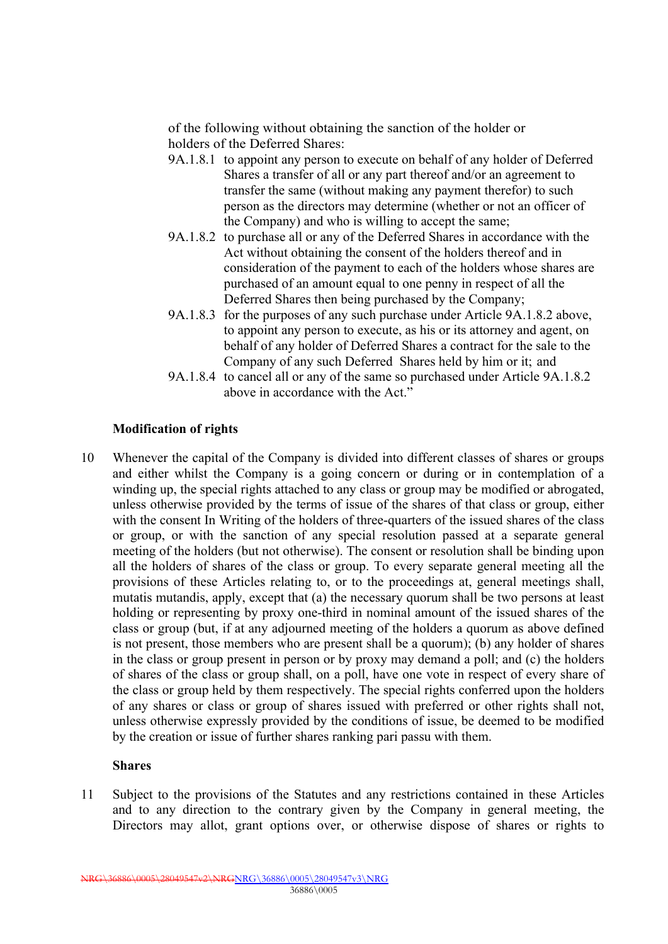of the following without obtaining the sanction of the holder or holders of the Deferred Shares:

- 9A.1.8.1 to appoint any person to execute on behalf of any holder of Deferred Shares a transfer of all or any part thereof and/or an agreement to transfer the same (without making any payment therefor) to such person as the directors may determine (whether or not an officer of the Company) and who is willing to accept the same;
- 9A.1.8.2 to purchase all or any of the Deferred Shares in accordance with the Act without obtaining the consent of the holders thereof and in consideration of the payment to each of the holders whose shares are purchased of an amount equal to one penny in respect of all the Deferred Shares then being purchased by the Company;
- 9A.1.8.3 for the purposes of any such purchase under Article 9A.1.8.2 above, to appoint any person to execute, as his or its attorney and agent, on behalf of any holder of Deferred Shares a contract for the sale to the Company of any such Deferred Shares held by him or it; and
- 9A.1.8.4 to cancel all or any of the same so purchased under Article 9A.1.8.2 above in accordance with the Act."

## **Modification of rights**

10 Whenever the capital of the Company is divided into different classes of shares or groups and either whilst the Company is a going concern or during or in contemplation of a winding up, the special rights attached to any class or group may be modified or abrogated, unless otherwise provided by the terms of issue of the shares of that class or group, either with the consent In Writing of the holders of three-quarters of the issued shares of the class or group, or with the sanction of any special resolution passed at a separate general meeting of the holders (but not otherwise). The consent or resolution shall be binding upon all the holders of shares of the class or group. To every separate general meeting all the provisions of these Articles relating to, or to the proceedings at, general meetings shall, mutatis mutandis, apply, except that (a) the necessary quorum shall be two persons at least holding or representing by proxy one-third in nominal amount of the issued shares of the class or group (but, if at any adjourned meeting of the holders a quorum as above defined is not present, those members who are present shall be a quorum); (b) any holder of shares in the class or group present in person or by proxy may demand a poll; and (c) the holders of shares of the class or group shall, on a poll, have one vote in respect of every share of the class or group held by them respectively. The special rights conferred upon the holders of any shares or class or group of shares issued with preferred or other rights shall not, unless otherwise expressly provided by the conditions of issue, be deemed to be modified by the creation or issue of further shares ranking pari passu with them.

#### **Shares**

11 Subject to the provisions of the Statutes and any restrictions contained in these Articles and to any direction to the contrary given by the Company in general meeting, the Directors may allot, grant options over, or otherwise dispose of shares or rights to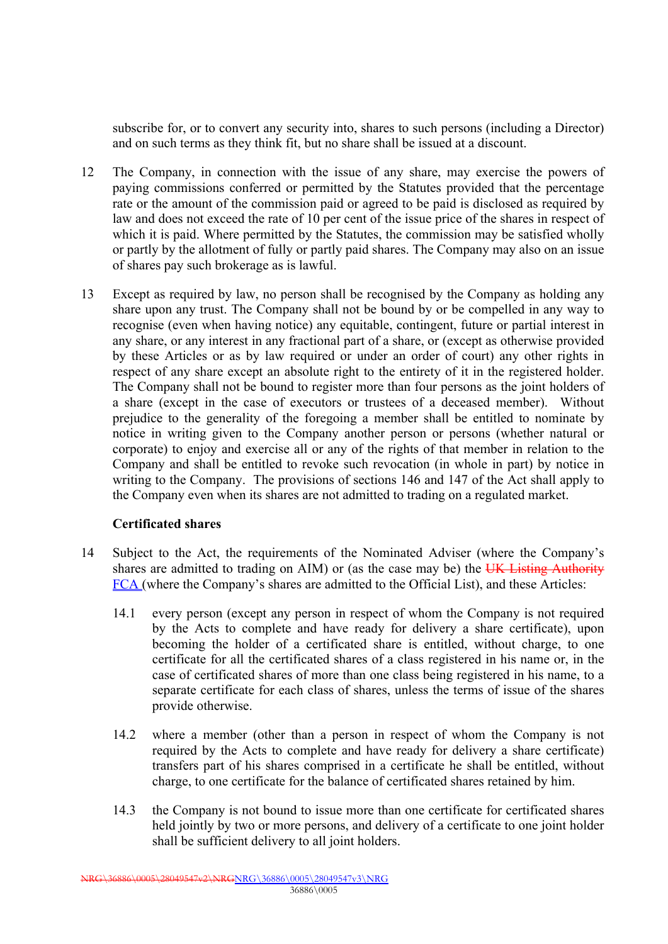subscribe for, or to convert any security into, shares to such persons (including a Director) and on such terms as they think fit, but no share shall be issued at a discount.

- 12 The Company, in connection with the issue of any share, may exercise the powers of paying commissions conferred or permitted by the Statutes provided that the percentage rate or the amount of the commission paid or agreed to be paid is disclosed as required by law and does not exceed the rate of 10 per cent of the issue price of the shares in respect of which it is paid. Where permitted by the Statutes, the commission may be satisfied wholly or partly by the allotment of fully or partly paid shares. The Company may also on an issue of shares pay such brokerage as is lawful.
- 13 Except as required by law, no person shall be recognised by the Company as holding any share upon any trust. The Company shall not be bound by or be compelled in any way to recognise (even when having notice) any equitable, contingent, future or partial interest in any share, or any interest in any fractional part of a share, or (except as otherwise provided by these Articles or as by law required or under an order of court) any other rights in respect of any share except an absolute right to the entirety of it in the registered holder. The Company shall not be bound to register more than four persons as the joint holders of a share (except in the case of executors or trustees of a deceased member). Without prejudice to the generality of the foregoing a member shall be entitled to nominate by notice in writing given to the Company another person or persons (whether natural or corporate) to enjoy and exercise all or any of the rights of that member in relation to the Company and shall be entitled to revoke such revocation (in whole in part) by notice in writing to the Company. The provisions of sections 146 and 147 of the Act shall apply to the Company even when its shares are not admitted to trading on a regulated market.

## **Certificated shares**

- 14 Subject to the Act, the requirements of the Nominated Adviser (where the Company's shares are admitted to trading on AIM) or (as the case may be) the UK Listing Authority FCA (where the Company's shares are admitted to the Official List), and these Articles:
	- 14.1 every person (except any person in respect of whom the Company is not required by the Acts to complete and have ready for delivery a share certificate), upon becoming the holder of a certificated share is entitled, without charge, to one certificate for all the certificated shares of a class registered in his name or, in the case of certificated shares of more than one class being registered in his name, to a separate certificate for each class of shares, unless the terms of issue of the shares provide otherwise.
	- 14.2 where a member (other than a person in respect of whom the Company is not required by the Acts to complete and have ready for delivery a share certificate) transfers part of his shares comprised in a certificate he shall be entitled, without charge, to one certificate for the balance of certificated shares retained by him.
	- 14.3 the Company is not bound to issue more than one certificate for certificated shares held jointly by two or more persons, and delivery of a certificate to one joint holder shall be sufficient delivery to all joint holders.

NRG\36886\0005\28049547v2\NRGNRG\36886\0005\28049547v3\NRG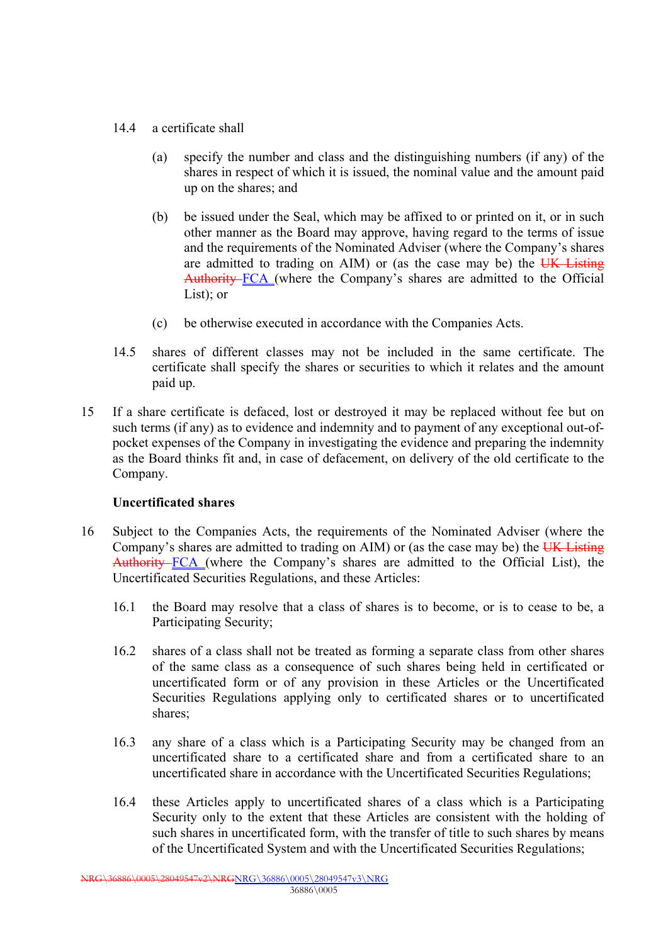- 14.4 a certificate shall
	- (a) specify the number and class and the distinguishing numbers (if any) of the shares in respect of which it is issued, the nominal value and the amount paid up on the shares; and
	- (b) be issued under the Seal, which may be affixed to or printed on it, or in such other manner as the Board may approve, having regard to the terms of issue and the requirements of the Nominated Adviser (where the Company's shares are admitted to trading on AIM) or (as the case may be) the  $\overline{UK}$  Listing Authority FCA (where the Company's shares are admitted to the Official List); or
	- (c) be otherwise executed in accordance with the Companies Acts.
- 14.5 shares of different classes may not be included in the same certificate. The certificate shall specify the shares or securities to which it relates and the amount paid up.
- 15 If a share certificate is defaced, lost or destroyed it may be replaced without fee but on such terms (if any) as to evidence and indemnity and to payment of any exceptional out-ofpocket expenses of the Company in investigating the evidence and preparing the indemnity as the Board thinks fit and, in case of defacement, on delivery of the old certificate to the Company.

## **Uncertificated shares**

- 16 Subject to the Companies Acts, the requirements of the Nominated Adviser (where the Company's shares are admitted to trading on AIM) or (as the case may be) the UK Listing Authority FCA (where the Company's shares are admitted to the Official List), the Uncertificated Securities Regulations, and these Articles:
	- 16.1 the Board may resolve that a class of shares is to become, or is to cease to be, a Participating Security;
	- 16.2 shares of a class shall not be treated as forming a separate class from other shares of the same class as a consequence of such shares being held in certificated or uncertificated form or of any provision in these Articles or the Uncertificated Securities Regulations applying only to certificated shares or to uncertificated shares;
	- 16.3 any share of a class which is a Participating Security may be changed from an uncertificated share to a certificated share and from a certificated share to an uncertificated share in accordance with the Uncertificated Securities Regulations;
	- 16.4 these Articles apply to uncertificated shares of a class which is a Participating Security only to the extent that these Articles are consistent with the holding of such shares in uncertificated form, with the transfer of title to such shares by means of the Uncertificated System and with the Uncertificated Securities Regulations;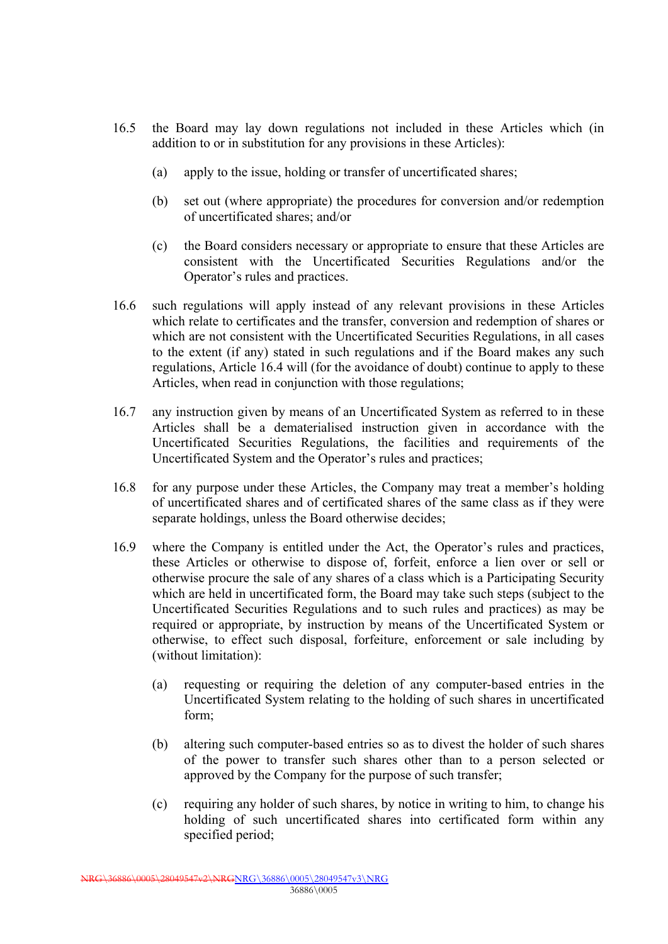- 16.5 the Board may lay down regulations not included in these Articles which (in addition to or in substitution for any provisions in these Articles):
	- (a) apply to the issue, holding or transfer of uncertificated shares;
	- (b) set out (where appropriate) the procedures for conversion and/or redemption of uncertificated shares; and/or
	- (c) the Board considers necessary or appropriate to ensure that these Articles are consistent with the Uncertificated Securities Regulations and/or the Operator's rules and practices.
- 16.6 such regulations will apply instead of any relevant provisions in these Articles which relate to certificates and the transfer, conversion and redemption of shares or which are not consistent with the Uncertificated Securities Regulations, in all cases to the extent (if any) stated in such regulations and if the Board makes any such regulations, Article 16.4 will (for the avoidance of doubt) continue to apply to these Articles, when read in conjunction with those regulations;
- 16.7 any instruction given by means of an Uncertificated System as referred to in these Articles shall be a dematerialised instruction given in accordance with the Uncertificated Securities Regulations, the facilities and requirements of the Uncertificated System and the Operator's rules and practices;
- 16.8 for any purpose under these Articles, the Company may treat a member's holding of uncertificated shares and of certificated shares of the same class as if they were separate holdings, unless the Board otherwise decides;
- 16.9 where the Company is entitled under the Act, the Operator's rules and practices, these Articles or otherwise to dispose of, forfeit, enforce a lien over or sell or otherwise procure the sale of any shares of a class which is a Participating Security which are held in uncertificated form, the Board may take such steps (subject to the Uncertificated Securities Regulations and to such rules and practices) as may be required or appropriate, by instruction by means of the Uncertificated System or otherwise, to effect such disposal, forfeiture, enforcement or sale including by (without limitation):
	- (a) requesting or requiring the deletion of any computer-based entries in the Uncertificated System relating to the holding of such shares in uncertificated form;
	- (b) altering such computer-based entries so as to divest the holder of such shares of the power to transfer such shares other than to a person selected or approved by the Company for the purpose of such transfer;
	- (c) requiring any holder of such shares, by notice in writing to him, to change his holding of such uncertificated shares into certificated form within any specified period;

NRG\36886\0005\28049547v2\NRGNRG\36886\0005\28049547v3\NRG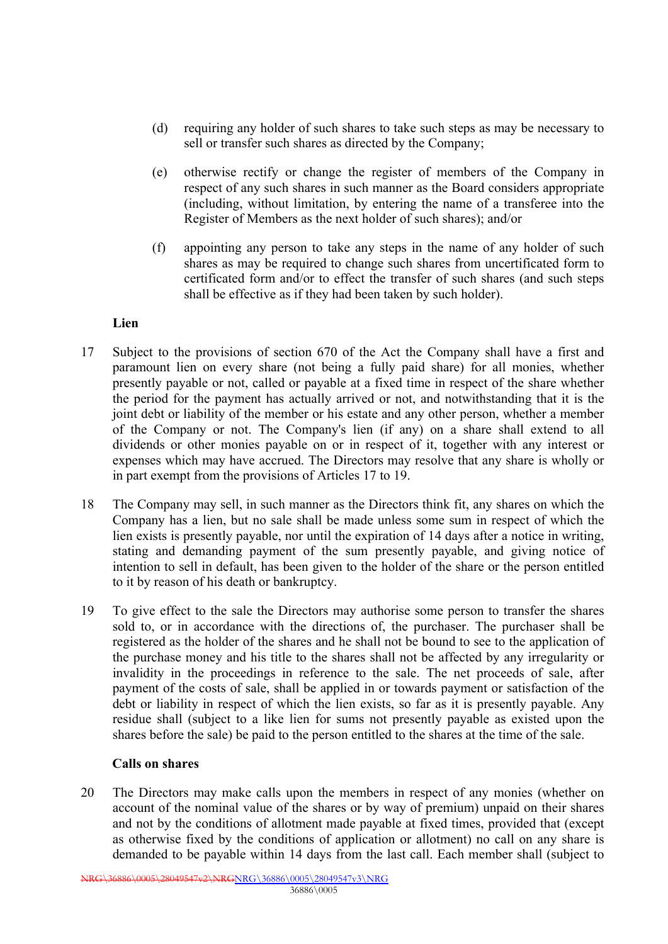- (d) requiring any holder of such shares to take such steps as may be necessary to sell or transfer such shares as directed by the Company;
- (e) otherwise rectify or change the register of members of the Company in respect of any such shares in such manner as the Board considers appropriate (including, without limitation, by entering the name of a transferee into the Register of Members as the next holder of such shares); and/or
- (f) appointing any person to take any steps in the name of any holder of such shares as may be required to change such shares from uncertificated form to certificated form and/or to effect the transfer of such shares (and such steps shall be effective as if they had been taken by such holder).

## **Lien**

- 17 Subject to the provisions of section 670 of the Act the Company shall have a first and paramount lien on every share (not being a fully paid share) for all monies, whether presently payable or not, called or payable at a fixed time in respect of the share whether the period for the payment has actually arrived or not, and notwithstanding that it is the joint debt or liability of the member or his estate and any other person, whether a member of the Company or not. The Company's lien (if any) on a share shall extend to all dividends or other monies payable on or in respect of it, together with any interest or expenses which may have accrued. The Directors may resolve that any share is wholly or in part exempt from the provisions of Articles 17 to 19.
- 18 The Company may sell, in such manner as the Directors think fit, any shares on which the Company has a lien, but no sale shall be made unless some sum in respect of which the lien exists is presently payable, nor until the expiration of 14 days after a notice in writing, stating and demanding payment of the sum presently payable, and giving notice of intention to sell in default, has been given to the holder of the share or the person entitled to it by reason of his death or bankruptcy.
- 19 To give effect to the sale the Directors may authorise some person to transfer the shares sold to, or in accordance with the directions of, the purchaser. The purchaser shall be registered as the holder of the shares and he shall not be bound to see to the application of the purchase money and his title to the shares shall not be affected by any irregularity or invalidity in the proceedings in reference to the sale. The net proceeds of sale, after payment of the costs of sale, shall be applied in or towards payment or satisfaction of the debt or liability in respect of which the lien exists, so far as it is presently payable. Any residue shall (subject to a like lien for sums not presently payable as existed upon the shares before the sale) be paid to the person entitled to the shares at the time of the sale.

## **Calls on shares**

20 The Directors may make calls upon the members in respect of any monies (whether on account of the nominal value of the shares or by way of premium) unpaid on their shares and not by the conditions of allotment made payable at fixed times, provided that (except as otherwise fixed by the conditions of application or allotment) no call on any share is demanded to be payable within 14 days from the last call. Each member shall (subject to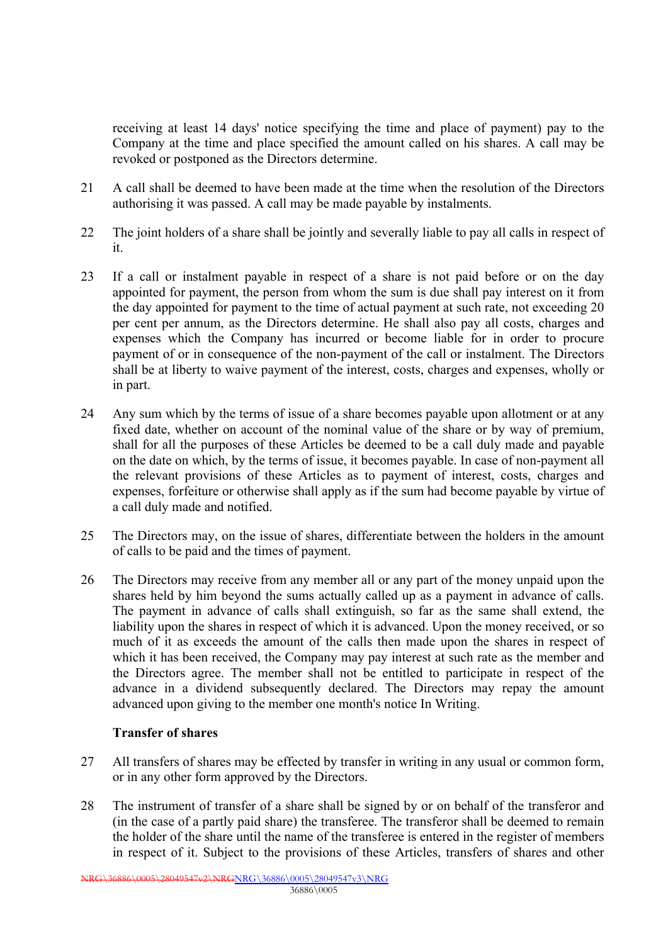receiving at least 14 days' notice specifying the time and place of payment) pay to the Company at the time and place specified the amount called on his shares. A call may be revoked or postponed as the Directors determine.

- 21 A call shall be deemed to have been made at the time when the resolution of the Directors authorising it was passed. A call may be made payable by instalments.
- 22 The joint holders of a share shall be jointly and severally liable to pay all calls in respect of it.
- 23 If a call or instalment payable in respect of a share is not paid before or on the day appointed for payment, the person from whom the sum is due shall pay interest on it from the day appointed for payment to the time of actual payment at such rate, not exceeding 20 per cent per annum, as the Directors determine. He shall also pay all costs, charges and expenses which the Company has incurred or become liable for in order to procure payment of or in consequence of the non-payment of the call or instalment. The Directors shall be at liberty to waive payment of the interest, costs, charges and expenses, wholly or in part.
- 24 Any sum which by the terms of issue of a share becomes payable upon allotment or at any fixed date, whether on account of the nominal value of the share or by way of premium, shall for all the purposes of these Articles be deemed to be a call duly made and payable on the date on which, by the terms of issue, it becomes payable. In case of non-payment all the relevant provisions of these Articles as to payment of interest, costs, charges and expenses, forfeiture or otherwise shall apply as if the sum had become payable by virtue of a call duly made and notified.
- 25 The Directors may, on the issue of shares, differentiate between the holders in the amount of calls to be paid and the times of payment.
- 26 The Directors may receive from any member all or any part of the money unpaid upon the shares held by him beyond the sums actually called up as a payment in advance of calls. The payment in advance of calls shall extinguish, so far as the same shall extend, the liability upon the shares in respect of which it is advanced. Upon the money received, or so much of it as exceeds the amount of the calls then made upon the shares in respect of which it has been received, the Company may pay interest at such rate as the member and the Directors agree. The member shall not be entitled to participate in respect of the advance in a dividend subsequently declared. The Directors may repay the amount advanced upon giving to the member one month's notice In Writing.

## **Transfer of shares**

- 27 All transfers of shares may be effected by transfer in writing in any usual or common form, or in any other form approved by the Directors.
- 28 The instrument of transfer of a share shall be signed by or on behalf of the transferor and (in the case of a partly paid share) the transferee. The transferor shall be deemed to remain the holder of the share until the name of the transferee is entered in the register of members in respect of it. Subject to the provisions of these Articles, transfers of shares and other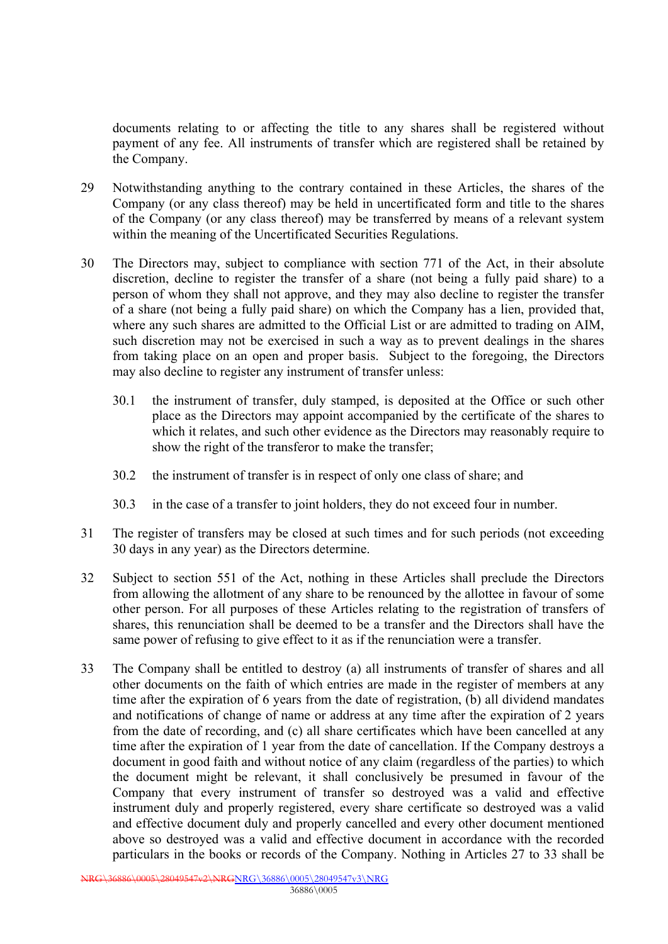documents relating to or affecting the title to any shares shall be registered without payment of any fee. All instruments of transfer which are registered shall be retained by the Company.

- 29 Notwithstanding anything to the contrary contained in these Articles, the shares of the Company (or any class thereof) may be held in uncertificated form and title to the shares of the Company (or any class thereof) may be transferred by means of a relevant system within the meaning of the Uncertificated Securities Regulations.
- 30 The Directors may, subject to compliance with section 771 of the Act, in their absolute discretion, decline to register the transfer of a share (not being a fully paid share) to a person of whom they shall not approve, and they may also decline to register the transfer of a share (not being a fully paid share) on which the Company has a lien, provided that, where any such shares are admitted to the Official List or are admitted to trading on AIM, such discretion may not be exercised in such a way as to prevent dealings in the shares from taking place on an open and proper basis. Subject to the foregoing, the Directors may also decline to register any instrument of transfer unless:
	- 30.1 the instrument of transfer, duly stamped, is deposited at the Office or such other place as the Directors may appoint accompanied by the certificate of the shares to which it relates, and such other evidence as the Directors may reasonably require to show the right of the transferor to make the transfer;
	- 30.2 the instrument of transfer is in respect of only one class of share; and
	- 30.3 in the case of a transfer to joint holders, they do not exceed four in number.
- 31 The register of transfers may be closed at such times and for such periods (not exceeding 30 days in any year) as the Directors determine.
- 32 Subject to section 551 of the Act, nothing in these Articles shall preclude the Directors from allowing the allotment of any share to be renounced by the allottee in favour of some other person. For all purposes of these Articles relating to the registration of transfers of shares, this renunciation shall be deemed to be a transfer and the Directors shall have the same power of refusing to give effect to it as if the renunciation were a transfer.
- 33 The Company shall be entitled to destroy (a) all instruments of transfer of shares and all other documents on the faith of which entries are made in the register of members at any time after the expiration of 6 years from the date of registration, (b) all dividend mandates and notifications of change of name or address at any time after the expiration of 2 years from the date of recording, and (c) all share certificates which have been cancelled at any time after the expiration of 1 year from the date of cancellation. If the Company destroys a document in good faith and without notice of any claim (regardless of the parties) to which the document might be relevant, it shall conclusively be presumed in favour of the Company that every instrument of transfer so destroyed was a valid and effective instrument duly and properly registered, every share certificate so destroyed was a valid and effective document duly and properly cancelled and every other document mentioned above so destroyed was a valid and effective document in accordance with the recorded particulars in the books or records of the Company. Nothing in Articles 27 to 33 shall be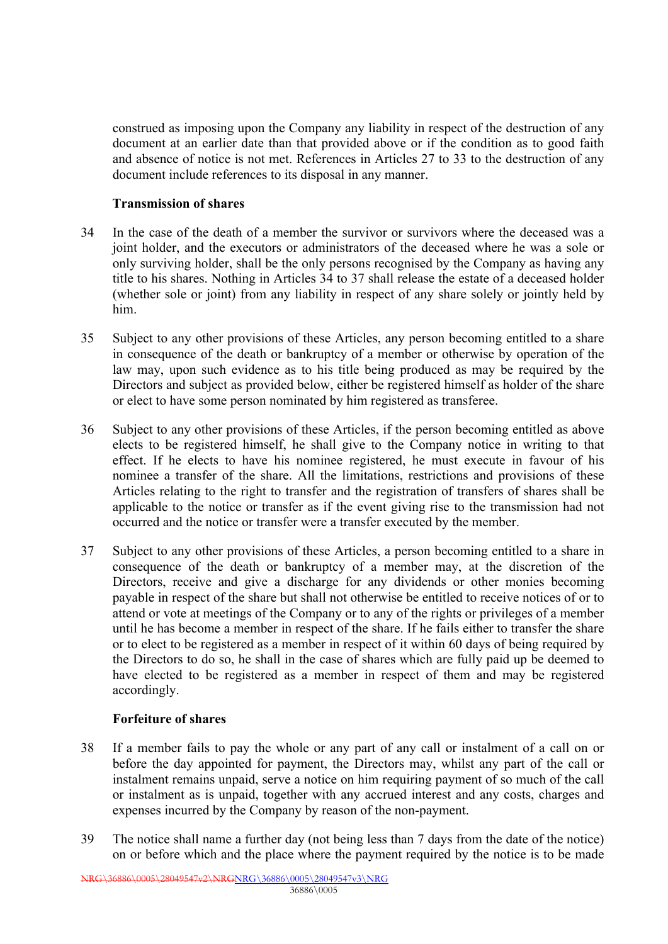construed as imposing upon the Company any liability in respect of the destruction of any document at an earlier date than that provided above or if the condition as to good faith and absence of notice is not met. References in Articles 27 to 33 to the destruction of any document include references to its disposal in any manner.

## **Transmission of shares**

- 34 In the case of the death of a member the survivor or survivors where the deceased was a joint holder, and the executors or administrators of the deceased where he was a sole or only surviving holder, shall be the only persons recognised by the Company as having any title to his shares. Nothing in Articles 34 to 37 shall release the estate of a deceased holder (whether sole or joint) from any liability in respect of any share solely or jointly held by him.
- 35 Subject to any other provisions of these Articles, any person becoming entitled to a share in consequence of the death or bankruptcy of a member or otherwise by operation of the law may, upon such evidence as to his title being produced as may be required by the Directors and subject as provided below, either be registered himself as holder of the share or elect to have some person nominated by him registered as transferee.
- 36 Subject to any other provisions of these Articles, if the person becoming entitled as above elects to be registered himself, he shall give to the Company notice in writing to that effect. If he elects to have his nominee registered, he must execute in favour of his nominee a transfer of the share. All the limitations, restrictions and provisions of these Articles relating to the right to transfer and the registration of transfers of shares shall be applicable to the notice or transfer as if the event giving rise to the transmission had not occurred and the notice or transfer were a transfer executed by the member.
- 37 Subject to any other provisions of these Articles, a person becoming entitled to a share in consequence of the death or bankruptcy of a member may, at the discretion of the Directors, receive and give a discharge for any dividends or other monies becoming payable in respect of the share but shall not otherwise be entitled to receive notices of or to attend or vote at meetings of the Company or to any of the rights or privileges of a member until he has become a member in respect of the share. If he fails either to transfer the share or to elect to be registered as a member in respect of it within 60 days of being required by the Directors to do so, he shall in the case of shares which are fully paid up be deemed to have elected to be registered as a member in respect of them and may be registered accordingly.

## **Forfeiture of shares**

- 38 If a member fails to pay the whole or any part of any call or instalment of a call on or before the day appointed for payment, the Directors may, whilst any part of the call or instalment remains unpaid, serve a notice on him requiring payment of so much of the call or instalment as is unpaid, together with any accrued interest and any costs, charges and expenses incurred by the Company by reason of the non-payment.
- 39 The notice shall name a further day (not being less than 7 days from the date of the notice) on or before which and the place where the payment required by the notice is to be made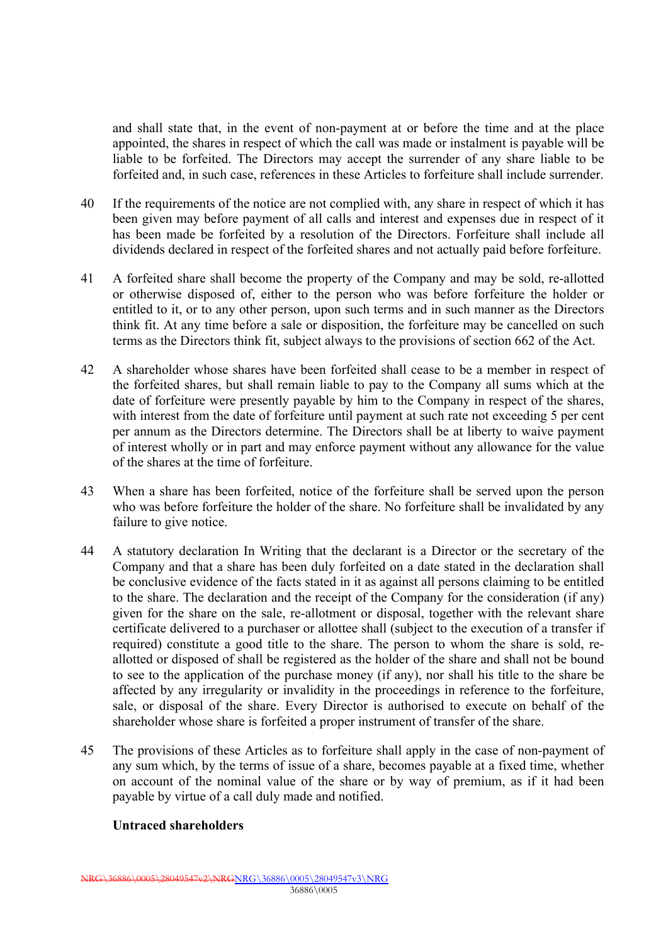and shall state that, in the event of non-payment at or before the time and at the place appointed, the shares in respect of which the call was made or instalment is payable will be liable to be forfeited. The Directors may accept the surrender of any share liable to be forfeited and, in such case, references in these Articles to forfeiture shall include surrender.

- 40 If the requirements of the notice are not complied with, any share in respect of which it has been given may before payment of all calls and interest and expenses due in respect of it has been made be forfeited by a resolution of the Directors. Forfeiture shall include all dividends declared in respect of the forfeited shares and not actually paid before forfeiture.
- 41 A forfeited share shall become the property of the Company and may be sold, re-allotted or otherwise disposed of, either to the person who was before forfeiture the holder or entitled to it, or to any other person, upon such terms and in such manner as the Directors think fit. At any time before a sale or disposition, the forfeiture may be cancelled on such terms as the Directors think fit, subject always to the provisions of section 662 of the Act.
- 42 A shareholder whose shares have been forfeited shall cease to be a member in respect of the forfeited shares, but shall remain liable to pay to the Company all sums which at the date of forfeiture were presently payable by him to the Company in respect of the shares, with interest from the date of forfeiture until payment at such rate not exceeding 5 per cent per annum as the Directors determine. The Directors shall be at liberty to waive payment of interest wholly or in part and may enforce payment without any allowance for the value of the shares at the time of forfeiture.
- 43 When a share has been forfeited, notice of the forfeiture shall be served upon the person who was before forfeiture the holder of the share. No forfeiture shall be invalidated by any failure to give notice.
- 44 A statutory declaration In Writing that the declarant is a Director or the secretary of the Company and that a share has been duly forfeited on a date stated in the declaration shall be conclusive evidence of the facts stated in it as against all persons claiming to be entitled to the share. The declaration and the receipt of the Company for the consideration (if any) given for the share on the sale, re-allotment or disposal, together with the relevant share certificate delivered to a purchaser or allottee shall (subject to the execution of a transfer if required) constitute a good title to the share. The person to whom the share is sold, reallotted or disposed of shall be registered as the holder of the share and shall not be bound to see to the application of the purchase money (if any), nor shall his title to the share be affected by any irregularity or invalidity in the proceedings in reference to the forfeiture, sale, or disposal of the share. Every Director is authorised to execute on behalf of the shareholder whose share is forfeited a proper instrument of transfer of the share.
- 45 The provisions of these Articles as to forfeiture shall apply in the case of non-payment of any sum which, by the terms of issue of a share, becomes payable at a fixed time, whether on account of the nominal value of the share or by way of premium, as if it had been payable by virtue of a call duly made and notified.

#### **Untraced shareholders**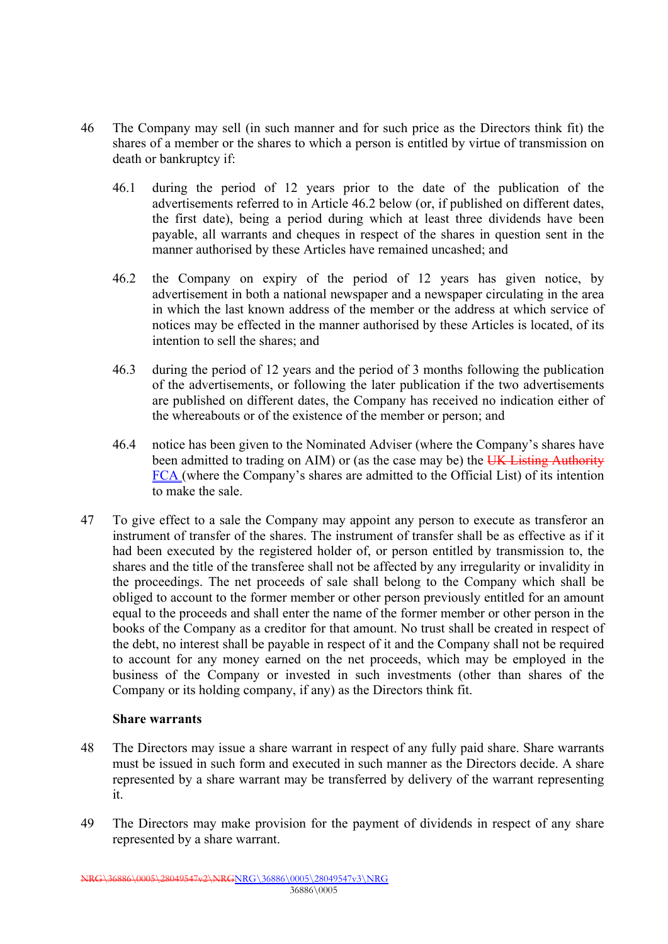- 46 The Company may sell (in such manner and for such price as the Directors think fit) the shares of a member or the shares to which a person is entitled by virtue of transmission on death or bankruptcy if:
	- 46.1 during the period of 12 years prior to the date of the publication of the advertisements referred to in Article 46.2 below (or, if published on different dates, the first date), being a period during which at least three dividends have been payable, all warrants and cheques in respect of the shares in question sent in the manner authorised by these Articles have remained uncashed; and
	- 46.2 the Company on expiry of the period of 12 years has given notice, by advertisement in both a national newspaper and a newspaper circulating in the area in which the last known address of the member or the address at which service of notices may be effected in the manner authorised by these Articles is located, of its intention to sell the shares; and
	- 46.3 during the period of 12 years and the period of 3 months following the publication of the advertisements, or following the later publication if the two advertisements are published on different dates, the Company has received no indication either of the whereabouts or of the existence of the member or person; and
	- 46.4 notice has been given to the Nominated Adviser (where the Company's shares have been admitted to trading on AIM) or (as the case may be) the UK Listing Authority FCA (where the Company's shares are admitted to the Official List) of its intention to make the sale.
- 47 To give effect to a sale the Company may appoint any person to execute as transferor an instrument of transfer of the shares. The instrument of transfer shall be as effective as if it had been executed by the registered holder of, or person entitled by transmission to, the shares and the title of the transferee shall not be affected by any irregularity or invalidity in the proceedings. The net proceeds of sale shall belong to the Company which shall be obliged to account to the former member or other person previously entitled for an amount equal to the proceeds and shall enter the name of the former member or other person in the books of the Company as a creditor for that amount. No trust shall be created in respect of the debt, no interest shall be payable in respect of it and the Company shall not be required to account for any money earned on the net proceeds, which may be employed in the business of the Company or invested in such investments (other than shares of the Company or its holding company, if any) as the Directors think fit.

#### **Share warrants**

- 48 The Directors may issue a share warrant in respect of any fully paid share. Share warrants must be issued in such form and executed in such manner as the Directors decide. A share represented by a share warrant may be transferred by delivery of the warrant representing it.
- 49 The Directors may make provision for the payment of dividends in respect of any share represented by a share warrant.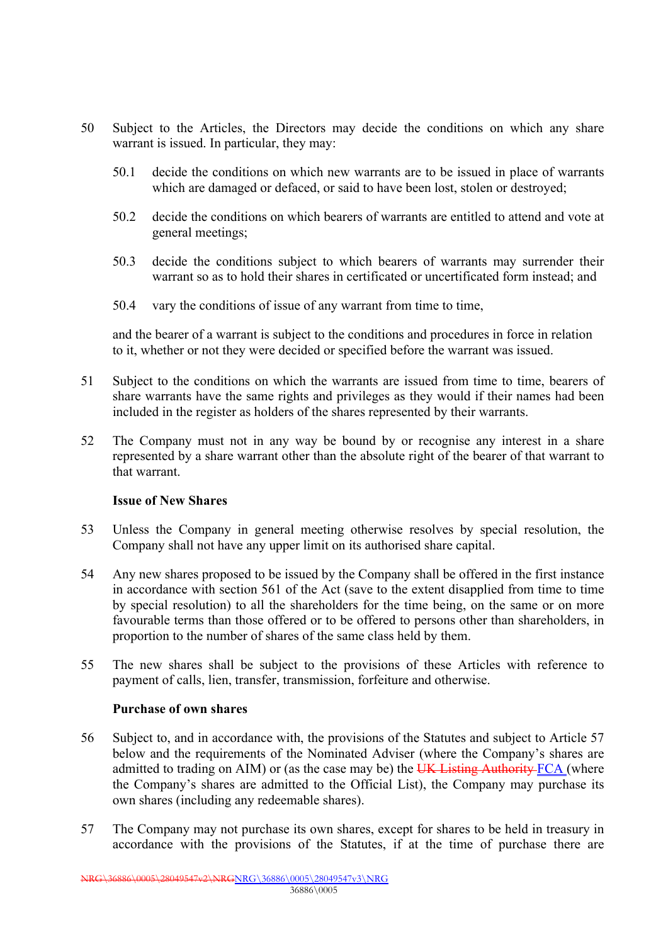- 50 Subject to the Articles, the Directors may decide the conditions on which any share warrant is issued. In particular, they may:
	- 50.1 decide the conditions on which new warrants are to be issued in place of warrants which are damaged or defaced, or said to have been lost, stolen or destroyed;
	- 50.2 decide the conditions on which bearers of warrants are entitled to attend and vote at general meetings;
	- 50.3 decide the conditions subject to which bearers of warrants may surrender their warrant so as to hold their shares in certificated or uncertificated form instead; and
	- 50.4 vary the conditions of issue of any warrant from time to time,

and the bearer of a warrant is subject to the conditions and procedures in force in relation to it, whether or not they were decided or specified before the warrant was issued.

- 51 Subject to the conditions on which the warrants are issued from time to time, bearers of share warrants have the same rights and privileges as they would if their names had been included in the register as holders of the shares represented by their warrants.
- 52 The Company must not in any way be bound by or recognise any interest in a share represented by a share warrant other than the absolute right of the bearer of that warrant to that warrant.

#### **Issue of New Shares**

- 53 Unless the Company in general meeting otherwise resolves by special resolution, the Company shall not have any upper limit on its authorised share capital.
- 54 Any new shares proposed to be issued by the Company shall be offered in the first instance in accordance with section 561 of the Act (save to the extent disapplied from time to time by special resolution) to all the shareholders for the time being, on the same or on more favourable terms than those offered or to be offered to persons other than shareholders, in proportion to the number of shares of the same class held by them.
- 55 The new shares shall be subject to the provisions of these Articles with reference to payment of calls, lien, transfer, transmission, forfeiture and otherwise.

#### **Purchase of own shares**

- 56 Subject to, and in accordance with, the provisions of the Statutes and subject to Article 57 below and the requirements of the Nominated Adviser (where the Company's shares are admitted to trading on AIM) or (as the case may be) the UK Listing Authority FCA (where the Company's shares are admitted to the Official List), the Company may purchase its own shares (including any redeemable shares).
- 57 The Company may not purchase its own shares, except for shares to be held in treasury in accordance with the provisions of the Statutes, if at the time of purchase there are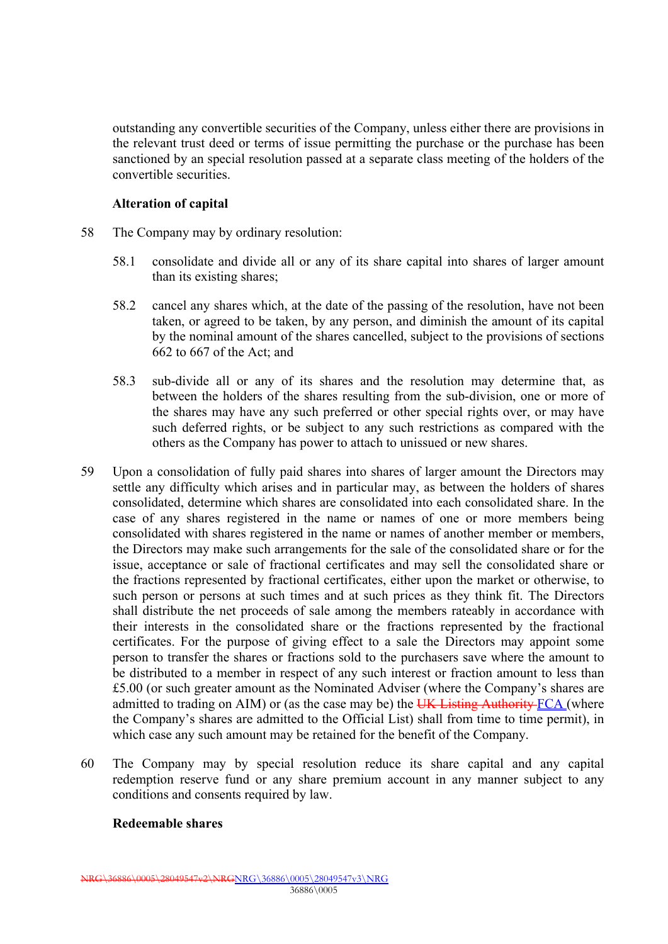outstanding any convertible securities of the Company, unless either there are provisions in the relevant trust deed or terms of issue permitting the purchase or the purchase has been sanctioned by an special resolution passed at a separate class meeting of the holders of the convertible securities.

#### **Alteration of capital**

- 58 The Company may by ordinary resolution:
	- 58.1 consolidate and divide all or any of its share capital into shares of larger amount than its existing shares;
	- 58.2 cancel any shares which, at the date of the passing of the resolution, have not been taken, or agreed to be taken, by any person, and diminish the amount of its capital by the nominal amount of the shares cancelled, subject to the provisions of sections 662 to 667 of the Act; and
	- 58.3 sub-divide all or any of its shares and the resolution may determine that, as between the holders of the shares resulting from the sub-division, one or more of the shares may have any such preferred or other special rights over, or may have such deferred rights, or be subject to any such restrictions as compared with the others as the Company has power to attach to unissued or new shares.
- 59 Upon a consolidation of fully paid shares into shares of larger amount the Directors may settle any difficulty which arises and in particular may, as between the holders of shares consolidated, determine which shares are consolidated into each consolidated share. In the case of any shares registered in the name or names of one or more members being consolidated with shares registered in the name or names of another member or members, the Directors may make such arrangements for the sale of the consolidated share or for the issue, acceptance or sale of fractional certificates and may sell the consolidated share or the fractions represented by fractional certificates, either upon the market or otherwise, to such person or persons at such times and at such prices as they think fit. The Directors shall distribute the net proceeds of sale among the members rateably in accordance with their interests in the consolidated share or the fractions represented by the fractional certificates. For the purpose of giving effect to a sale the Directors may appoint some person to transfer the shares or fractions sold to the purchasers save where the amount to be distributed to a member in respect of any such interest or fraction amount to less than £5.00 (or such greater amount as the Nominated Adviser (where the Company's shares are admitted to trading on AIM) or (as the case may be) the  $\overline{UK}$  Listing Authority  $\overline{FCA}$  (where the Company's shares are admitted to the Official List) shall from time to time permit), in which case any such amount may be retained for the benefit of the Company.
- 60 The Company may by special resolution reduce its share capital and any capital redemption reserve fund or any share premium account in any manner subject to any conditions and consents required by law.

## **Redeemable shares**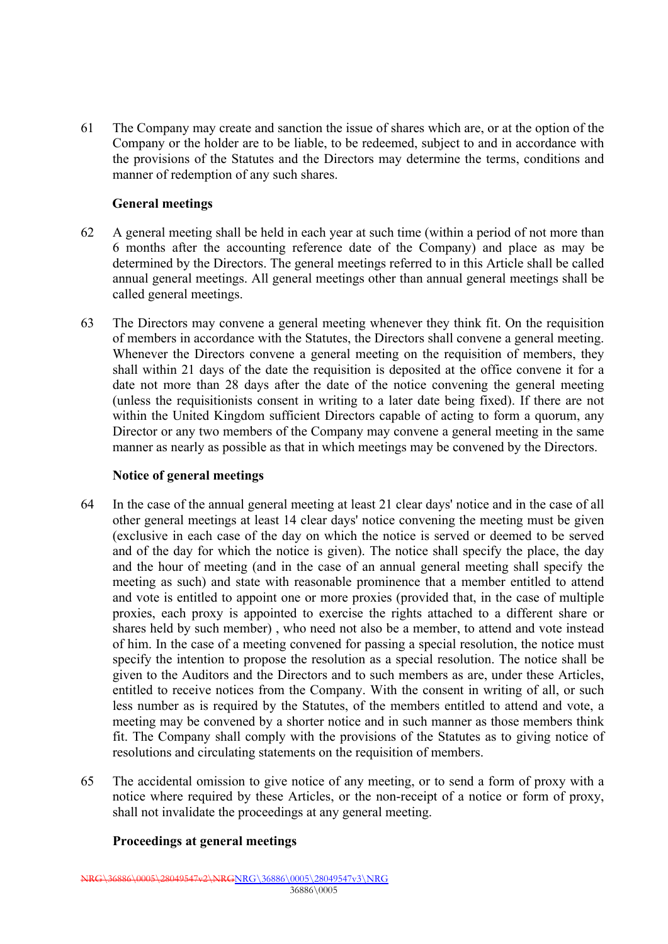61 The Company may create and sanction the issue of shares which are, or at the option of the Company or the holder are to be liable, to be redeemed, subject to and in accordance with the provisions of the Statutes and the Directors may determine the terms, conditions and manner of redemption of any such shares.

## **General meetings**

- 62 A general meeting shall be held in each year at such time (within a period of not more than 6 months after the accounting reference date of the Company) and place as may be determined by the Directors. The general meetings referred to in this Article shall be called annual general meetings. All general meetings other than annual general meetings shall be called general meetings.
- 63 The Directors may convene a general meeting whenever they think fit. On the requisition of members in accordance with the Statutes, the Directors shall convene a general meeting. Whenever the Directors convene a general meeting on the requisition of members, they shall within 21 days of the date the requisition is deposited at the office convene it for a date not more than 28 days after the date of the notice convening the general meeting (unless the requisitionists consent in writing to a later date being fixed). If there are not within the United Kingdom sufficient Directors capable of acting to form a quorum, any Director or any two members of the Company may convene a general meeting in the same manner as nearly as possible as that in which meetings may be convened by the Directors.

#### **Notice of general meetings**

- 64 In the case of the annual general meeting at least 21 clear days' notice and in the case of all other general meetings at least 14 clear days' notice convening the meeting must be given (exclusive in each case of the day on which the notice is served or deemed to be served and of the day for which the notice is given). The notice shall specify the place, the day and the hour of meeting (and in the case of an annual general meeting shall specify the meeting as such) and state with reasonable prominence that a member entitled to attend and vote is entitled to appoint one or more proxies (provided that, in the case of multiple proxies, each proxy is appointed to exercise the rights attached to a different share or shares held by such member) , who need not also be a member, to attend and vote instead of him. In the case of a meeting convened for passing a special resolution, the notice must specify the intention to propose the resolution as a special resolution. The notice shall be given to the Auditors and the Directors and to such members as are, under these Articles, entitled to receive notices from the Company. With the consent in writing of all, or such less number as is required by the Statutes, of the members entitled to attend and vote, a meeting may be convened by a shorter notice and in such manner as those members think fit. The Company shall comply with the provisions of the Statutes as to giving notice of resolutions and circulating statements on the requisition of members.
- 65 The accidental omission to give notice of any meeting, or to send a form of proxy with a notice where required by these Articles, or the non-receipt of a notice or form of proxy, shall not invalidate the proceedings at any general meeting.

## **Proceedings at general meetings**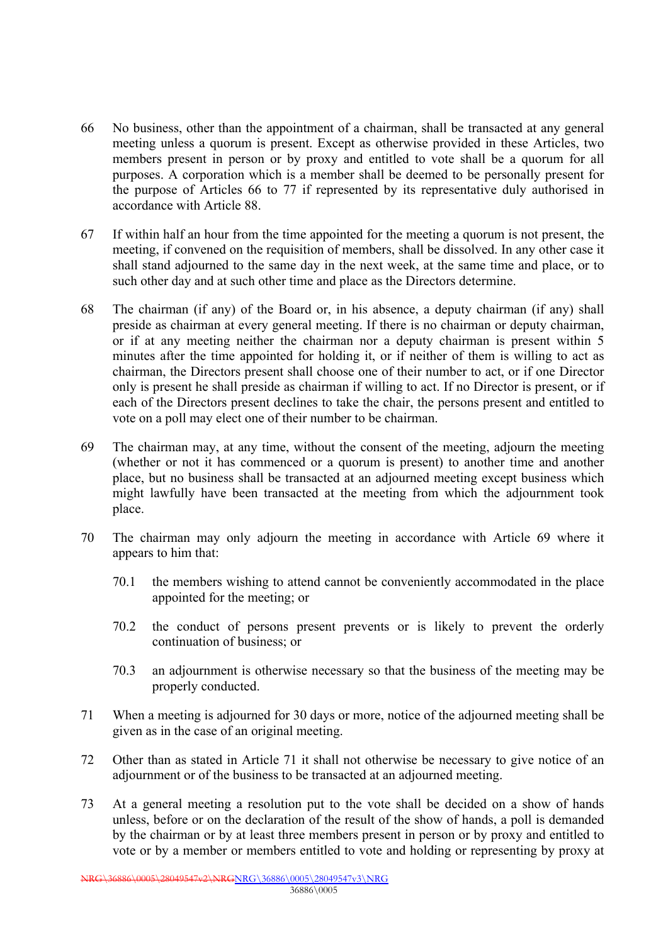- 66 No business, other than the appointment of a chairman, shall be transacted at any general meeting unless a quorum is present. Except as otherwise provided in these Articles, two members present in person or by proxy and entitled to vote shall be a quorum for all purposes. A corporation which is a member shall be deemed to be personally present for the purpose of Articles 66 to 77 if represented by its representative duly authorised in accordance with Article 88.
- 67 If within half an hour from the time appointed for the meeting a quorum is not present, the meeting, if convened on the requisition of members, shall be dissolved. In any other case it shall stand adjourned to the same day in the next week, at the same time and place, or to such other day and at such other time and place as the Directors determine.
- 68 The chairman (if any) of the Board or, in his absence, a deputy chairman (if any) shall preside as chairman at every general meeting. If there is no chairman or deputy chairman, or if at any meeting neither the chairman nor a deputy chairman is present within 5 minutes after the time appointed for holding it, or if neither of them is willing to act as chairman, the Directors present shall choose one of their number to act, or if one Director only is present he shall preside as chairman if willing to act. If no Director is present, or if each of the Directors present declines to take the chair, the persons present and entitled to vote on a poll may elect one of their number to be chairman.
- 69 The chairman may, at any time, without the consent of the meeting, adjourn the meeting (whether or not it has commenced or a quorum is present) to another time and another place, but no business shall be transacted at an adjourned meeting except business which might lawfully have been transacted at the meeting from which the adjournment took place.
- 70 The chairman may only adjourn the meeting in accordance with Article 69 where it appears to him that:
	- 70.1 the members wishing to attend cannot be conveniently accommodated in the place appointed for the meeting; or
	- 70.2 the conduct of persons present prevents or is likely to prevent the orderly continuation of business; or
	- 70.3 an adjournment is otherwise necessary so that the business of the meeting may be properly conducted.
- 71 When a meeting is adjourned for 30 days or more, notice of the adjourned meeting shall be given as in the case of an original meeting.
- 72 Other than as stated in Article 71 it shall not otherwise be necessary to give notice of an adjournment or of the business to be transacted at an adjourned meeting.
- 73 At a general meeting a resolution put to the vote shall be decided on a show of hands unless, before or on the declaration of the result of the show of hands, a poll is demanded by the chairman or by at least three members present in person or by proxy and entitled to vote or by a member or members entitled to vote and holding or representing by proxy at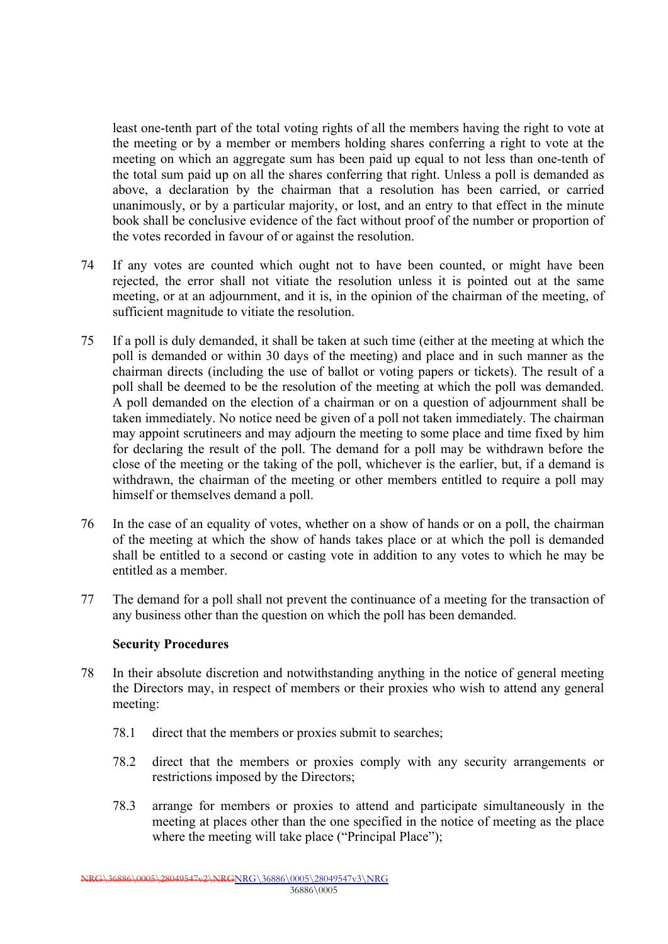least one-tenth part of the total voting rights of all the members having the right to vote at the meeting or by a member or members holding shares conferring a right to vote at the meeting on which an aggregate sum has been paid up equal to not less than one-tenth of the total sum paid up on all the shares conferring that right. Unless a poll is demanded as above, a declaration by the chairman that a resolution has been carried, or carried unanimously, or by a particular majority, or lost, and an entry to that effect in the minute book shall be conclusive evidence of the fact without proof of the number or proportion of the votes recorded in favour of or against the resolution.

- 74 If any votes are counted which ought not to have been counted, or might have been rejected, the error shall not vitiate the resolution unless it is pointed out at the same meeting, or at an adjournment, and it is, in the opinion of the chairman of the meeting, of sufficient magnitude to vitiate the resolution.
- 75 If a poll is duly demanded, it shall be taken at such time (either at the meeting at which the poll is demanded or within 30 days of the meeting) and place and in such manner as the chairman directs (including the use of ballot or voting papers or tickets). The result of a poll shall be deemed to be the resolution of the meeting at which the poll was demanded. A poll demanded on the election of a chairman or on a question of adjournment shall be taken immediately. No notice need be given of a poll not taken immediately. The chairman may appoint scrutineers and may adjourn the meeting to some place and time fixed by him for declaring the result of the poll. The demand for a poll may be withdrawn before the close of the meeting or the taking of the poll, whichever is the earlier, but, if a demand is withdrawn, the chairman of the meeting or other members entitled to require a poll may himself or themselves demand a poll.
- 76 In the case of an equality of votes, whether on a show of hands or on a poll, the chairman of the meeting at which the show of hands takes place or at which the poll is demanded shall be entitled to a second or casting vote in addition to any votes to which he may be entitled as a member.
- 77 The demand for a poll shall not prevent the continuance of a meeting for the transaction of any business other than the question on which the poll has been demanded.

#### **Security Procedures**

- 78 In their absolute discretion and notwithstanding anything in the notice of general meeting the Directors may, in respect of members or their proxies who wish to attend any general meeting:
	- 78.1 direct that the members or proxies submit to searches;
	- 78.2 direct that the members or proxies comply with any security arrangements or restrictions imposed by the Directors;
	- 78.3 arrange for members or proxies to attend and participate simultaneously in the meeting at places other than the one specified in the notice of meeting as the place where the meeting will take place ("Principal Place");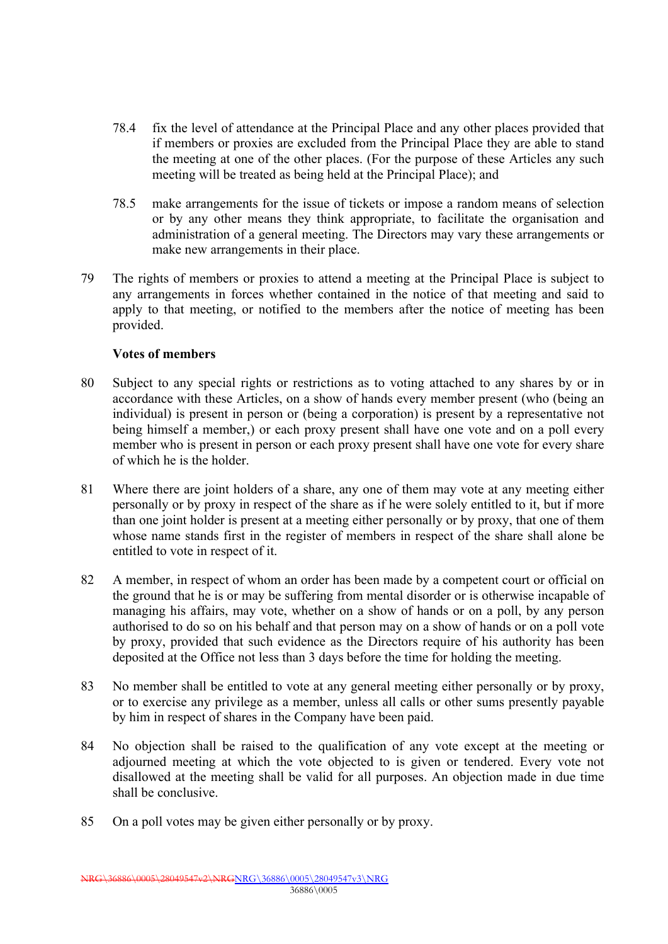- 78.4 fix the level of attendance at the Principal Place and any other places provided that if members or proxies are excluded from the Principal Place they are able to stand the meeting at one of the other places. (For the purpose of these Articles any such meeting will be treated as being held at the Principal Place); and
- 78.5 make arrangements for the issue of tickets or impose a random means of selection or by any other means they think appropriate, to facilitate the organisation and administration of a general meeting. The Directors may vary these arrangements or make new arrangements in their place.
- 79 The rights of members or proxies to attend a meeting at the Principal Place is subject to any arrangements in forces whether contained in the notice of that meeting and said to apply to that meeting, or notified to the members after the notice of meeting has been provided.

## **Votes of members**

- 80 Subject to any special rights or restrictions as to voting attached to any shares by or in accordance with these Articles, on a show of hands every member present (who (being an individual) is present in person or (being a corporation) is present by a representative not being himself a member,) or each proxy present shall have one vote and on a poll every member who is present in person or each proxy present shall have one vote for every share of which he is the holder.
- 81 Where there are joint holders of a share, any one of them may vote at any meeting either personally or by proxy in respect of the share as if he were solely entitled to it, but if more than one joint holder is present at a meeting either personally or by proxy, that one of them whose name stands first in the register of members in respect of the share shall alone be entitled to vote in respect of it.
- 82 A member, in respect of whom an order has been made by a competent court or official on the ground that he is or may be suffering from mental disorder or is otherwise incapable of managing his affairs, may vote, whether on a show of hands or on a poll, by any person authorised to do so on his behalf and that person may on a show of hands or on a poll vote by proxy, provided that such evidence as the Directors require of his authority has been deposited at the Office not less than 3 days before the time for holding the meeting.
- 83 No member shall be entitled to vote at any general meeting either personally or by proxy, or to exercise any privilege as a member, unless all calls or other sums presently payable by him in respect of shares in the Company have been paid.
- 84 No objection shall be raised to the qualification of any vote except at the meeting or adjourned meeting at which the vote objected to is given or tendered. Every vote not disallowed at the meeting shall be valid for all purposes. An objection made in due time shall be conclusive.
- 85 On a poll votes may be given either personally or by proxy.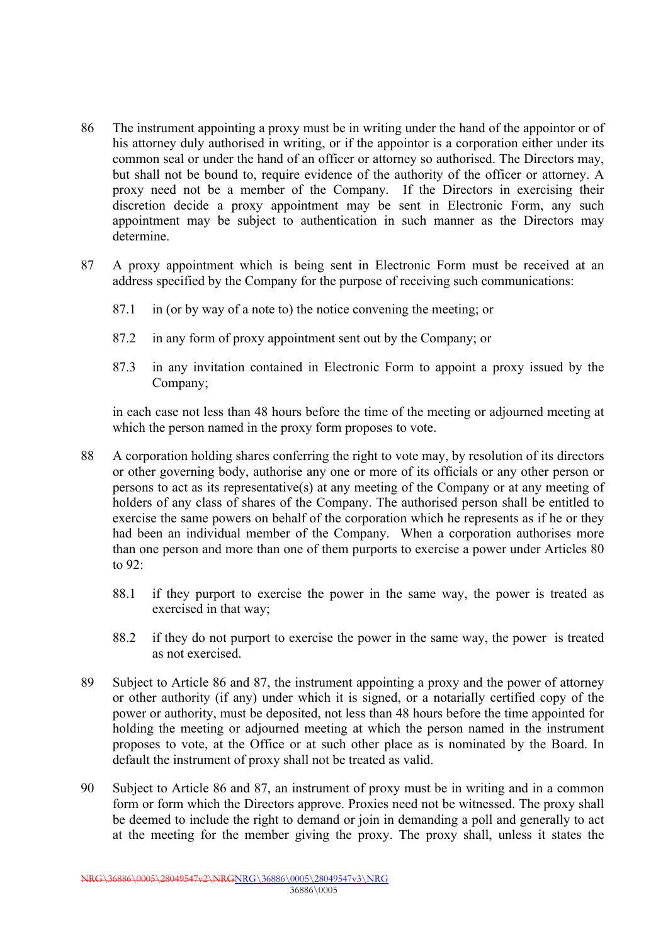- 86 The instrument appointing a proxy must be in writing under the hand of the appointor or of his attorney duly authorised in writing, or if the appointor is a corporation either under its common seal or under the hand of an officer or attorney so authorised. The Directors may, but shall not be bound to, require evidence of the authority of the officer or attorney. A proxy need not be a member of the Company. If the Directors in exercising their discretion decide a proxy appointment may be sent in Electronic Form, any such appointment may be subject to authentication in such manner as the Directors may determine.
- 87 A proxy appointment which is being sent in Electronic Form must be received at an address specified by the Company for the purpose of receiving such communications:
	- 87.1 in (or by way of a note to) the notice convening the meeting; or
	- 87.2 in any form of proxy appointment sent out by the Company; or
	- 87.3 in any invitation contained in Electronic Form to appoint a proxy issued by the Company;

in each case not less than 48 hours before the time of the meeting or adjourned meeting at which the person named in the proxy form proposes to vote.

- 88 A corporation holding shares conferring the right to vote may, by resolution of its directors or other governing body, authorise any one or more of its officials or any other person or persons to act as its representative(s) at any meeting of the Company or at any meeting of holders of any class of shares of the Company. The authorised person shall be entitled to exercise the same powers on behalf of the corporation which he represents as if he or they had been an individual member of the Company. When a corporation authorises more than one person and more than one of them purports to exercise a power under Articles 80 to 92:
	- 88.1 if they purport to exercise the power in the same way, the power is treated as exercised in that way;
	- 88.2 if they do not purport to exercise the power in the same way, the power is treated as not exercised.
- 89 Subject to Article 86 and 87, the instrument appointing a proxy and the power of attorney or other authority (if any) under which it is signed, or a notarially certified copy of the power or authority, must be deposited, not less than 48 hours before the time appointed for holding the meeting or adjourned meeting at which the person named in the instrument proposes to vote, at the Office or at such other place as is nominated by the Board. In default the instrument of proxy shall not be treated as valid.
- 90 Subject to Article 86 and 87, an instrument of proxy must be in writing and in a common form or form which the Directors approve. Proxies need not be witnessed. The proxy shall be deemed to include the right to demand or join in demanding a poll and generally to act at the meeting for the member giving the proxy. The proxy shall, unless it states the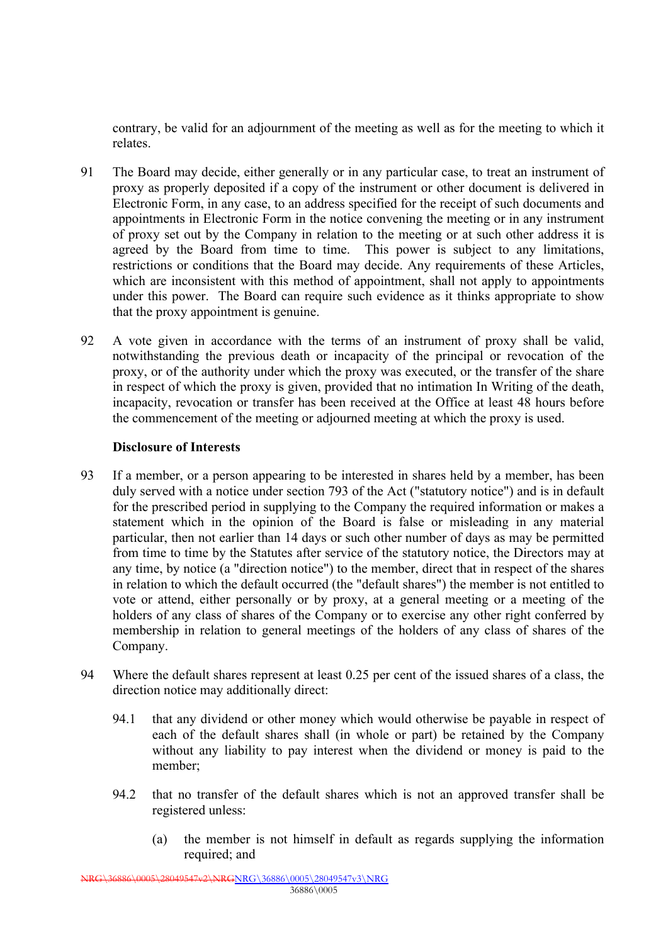contrary, be valid for an adjournment of the meeting as well as for the meeting to which it relates.

- 91 The Board may decide, either generally or in any particular case, to treat an instrument of proxy as properly deposited if a copy of the instrument or other document is delivered in Electronic Form, in any case, to an address specified for the receipt of such documents and appointments in Electronic Form in the notice convening the meeting or in any instrument of proxy set out by the Company in relation to the meeting or at such other address it is agreed by the Board from time to time. This power is subject to any limitations, restrictions or conditions that the Board may decide. Any requirements of these Articles, which are inconsistent with this method of appointment, shall not apply to appointments under this power. The Board can require such evidence as it thinks appropriate to show that the proxy appointment is genuine.
- 92 A vote given in accordance with the terms of an instrument of proxy shall be valid, notwithstanding the previous death or incapacity of the principal or revocation of the proxy, or of the authority under which the proxy was executed, or the transfer of the share in respect of which the proxy is given, provided that no intimation In Writing of the death, incapacity, revocation or transfer has been received at the Office at least 48 hours before the commencement of the meeting or adjourned meeting at which the proxy is used.

## **Disclosure of Interests**

- 93 If a member, or a person appearing to be interested in shares held by a member, has been duly served with a notice under section 793 of the Act ("statutory notice") and is in default for the prescribed period in supplying to the Company the required information or makes a statement which in the opinion of the Board is false or misleading in any material particular, then not earlier than 14 days or such other number of days as may be permitted from time to time by the Statutes after service of the statutory notice, the Directors may at any time, by notice (a "direction notice") to the member, direct that in respect of the shares in relation to which the default occurred (the "default shares") the member is not entitled to vote or attend, either personally or by proxy, at a general meeting or a meeting of the holders of any class of shares of the Company or to exercise any other right conferred by membership in relation to general meetings of the holders of any class of shares of the Company.
- 94 Where the default shares represent at least 0.25 per cent of the issued shares of a class, the direction notice may additionally direct:
	- 94.1 that any dividend or other money which would otherwise be payable in respect of each of the default shares shall (in whole or part) be retained by the Company without any liability to pay interest when the dividend or money is paid to the member;
	- 94.2 that no transfer of the default shares which is not an approved transfer shall be registered unless:
		- (a) the member is not himself in default as regards supplying the information required; and

NRG\36886\0005\28049547v2\NRGNRG\36886\0005\28049547v3\NRG 36886\0005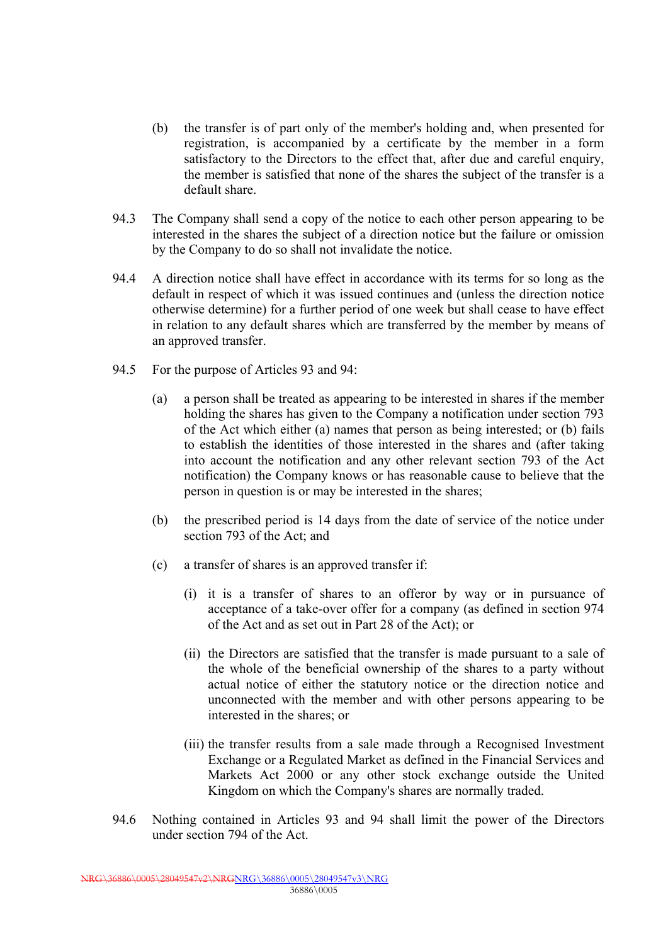- (b) the transfer is of part only of the member's holding and, when presented for registration, is accompanied by a certificate by the member in a form satisfactory to the Directors to the effect that, after due and careful enquiry, the member is satisfied that none of the shares the subject of the transfer is a default share.
- 94.3 The Company shall send a copy of the notice to each other person appearing to be interested in the shares the subject of a direction notice but the failure or omission by the Company to do so shall not invalidate the notice.
- 94.4 A direction notice shall have effect in accordance with its terms for so long as the default in respect of which it was issued continues and (unless the direction notice otherwise determine) for a further period of one week but shall cease to have effect in relation to any default shares which are transferred by the member by means of an approved transfer.
- 94.5 For the purpose of Articles 93 and 94:
	- (a) a person shall be treated as appearing to be interested in shares if the member holding the shares has given to the Company a notification under section 793 of the Act which either (a) names that person as being interested; or (b) fails to establish the identities of those interested in the shares and (after taking into account the notification and any other relevant section 793 of the Act notification) the Company knows or has reasonable cause to believe that the person in question is or may be interested in the shares;
	- (b) the prescribed period is 14 days from the date of service of the notice under section 793 of the Act; and
	- (c) a transfer of shares is an approved transfer if:
		- (i) it is a transfer of shares to an offeror by way or in pursuance of acceptance of a take-over offer for a company (as defined in section 974 of the Act and as set out in Part 28 of the Act); or
		- (ii) the Directors are satisfied that the transfer is made pursuant to a sale of the whole of the beneficial ownership of the shares to a party without actual notice of either the statutory notice or the direction notice and unconnected with the member and with other persons appearing to be interested in the shares; or
		- (iii) the transfer results from a sale made through a Recognised Investment Exchange or a Regulated Market as defined in the Financial Services and Markets Act 2000 or any other stock exchange outside the United Kingdom on which the Company's shares are normally traded.
- 94.6 Nothing contained in Articles 93 and 94 shall limit the power of the Directors under section 794 of the Act.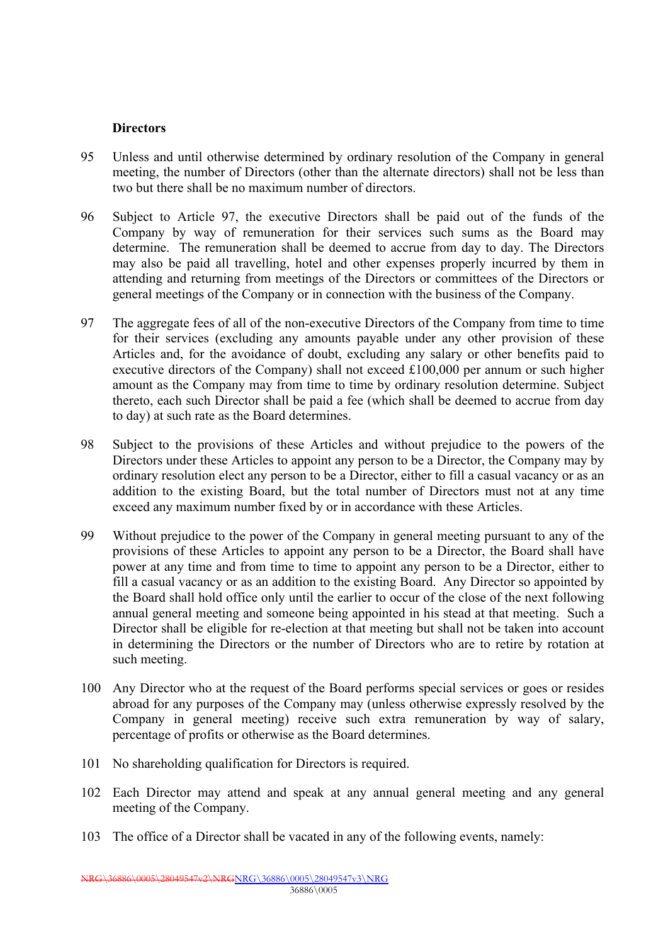#### **Directors**

- 95 Unless and until otherwise determined by ordinary resolution of the Company in general meeting, the number of Directors (other than the alternate directors) shall not be less than two but there shall be no maximum number of directors.
- 96 Subject to Article 97, the executive Directors shall be paid out of the funds of the Company by way of remuneration for their services such sums as the Board may determine. The remuneration shall be deemed to accrue from day to day. The Directors may also be paid all travelling, hotel and other expenses properly incurred by them in attending and returning from meetings of the Directors or committees of the Directors or general meetings of the Company or in connection with the business of the Company.
- 97 The aggregate fees of all of the non-executive Directors of the Company from time to time for their services (excluding any amounts payable under any other provision of these Articles and, for the avoidance of doubt, excluding any salary or other benefits paid to executive directors of the Company) shall not exceed £100,000 per annum or such higher amount as the Company may from time to time by ordinary resolution determine. Subject thereto, each such Director shall be paid a fee (which shall be deemed to accrue from day to day) at such rate as the Board determines.
- 98 Subject to the provisions of these Articles and without prejudice to the powers of the Directors under these Articles to appoint any person to be a Director, the Company may by ordinary resolution elect any person to be a Director, either to fill a casual vacancy or as an addition to the existing Board, but the total number of Directors must not at any time exceed any maximum number fixed by or in accordance with these Articles.
- 99 Without prejudice to the power of the Company in general meeting pursuant to any of the provisions of these Articles to appoint any person to be a Director, the Board shall have power at any time and from time to time to appoint any person to be a Director, either to fill a casual vacancy or as an addition to the existing Board. Any Director so appointed by the Board shall hold office only until the earlier to occur of the close of the next following annual general meeting and someone being appointed in his stead at that meeting. Such a Director shall be eligible for re-election at that meeting but shall not be taken into account in determining the Directors or the number of Directors who are to retire by rotation at such meeting.
- 100 Any Director who at the request of the Board performs special services or goes or resides abroad for any purposes of the Company may (unless otherwise expressly resolved by the Company in general meeting) receive such extra remuneration by way of salary, percentage of profits or otherwise as the Board determines.
- 101 No shareholding qualification for Directors is required.
- 102 Each Director may attend and speak at any annual general meeting and any general meeting of the Company.
- 103 The office of a Director shall be vacated in any of the following events, namely: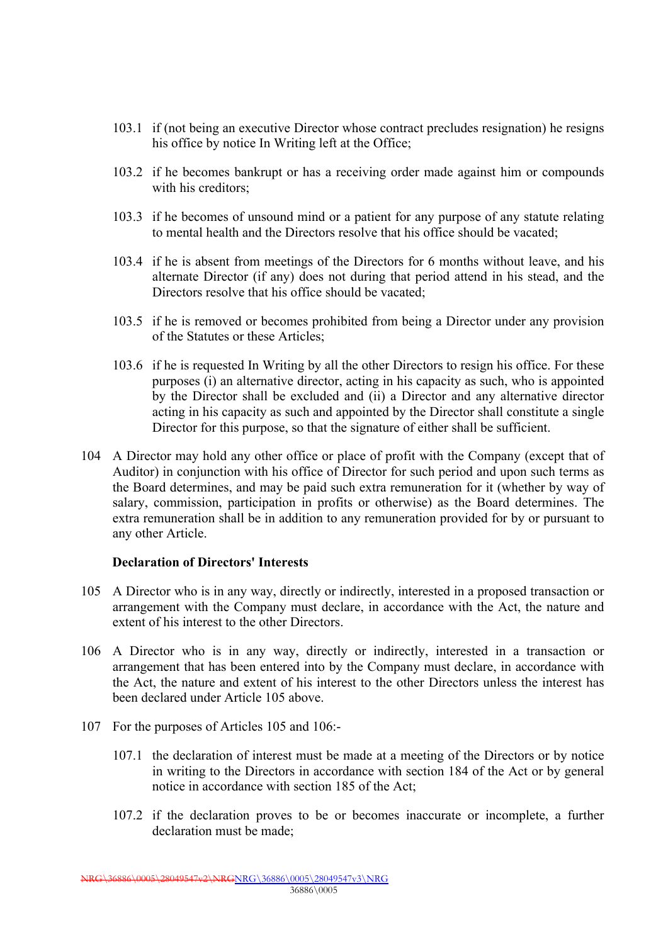- 103.1 if (not being an executive Director whose contract precludes resignation) he resigns his office by notice In Writing left at the Office;
- 103.2 if he becomes bankrupt or has a receiving order made against him or compounds with his creditors;
- 103.3 if he becomes of unsound mind or a patient for any purpose of any statute relating to mental health and the Directors resolve that his office should be vacated;
- 103.4 if he is absent from meetings of the Directors for 6 months without leave, and his alternate Director (if any) does not during that period attend in his stead, and the Directors resolve that his office should be vacated;
- 103.5 if he is removed or becomes prohibited from being a Director under any provision of the Statutes or these Articles;
- 103.6 if he is requested In Writing by all the other Directors to resign his office. For these purposes (i) an alternative director, acting in his capacity as such, who is appointed by the Director shall be excluded and (ii) a Director and any alternative director acting in his capacity as such and appointed by the Director shall constitute a single Director for this purpose, so that the signature of either shall be sufficient.
- 104 A Director may hold any other office or place of profit with the Company (except that of Auditor) in conjunction with his office of Director for such period and upon such terms as the Board determines, and may be paid such extra remuneration for it (whether by way of salary, commission, participation in profits or otherwise) as the Board determines. The extra remuneration shall be in addition to any remuneration provided for by or pursuant to any other Article.

## **Declaration of Directors' Interests**

- 105 A Director who is in any way, directly or indirectly, interested in a proposed transaction or arrangement with the Company must declare, in accordance with the Act, the nature and extent of his interest to the other Directors.
- 106 A Director who is in any way, directly or indirectly, interested in a transaction or arrangement that has been entered into by the Company must declare, in accordance with the Act, the nature and extent of his interest to the other Directors unless the interest has been declared under Article 105 above.
- 107 For the purposes of Articles 105 and 106:-
	- 107.1 the declaration of interest must be made at a meeting of the Directors or by notice in writing to the Directors in accordance with section 184 of the Act or by general notice in accordance with section 185 of the Act;
	- 107.2 if the declaration proves to be or becomes inaccurate or incomplete, a further declaration must be made;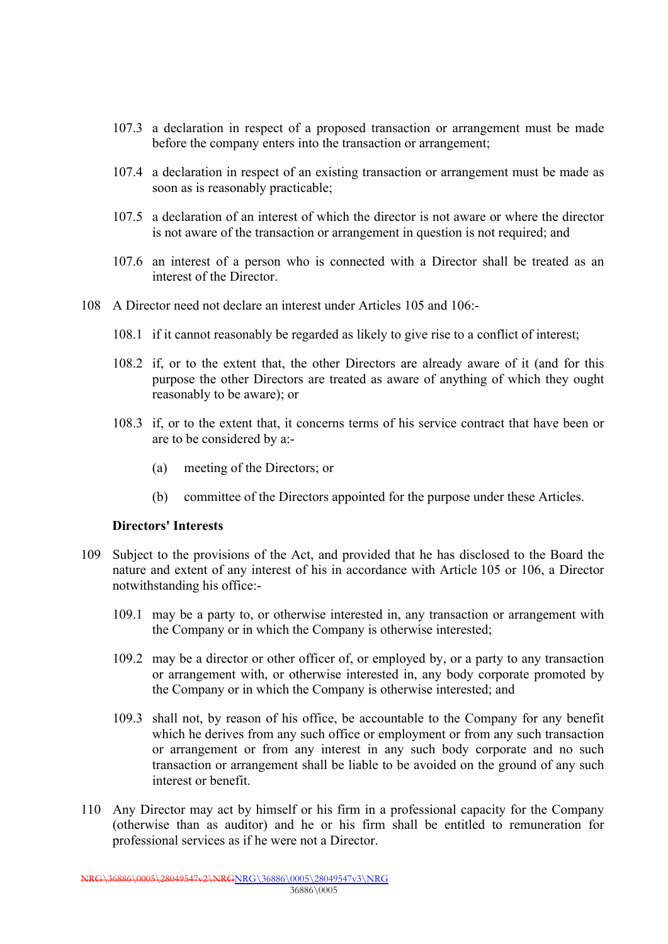- 107.3 a declaration in respect of a proposed transaction or arrangement must be made before the company enters into the transaction or arrangement;
- 107.4 a declaration in respect of an existing transaction or arrangement must be made as soon as is reasonably practicable;
- 107.5 a declaration of an interest of which the director is not aware or where the director is not aware of the transaction or arrangement in question is not required; and
- 107.6 an interest of a person who is connected with a Director shall be treated as an interest of the Director.
- 108 A Director need not declare an interest under Articles 105 and 106:-
	- 108.1 if it cannot reasonably be regarded as likely to give rise to a conflict of interest;
	- 108.2 if, or to the extent that, the other Directors are already aware of it (and for this purpose the other Directors are treated as aware of anything of which they ought reasonably to be aware); or
	- 108.3 if, or to the extent that, it concerns terms of his service contract that have been or are to be considered by a:-
		- (a) meeting of the Directors; or
		- (b) committee of the Directors appointed for the purpose under these Articles.

#### **Directors' Interests**

- 109 Subject to the provisions of the Act, and provided that he has disclosed to the Board the nature and extent of any interest of his in accordance with Article 105 or 106, a Director notwithstanding his office:-
	- 109.1 may be a party to, or otherwise interested in, any transaction or arrangement with the Company or in which the Company is otherwise interested;
	- 109.2 may be a director or other officer of, or employed by, or a party to any transaction or arrangement with, or otherwise interested in, any body corporate promoted by the Company or in which the Company is otherwise interested; and
	- 109.3 shall not, by reason of his office, be accountable to the Company for any benefit which he derives from any such office or employment or from any such transaction or arrangement or from any interest in any such body corporate and no such transaction or arrangement shall be liable to be avoided on the ground of any such interest or benefit.
- 110 Any Director may act by himself or his firm in a professional capacity for the Company (otherwise than as auditor) and he or his firm shall be entitled to remuneration for professional services as if he were not a Director.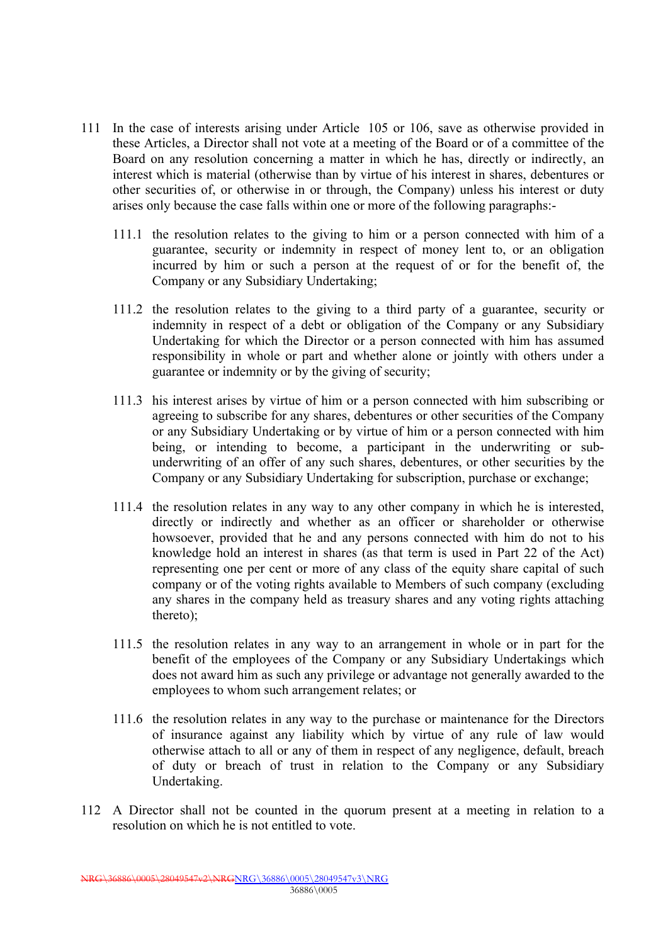- 111 In the case of interests arising under Article 105 or 106, save as otherwise provided in these Articles, a Director shall not vote at a meeting of the Board or of a committee of the Board on any resolution concerning a matter in which he has, directly or indirectly, an interest which is material (otherwise than by virtue of his interest in shares, debentures or other securities of, or otherwise in or through, the Company) unless his interest or duty arises only because the case falls within one or more of the following paragraphs:-
	- 111.1 the resolution relates to the giving to him or a person connected with him of a guarantee, security or indemnity in respect of money lent to, or an obligation incurred by him or such a person at the request of or for the benefit of, the Company or any Subsidiary Undertaking;
	- 111.2 the resolution relates to the giving to a third party of a guarantee, security or indemnity in respect of a debt or obligation of the Company or any Subsidiary Undertaking for which the Director or a person connected with him has assumed responsibility in whole or part and whether alone or jointly with others under a guarantee or indemnity or by the giving of security;
	- 111.3 his interest arises by virtue of him or a person connected with him subscribing or agreeing to subscribe for any shares, debentures or other securities of the Company or any Subsidiary Undertaking or by virtue of him or a person connected with him being, or intending to become, a participant in the underwriting or subunderwriting of an offer of any such shares, debentures, or other securities by the Company or any Subsidiary Undertaking for subscription, purchase or exchange;
	- 111.4 the resolution relates in any way to any other company in which he is interested, directly or indirectly and whether as an officer or shareholder or otherwise howsoever, provided that he and any persons connected with him do not to his knowledge hold an interest in shares (as that term is used in Part 22 of the Act) representing one per cent or more of any class of the equity share capital of such company or of the voting rights available to Members of such company (excluding any shares in the company held as treasury shares and any voting rights attaching thereto);
	- 111.5 the resolution relates in any way to an arrangement in whole or in part for the benefit of the employees of the Company or any Subsidiary Undertakings which does not award him as such any privilege or advantage not generally awarded to the employees to whom such arrangement relates; or
	- 111.6 the resolution relates in any way to the purchase or maintenance for the Directors of insurance against any liability which by virtue of any rule of law would otherwise attach to all or any of them in respect of any negligence, default, breach of duty or breach of trust in relation to the Company or any Subsidiary Undertaking.
- 112 A Director shall not be counted in the quorum present at a meeting in relation to a resolution on which he is not entitled to vote.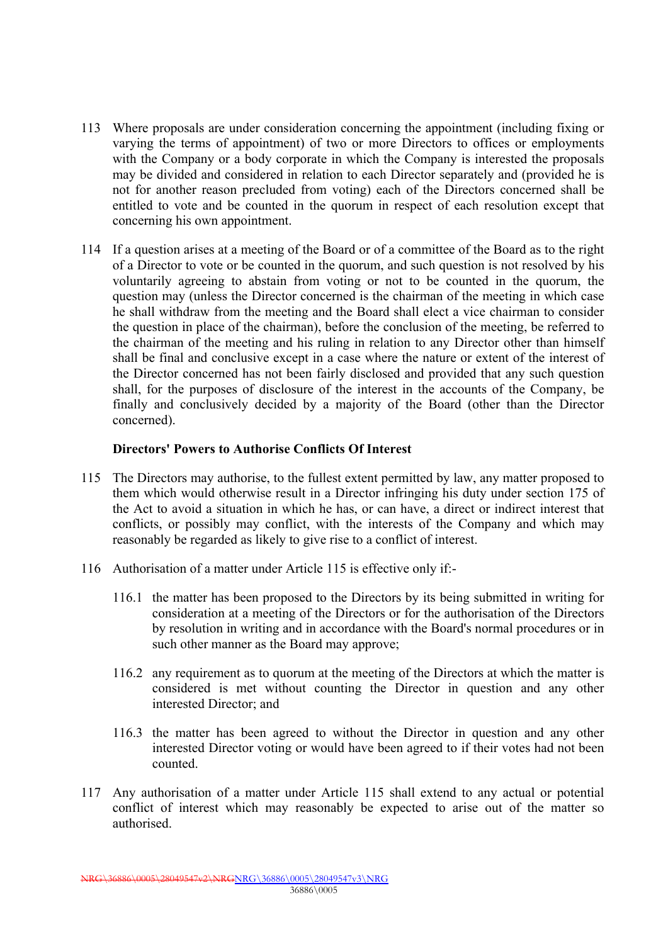- 113 Where proposals are under consideration concerning the appointment (including fixing or varying the terms of appointment) of two or more Directors to offices or employments with the Company or a body corporate in which the Company is interested the proposals may be divided and considered in relation to each Director separately and (provided he is not for another reason precluded from voting) each of the Directors concerned shall be entitled to vote and be counted in the quorum in respect of each resolution except that concerning his own appointment.
- 114 If a question arises at a meeting of the Board or of a committee of the Board as to the right of a Director to vote or be counted in the quorum, and such question is not resolved by his voluntarily agreeing to abstain from voting or not to be counted in the quorum, the question may (unless the Director concerned is the chairman of the meeting in which case he shall withdraw from the meeting and the Board shall elect a vice chairman to consider the question in place of the chairman), before the conclusion of the meeting, be referred to the chairman of the meeting and his ruling in relation to any Director other than himself shall be final and conclusive except in a case where the nature or extent of the interest of the Director concerned has not been fairly disclosed and provided that any such question shall, for the purposes of disclosure of the interest in the accounts of the Company, be finally and conclusively decided by a majority of the Board (other than the Director concerned).

## **Directors' Powers to Authorise Conflicts Of Interest**

- 115 The Directors may authorise, to the fullest extent permitted by law, any matter proposed to them which would otherwise result in a Director infringing his duty under section 175 of the Act to avoid a situation in which he has, or can have, a direct or indirect interest that conflicts, or possibly may conflict, with the interests of the Company and which may reasonably be regarded as likely to give rise to a conflict of interest.
- 116 Authorisation of a matter under Article 115 is effective only if:-
	- 116.1 the matter has been proposed to the Directors by its being submitted in writing for consideration at a meeting of the Directors or for the authorisation of the Directors by resolution in writing and in accordance with the Board's normal procedures or in such other manner as the Board may approve;
	- 116.2 any requirement as to quorum at the meeting of the Directors at which the matter is considered is met without counting the Director in question and any other interested Director; and
	- 116.3 the matter has been agreed to without the Director in question and any other interested Director voting or would have been agreed to if their votes had not been counted.
- 117 Any authorisation of a matter under Article 115 shall extend to any actual or potential conflict of interest which may reasonably be expected to arise out of the matter so authorised.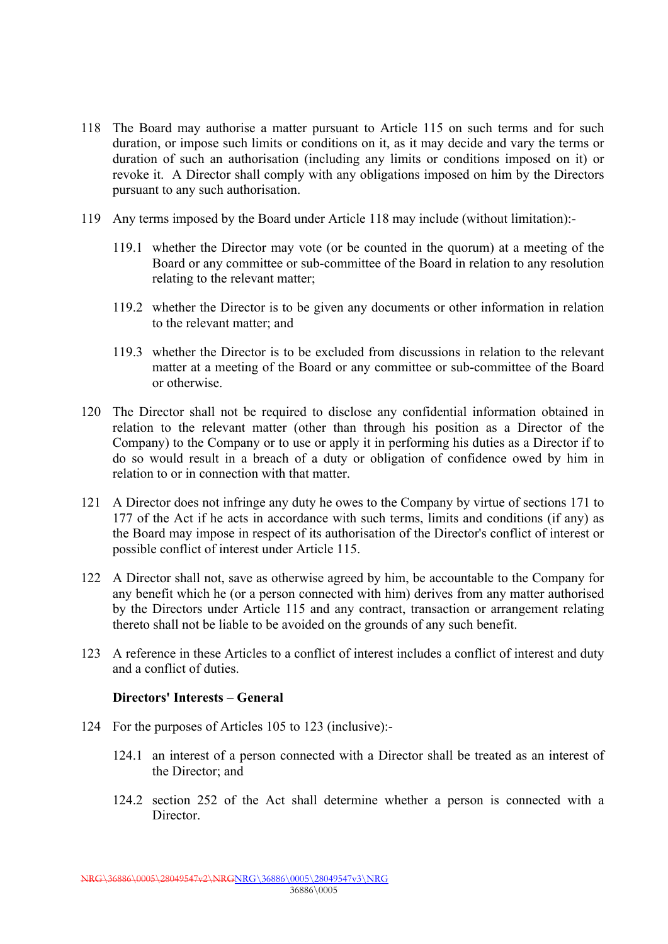- 118 The Board may authorise a matter pursuant to Article 115 on such terms and for such duration, or impose such limits or conditions on it, as it may decide and vary the terms or duration of such an authorisation (including any limits or conditions imposed on it) or revoke it. A Director shall comply with any obligations imposed on him by the Directors pursuant to any such authorisation.
- 119 Any terms imposed by the Board under Article 118 may include (without limitation):-
	- 119.1 whether the Director may vote (or be counted in the quorum) at a meeting of the Board or any committee or sub-committee of the Board in relation to any resolution relating to the relevant matter;
	- 119.2 whether the Director is to be given any documents or other information in relation to the relevant matter; and
	- 119.3 whether the Director is to be excluded from discussions in relation to the relevant matter at a meeting of the Board or any committee or sub-committee of the Board or otherwise.
- 120 The Director shall not be required to disclose any confidential information obtained in relation to the relevant matter (other than through his position as a Director of the Company) to the Company or to use or apply it in performing his duties as a Director if to do so would result in a breach of a duty or obligation of confidence owed by him in relation to or in connection with that matter.
- 121 A Director does not infringe any duty he owes to the Company by virtue of sections 171 to 177 of the Act if he acts in accordance with such terms, limits and conditions (if any) as the Board may impose in respect of its authorisation of the Director's conflict of interest or possible conflict of interest under Article 115.
- 122 A Director shall not, save as otherwise agreed by him, be accountable to the Company for any benefit which he (or a person connected with him) derives from any matter authorised by the Directors under Article 115 and any contract, transaction or arrangement relating thereto shall not be liable to be avoided on the grounds of any such benefit.
- 123 A reference in these Articles to a conflict of interest includes a conflict of interest and duty and a conflict of duties.

#### **Directors' Interests – General**

- 124 For the purposes of Articles 105 to 123 (inclusive):-
	- 124.1 an interest of a person connected with a Director shall be treated as an interest of the Director; and
	- 124.2 section 252 of the Act shall determine whether a person is connected with a Director.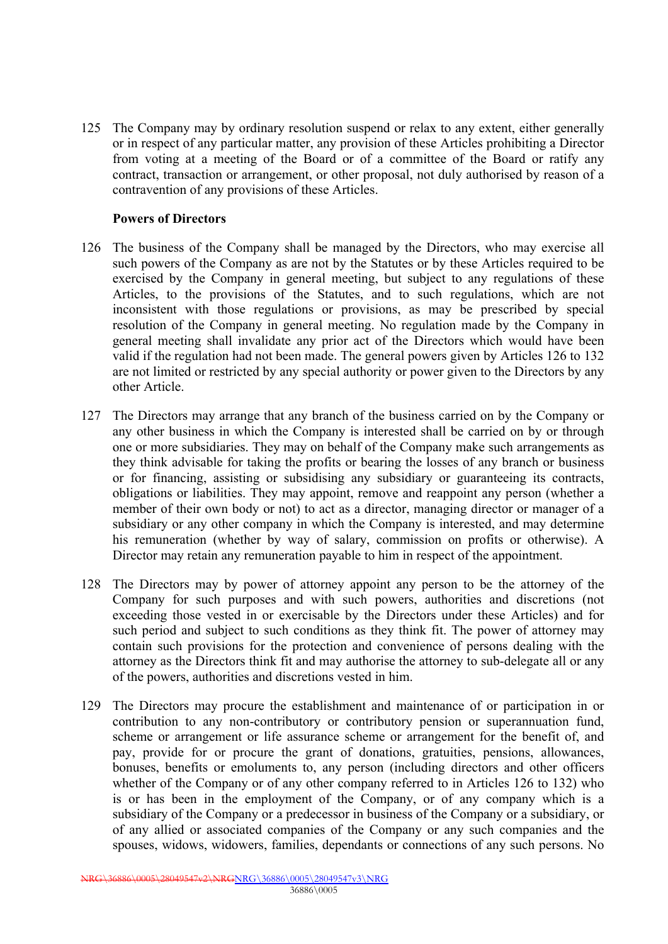125 The Company may by ordinary resolution suspend or relax to any extent, either generally or in respect of any particular matter, any provision of these Articles prohibiting a Director from voting at a meeting of the Board or of a committee of the Board or ratify any contract, transaction or arrangement, or other proposal, not duly authorised by reason of a contravention of any provisions of these Articles.

### **Powers of Directors**

- 126 The business of the Company shall be managed by the Directors, who may exercise all such powers of the Company as are not by the Statutes or by these Articles required to be exercised by the Company in general meeting, but subject to any regulations of these Articles, to the provisions of the Statutes, and to such regulations, which are not inconsistent with those regulations or provisions, as may be prescribed by special resolution of the Company in general meeting. No regulation made by the Company in general meeting shall invalidate any prior act of the Directors which would have been valid if the regulation had not been made. The general powers given by Articles 126 to 132 are not limited or restricted by any special authority or power given to the Directors by any other Article.
- 127 The Directors may arrange that any branch of the business carried on by the Company or any other business in which the Company is interested shall be carried on by or through one or more subsidiaries. They may on behalf of the Company make such arrangements as they think advisable for taking the profits or bearing the losses of any branch or business or for financing, assisting or subsidising any subsidiary or guaranteeing its contracts, obligations or liabilities. They may appoint, remove and reappoint any person (whether a member of their own body or not) to act as a director, managing director or manager of a subsidiary or any other company in which the Company is interested, and may determine his remuneration (whether by way of salary, commission on profits or otherwise). A Director may retain any remuneration payable to him in respect of the appointment.
- 128 The Directors may by power of attorney appoint any person to be the attorney of the Company for such purposes and with such powers, authorities and discretions (not exceeding those vested in or exercisable by the Directors under these Articles) and for such period and subject to such conditions as they think fit. The power of attorney may contain such provisions for the protection and convenience of persons dealing with the attorney as the Directors think fit and may authorise the attorney to sub-delegate all or any of the powers, authorities and discretions vested in him.
- 129 The Directors may procure the establishment and maintenance of or participation in or contribution to any non-contributory or contributory pension or superannuation fund, scheme or arrangement or life assurance scheme or arrangement for the benefit of, and pay, provide for or procure the grant of donations, gratuities, pensions, allowances, bonuses, benefits or emoluments to, any person (including directors and other officers whether of the Company or of any other company referred to in Articles 126 to 132) who is or has been in the employment of the Company, or of any company which is a subsidiary of the Company or a predecessor in business of the Company or a subsidiary, or of any allied or associated companies of the Company or any such companies and the spouses, widows, widowers, families, dependants or connections of any such persons. No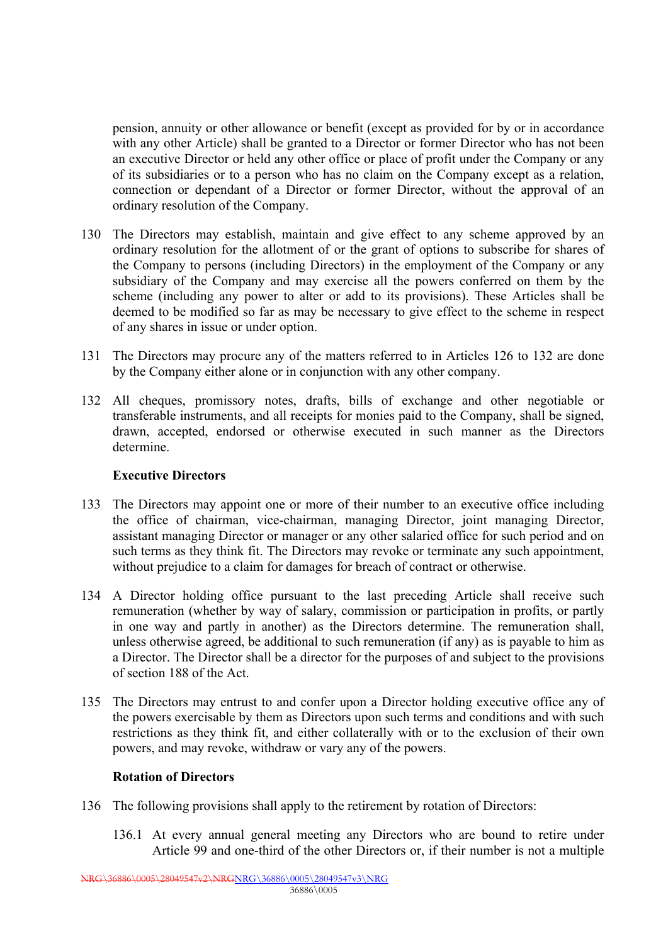pension, annuity or other allowance or benefit (except as provided for by or in accordance with any other Article) shall be granted to a Director or former Director who has not been an executive Director or held any other office or place of profit under the Company or any of its subsidiaries or to a person who has no claim on the Company except as a relation, connection or dependant of a Director or former Director, without the approval of an ordinary resolution of the Company.

- 130 The Directors may establish, maintain and give effect to any scheme approved by an ordinary resolution for the allotment of or the grant of options to subscribe for shares of the Company to persons (including Directors) in the employment of the Company or any subsidiary of the Company and may exercise all the powers conferred on them by the scheme (including any power to alter or add to its provisions). These Articles shall be deemed to be modified so far as may be necessary to give effect to the scheme in respect of any shares in issue or under option.
- 131 The Directors may procure any of the matters referred to in Articles 126 to 132 are done by the Company either alone or in conjunction with any other company.
- 132 All cheques, promissory notes, drafts, bills of exchange and other negotiable or transferable instruments, and all receipts for monies paid to the Company, shall be signed, drawn, accepted, endorsed or otherwise executed in such manner as the Directors determine.

## **Executive Directors**

- 133 The Directors may appoint one or more of their number to an executive office including the office of chairman, vice-chairman, managing Director, joint managing Director, assistant managing Director or manager or any other salaried office for such period and on such terms as they think fit. The Directors may revoke or terminate any such appointment, without prejudice to a claim for damages for breach of contract or otherwise.
- 134 A Director holding office pursuant to the last preceding Article shall receive such remuneration (whether by way of salary, commission or participation in profits, or partly in one way and partly in another) as the Directors determine. The remuneration shall, unless otherwise agreed, be additional to such remuneration (if any) as is payable to him as a Director. The Director shall be a director for the purposes of and subject to the provisions of section 188 of the Act.
- 135 The Directors may entrust to and confer upon a Director holding executive office any of the powers exercisable by them as Directors upon such terms and conditions and with such restrictions as they think fit, and either collaterally with or to the exclusion of their own powers, and may revoke, withdraw or vary any of the powers.

## **Rotation of Directors**

- 136 The following provisions shall apply to the retirement by rotation of Directors:
	- 136.1 At every annual general meeting any Directors who are bound to retire under Article 99 and one-third of the other Directors or, if their number is not a multiple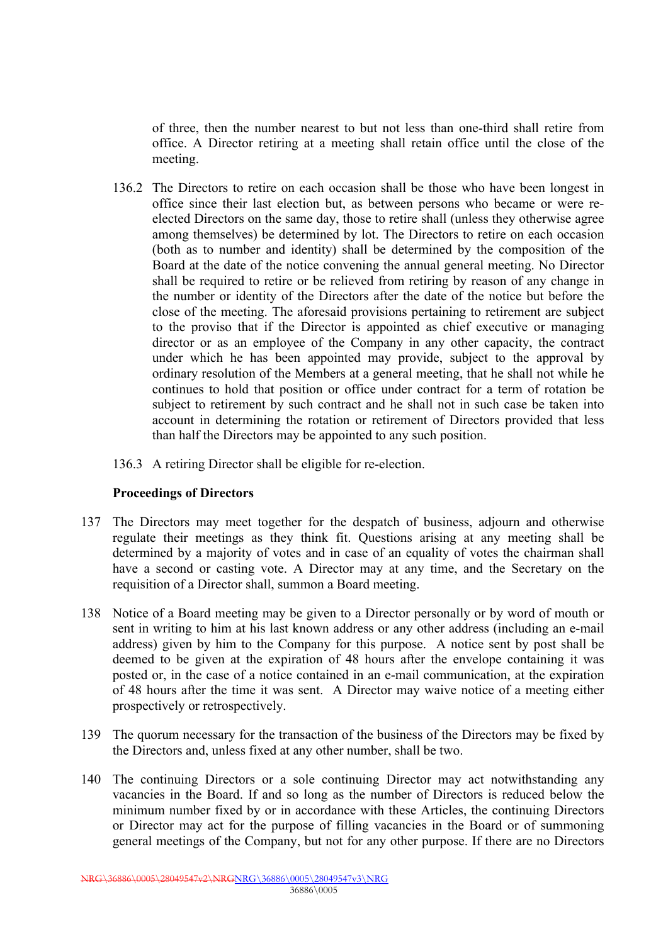of three, then the number nearest to but not less than one-third shall retire from office. A Director retiring at a meeting shall retain office until the close of the meeting.

- 136.2 The Directors to retire on each occasion shall be those who have been longest in office since their last election but, as between persons who became or were reelected Directors on the same day, those to retire shall (unless they otherwise agree among themselves) be determined by lot. The Directors to retire on each occasion (both as to number and identity) shall be determined by the composition of the Board at the date of the notice convening the annual general meeting. No Director shall be required to retire or be relieved from retiring by reason of any change in the number or identity of the Directors after the date of the notice but before the close of the meeting. The aforesaid provisions pertaining to retirement are subject to the proviso that if the Director is appointed as chief executive or managing director or as an employee of the Company in any other capacity, the contract under which he has been appointed may provide, subject to the approval by ordinary resolution of the Members at a general meeting, that he shall not while he continues to hold that position or office under contract for a term of rotation be subject to retirement by such contract and he shall not in such case be taken into account in determining the rotation or retirement of Directors provided that less than half the Directors may be appointed to any such position.
- 136.3 A retiring Director shall be eligible for re-election.

#### **Proceedings of Directors**

- 137 The Directors may meet together for the despatch of business, adjourn and otherwise regulate their meetings as they think fit. Questions arising at any meeting shall be determined by a majority of votes and in case of an equality of votes the chairman shall have a second or casting vote. A Director may at any time, and the Secretary on the requisition of a Director shall, summon a Board meeting.
- 138 Notice of a Board meeting may be given to a Director personally or by word of mouth or sent in writing to him at his last known address or any other address (including an e-mail address) given by him to the Company for this purpose. A notice sent by post shall be deemed to be given at the expiration of 48 hours after the envelope containing it was posted or, in the case of a notice contained in an e-mail communication, at the expiration of 48 hours after the time it was sent. A Director may waive notice of a meeting either prospectively or retrospectively.
- 139 The quorum necessary for the transaction of the business of the Directors may be fixed by the Directors and, unless fixed at any other number, shall be two.
- 140 The continuing Directors or a sole continuing Director may act notwithstanding any vacancies in the Board. If and so long as the number of Directors is reduced below the minimum number fixed by or in accordance with these Articles, the continuing Directors or Director may act for the purpose of filling vacancies in the Board or of summoning general meetings of the Company, but not for any other purpose. If there are no Directors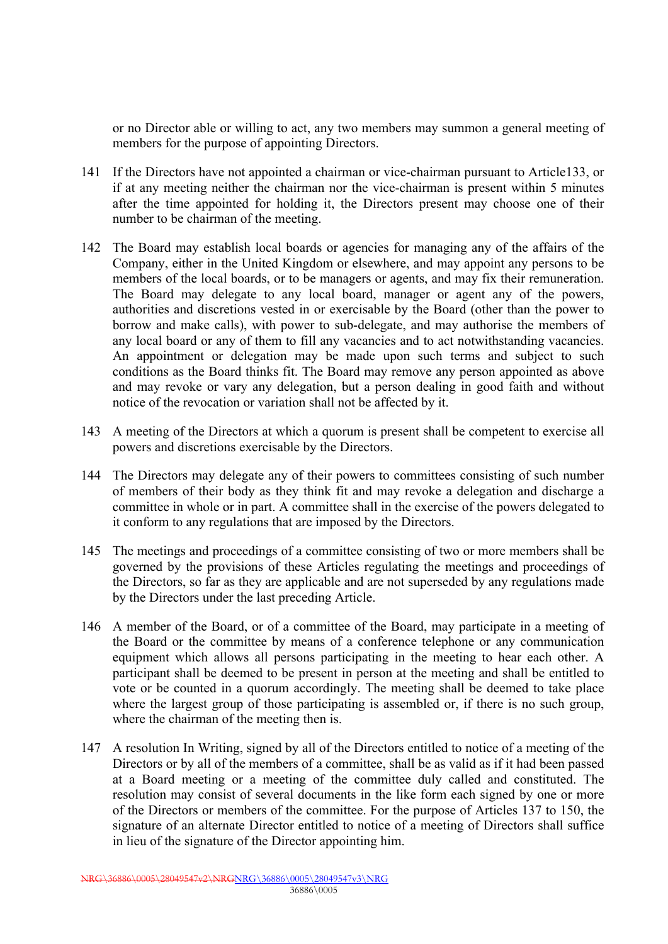or no Director able or willing to act, any two members may summon a general meeting of members for the purpose of appointing Directors.

- 141 If the Directors have not appointed a chairman or vice-chairman pursuant to Article133, or if at any meeting neither the chairman nor the vice-chairman is present within 5 minutes after the time appointed for holding it, the Directors present may choose one of their number to be chairman of the meeting.
- 142 The Board may establish local boards or agencies for managing any of the affairs of the Company, either in the United Kingdom or elsewhere, and may appoint any persons to be members of the local boards, or to be managers or agents, and may fix their remuneration. The Board may delegate to any local board, manager or agent any of the powers, authorities and discretions vested in or exercisable by the Board (other than the power to borrow and make calls), with power to sub-delegate, and may authorise the members of any local board or any of them to fill any vacancies and to act notwithstanding vacancies. An appointment or delegation may be made upon such terms and subject to such conditions as the Board thinks fit. The Board may remove any person appointed as above and may revoke or vary any delegation, but a person dealing in good faith and without notice of the revocation or variation shall not be affected by it.
- 143 A meeting of the Directors at which a quorum is present shall be competent to exercise all powers and discretions exercisable by the Directors.
- 144 The Directors may delegate any of their powers to committees consisting of such number of members of their body as they think fit and may revoke a delegation and discharge a committee in whole or in part. A committee shall in the exercise of the powers delegated to it conform to any regulations that are imposed by the Directors.
- 145 The meetings and proceedings of a committee consisting of two or more members shall be governed by the provisions of these Articles regulating the meetings and proceedings of the Directors, so far as they are applicable and are not superseded by any regulations made by the Directors under the last preceding Article.
- 146 A member of the Board, or of a committee of the Board, may participate in a meeting of the Board or the committee by means of a conference telephone or any communication equipment which allows all persons participating in the meeting to hear each other. A participant shall be deemed to be present in person at the meeting and shall be entitled to vote or be counted in a quorum accordingly. The meeting shall be deemed to take place where the largest group of those participating is assembled or, if there is no such group, where the chairman of the meeting then is.
- 147 A resolution In Writing, signed by all of the Directors entitled to notice of a meeting of the Directors or by all of the members of a committee, shall be as valid as if it had been passed at a Board meeting or a meeting of the committee duly called and constituted. The resolution may consist of several documents in the like form each signed by one or more of the Directors or members of the committee. For the purpose of Articles 137 to 150, the signature of an alternate Director entitled to notice of a meeting of Directors shall suffice in lieu of the signature of the Director appointing him.

NRG\36886\0005\28049547v2\NRGNRG\36886\0005\28049547v3\NRG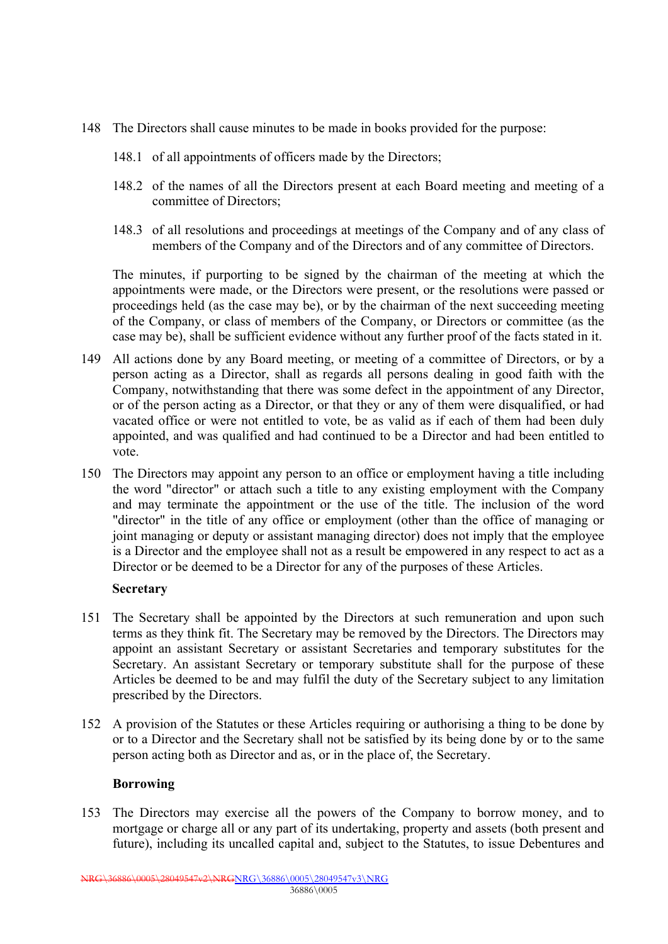- 148 The Directors shall cause minutes to be made in books provided for the purpose:
	- 148.1 of all appointments of officers made by the Directors;
	- 148.2 of the names of all the Directors present at each Board meeting and meeting of a committee of Directors;
	- 148.3 of all resolutions and proceedings at meetings of the Company and of any class of members of the Company and of the Directors and of any committee of Directors.

The minutes, if purporting to be signed by the chairman of the meeting at which the appointments were made, or the Directors were present, or the resolutions were passed or proceedings held (as the case may be), or by the chairman of the next succeeding meeting of the Company, or class of members of the Company, or Directors or committee (as the case may be), shall be sufficient evidence without any further proof of the facts stated in it.

- 149 All actions done by any Board meeting, or meeting of a committee of Directors, or by a person acting as a Director, shall as regards all persons dealing in good faith with the Company, notwithstanding that there was some defect in the appointment of any Director, or of the person acting as a Director, or that they or any of them were disqualified, or had vacated office or were not entitled to vote, be as valid as if each of them had been duly appointed, and was qualified and had continued to be a Director and had been entitled to vote.
- 150 The Directors may appoint any person to an office or employment having a title including the word "director" or attach such a title to any existing employment with the Company and may terminate the appointment or the use of the title. The inclusion of the word "director" in the title of any office or employment (other than the office of managing or joint managing or deputy or assistant managing director) does not imply that the employee is a Director and the employee shall not as a result be empowered in any respect to act as a Director or be deemed to be a Director for any of the purposes of these Articles.

## **Secretary**

- 151 The Secretary shall be appointed by the Directors at such remuneration and upon such terms as they think fit. The Secretary may be removed by the Directors. The Directors may appoint an assistant Secretary or assistant Secretaries and temporary substitutes for the Secretary. An assistant Secretary or temporary substitute shall for the purpose of these Articles be deemed to be and may fulfil the duty of the Secretary subject to any limitation prescribed by the Directors.
- 152 A provision of the Statutes or these Articles requiring or authorising a thing to be done by or to a Director and the Secretary shall not be satisfied by its being done by or to the same person acting both as Director and as, or in the place of, the Secretary.

#### **Borrowing**

153 The Directors may exercise all the powers of the Company to borrow money, and to mortgage or charge all or any part of its undertaking, property and assets (both present and future), including its uncalled capital and, subject to the Statutes, to issue Debentures and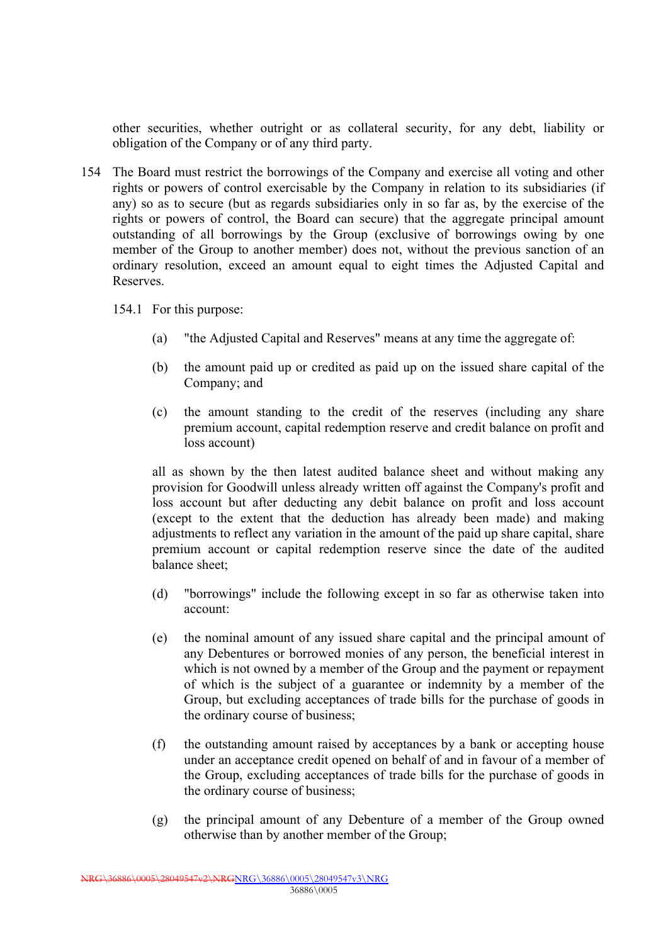other securities, whether outright or as collateral security, for any debt, liability or obligation of the Company or of any third party.

- 154 The Board must restrict the borrowings of the Company and exercise all voting and other rights or powers of control exercisable by the Company in relation to its subsidiaries (if any) so as to secure (but as regards subsidiaries only in so far as, by the exercise of the rights or powers of control, the Board can secure) that the aggregate principal amount outstanding of all borrowings by the Group (exclusive of borrowings owing by one member of the Group to another member) does not, without the previous sanction of an ordinary resolution, exceed an amount equal to eight times the Adjusted Capital and Reserves.
	- 154.1 For this purpose:
		- (a) "the Adjusted Capital and Reserves" means at any time the aggregate of:
		- (b) the amount paid up or credited as paid up on the issued share capital of the Company; and
		- (c) the amount standing to the credit of the reserves (including any share premium account, capital redemption reserve and credit balance on profit and loss account)

all as shown by the then latest audited balance sheet and without making any provision for Goodwill unless already written off against the Company's profit and loss account but after deducting any debit balance on profit and loss account (except to the extent that the deduction has already been made) and making adjustments to reflect any variation in the amount of the paid up share capital, share premium account or capital redemption reserve since the date of the audited balance sheet;

- (d) "borrowings" include the following except in so far as otherwise taken into account:
- (e) the nominal amount of any issued share capital and the principal amount of any Debentures or borrowed monies of any person, the beneficial interest in which is not owned by a member of the Group and the payment or repayment of which is the subject of a guarantee or indemnity by a member of the Group, but excluding acceptances of trade bills for the purchase of goods in the ordinary course of business;
- (f) the outstanding amount raised by acceptances by a bank or accepting house under an acceptance credit opened on behalf of and in favour of a member of the Group, excluding acceptances of trade bills for the purchase of goods in the ordinary course of business;
- (g) the principal amount of any Debenture of a member of the Group owned otherwise than by another member of the Group;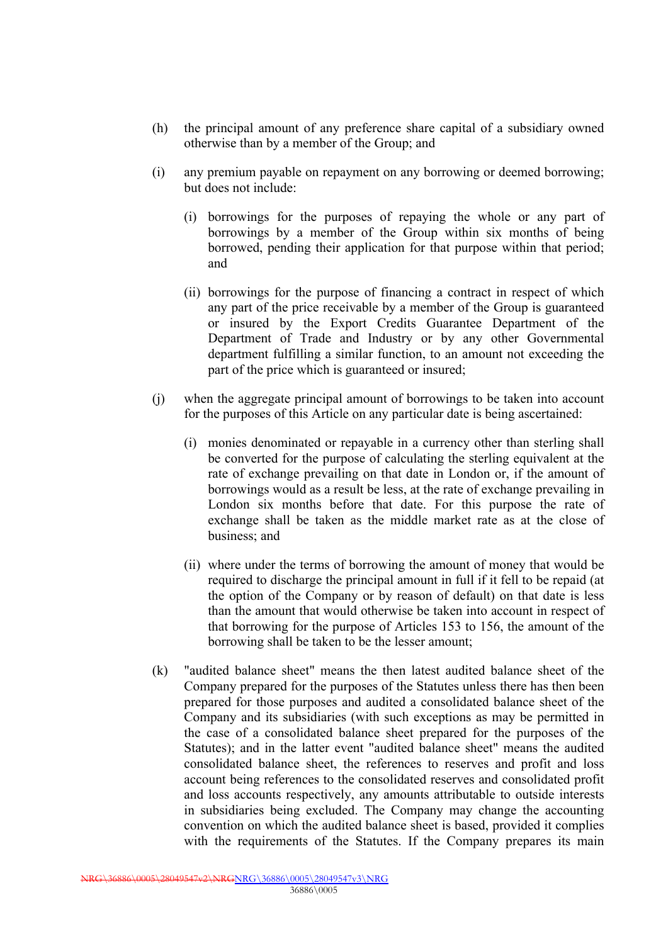- (h) the principal amount of any preference share capital of a subsidiary owned otherwise than by a member of the Group; and
- (i) any premium payable on repayment on any borrowing or deemed borrowing; but does not include:
	- (i) borrowings for the purposes of repaying the whole or any part of borrowings by a member of the Group within six months of being borrowed, pending their application for that purpose within that period; and
	- (ii) borrowings for the purpose of financing a contract in respect of which any part of the price receivable by a member of the Group is guaranteed or insured by the Export Credits Guarantee Department of the Department of Trade and Industry or by any other Governmental department fulfilling a similar function, to an amount not exceeding the part of the price which is guaranteed or insured;
- (j) when the aggregate principal amount of borrowings to be taken into account for the purposes of this Article on any particular date is being ascertained:
	- (i) monies denominated or repayable in a currency other than sterling shall be converted for the purpose of calculating the sterling equivalent at the rate of exchange prevailing on that date in London or, if the amount of borrowings would as a result be less, at the rate of exchange prevailing in London six months before that date. For this purpose the rate of exchange shall be taken as the middle market rate as at the close of business; and
	- (ii) where under the terms of borrowing the amount of money that would be required to discharge the principal amount in full if it fell to be repaid (at the option of the Company or by reason of default) on that date is less than the amount that would otherwise be taken into account in respect of that borrowing for the purpose of Articles 153 to 156, the amount of the borrowing shall be taken to be the lesser amount;
- (k) "audited balance sheet" means the then latest audited balance sheet of the Company prepared for the purposes of the Statutes unless there has then been prepared for those purposes and audited a consolidated balance sheet of the Company and its subsidiaries (with such exceptions as may be permitted in the case of a consolidated balance sheet prepared for the purposes of the Statutes); and in the latter event "audited balance sheet" means the audited consolidated balance sheet, the references to reserves and profit and loss account being references to the consolidated reserves and consolidated profit and loss accounts respectively, any amounts attributable to outside interests in subsidiaries being excluded. The Company may change the accounting convention on which the audited balance sheet is based, provided it complies with the requirements of the Statutes. If the Company prepares its main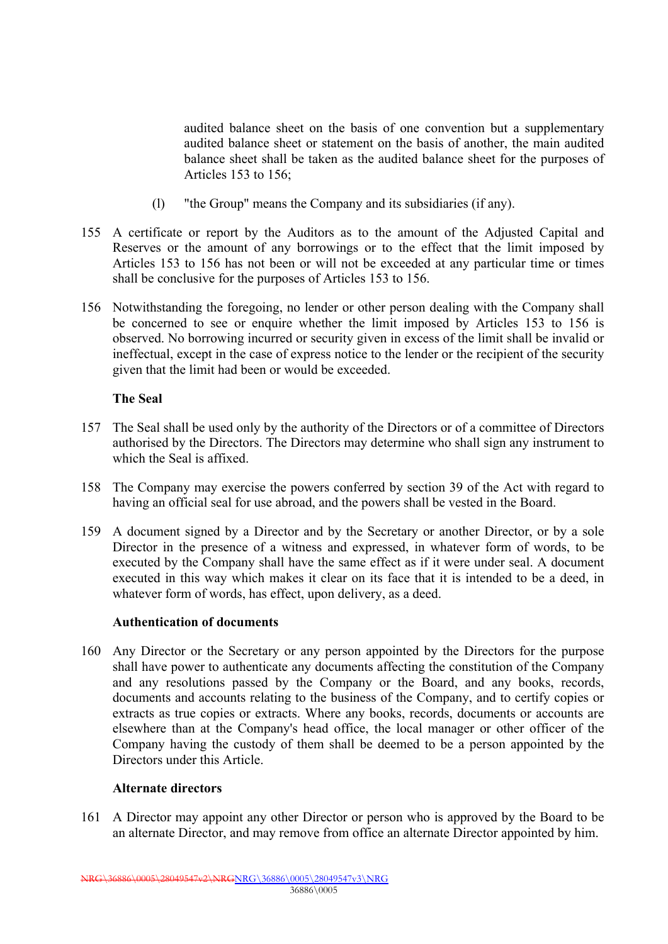audited balance sheet on the basis of one convention but a supplementary audited balance sheet or statement on the basis of another, the main audited balance sheet shall be taken as the audited balance sheet for the purposes of Articles 153 to 156;

- (l) "the Group" means the Company and its subsidiaries (if any).
- 155 A certificate or report by the Auditors as to the amount of the Adjusted Capital and Reserves or the amount of any borrowings or to the effect that the limit imposed by Articles 153 to 156 has not been or will not be exceeded at any particular time or times shall be conclusive for the purposes of Articles 153 to 156.
- 156 Notwithstanding the foregoing, no lender or other person dealing with the Company shall be concerned to see or enquire whether the limit imposed by Articles 153 to 156 is observed. No borrowing incurred or security given in excess of the limit shall be invalid or ineffectual, except in the case of express notice to the lender or the recipient of the security given that the limit had been or would be exceeded.

## **The Seal**

- 157 The Seal shall be used only by the authority of the Directors or of a committee of Directors authorised by the Directors. The Directors may determine who shall sign any instrument to which the Seal is affixed.
- 158 The Company may exercise the powers conferred by section 39 of the Act with regard to having an official seal for use abroad, and the powers shall be vested in the Board.
- 159 A document signed by a Director and by the Secretary or another Director, or by a sole Director in the presence of a witness and expressed, in whatever form of words, to be executed by the Company shall have the same effect as if it were under seal. A document executed in this way which makes it clear on its face that it is intended to be a deed, in whatever form of words, has effect, upon delivery, as a deed.

#### **Authentication of documents**

160 Any Director or the Secretary or any person appointed by the Directors for the purpose shall have power to authenticate any documents affecting the constitution of the Company and any resolutions passed by the Company or the Board, and any books, records, documents and accounts relating to the business of the Company, and to certify copies or extracts as true copies or extracts. Where any books, records, documents or accounts are elsewhere than at the Company's head office, the local manager or other officer of the Company having the custody of them shall be deemed to be a person appointed by the Directors under this Article.

#### **Alternate directors**

161 A Director may appoint any other Director or person who is approved by the Board to be an alternate Director, and may remove from office an alternate Director appointed by him.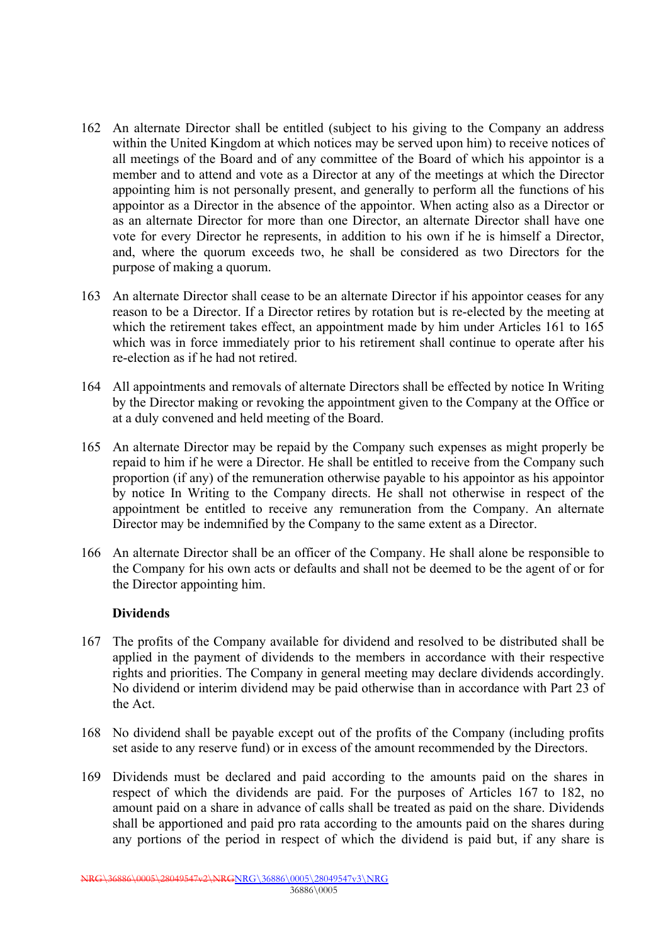- 162 An alternate Director shall be entitled (subject to his giving to the Company an address within the United Kingdom at which notices may be served upon him) to receive notices of all meetings of the Board and of any committee of the Board of which his appointor is a member and to attend and vote as a Director at any of the meetings at which the Director appointing him is not personally present, and generally to perform all the functions of his appointor as a Director in the absence of the appointor. When acting also as a Director or as an alternate Director for more than one Director, an alternate Director shall have one vote for every Director he represents, in addition to his own if he is himself a Director, and, where the quorum exceeds two, he shall be considered as two Directors for the purpose of making a quorum.
- 163 An alternate Director shall cease to be an alternate Director if his appointor ceases for any reason to be a Director. If a Director retires by rotation but is re-elected by the meeting at which the retirement takes effect, an appointment made by him under Articles 161 to 165 which was in force immediately prior to his retirement shall continue to operate after his re-election as if he had not retired.
- 164 All appointments and removals of alternate Directors shall be effected by notice In Writing by the Director making or revoking the appointment given to the Company at the Office or at a duly convened and held meeting of the Board.
- 165 An alternate Director may be repaid by the Company such expenses as might properly be repaid to him if he were a Director. He shall be entitled to receive from the Company such proportion (if any) of the remuneration otherwise payable to his appointor as his appointor by notice In Writing to the Company directs. He shall not otherwise in respect of the appointment be entitled to receive any remuneration from the Company. An alternate Director may be indemnified by the Company to the same extent as a Director.
- 166 An alternate Director shall be an officer of the Company. He shall alone be responsible to the Company for his own acts or defaults and shall not be deemed to be the agent of or for the Director appointing him.

## **Dividends**

- 167 The profits of the Company available for dividend and resolved to be distributed shall be applied in the payment of dividends to the members in accordance with their respective rights and priorities. The Company in general meeting may declare dividends accordingly. No dividend or interim dividend may be paid otherwise than in accordance with Part 23 of the Act.
- 168 No dividend shall be payable except out of the profits of the Company (including profits set aside to any reserve fund) or in excess of the amount recommended by the Directors.
- 169 Dividends must be declared and paid according to the amounts paid on the shares in respect of which the dividends are paid. For the purposes of Articles 167 to 182, no amount paid on a share in advance of calls shall be treated as paid on the share. Dividends shall be apportioned and paid pro rata according to the amounts paid on the shares during any portions of the period in respect of which the dividend is paid but, if any share is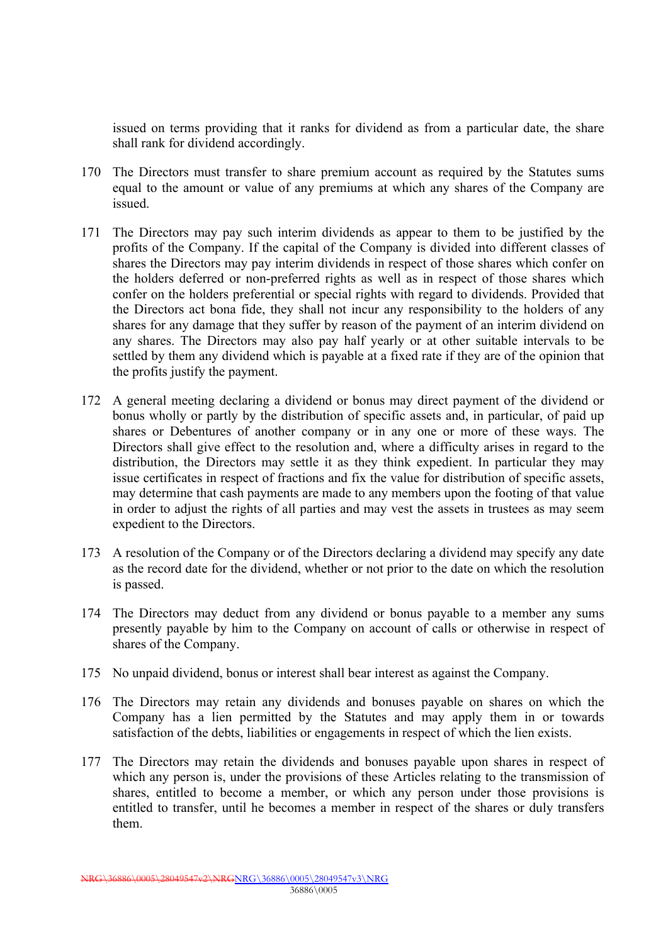issued on terms providing that it ranks for dividend as from a particular date, the share shall rank for dividend accordingly.

- 170 The Directors must transfer to share premium account as required by the Statutes sums equal to the amount or value of any premiums at which any shares of the Company are issued.
- 171 The Directors may pay such interim dividends as appear to them to be justified by the profits of the Company. If the capital of the Company is divided into different classes of shares the Directors may pay interim dividends in respect of those shares which confer on the holders deferred or non-preferred rights as well as in respect of those shares which confer on the holders preferential or special rights with regard to dividends. Provided that the Directors act bona fide, they shall not incur any responsibility to the holders of any shares for any damage that they suffer by reason of the payment of an interim dividend on any shares. The Directors may also pay half yearly or at other suitable intervals to be settled by them any dividend which is payable at a fixed rate if they are of the opinion that the profits justify the payment.
- 172 A general meeting declaring a dividend or bonus may direct payment of the dividend or bonus wholly or partly by the distribution of specific assets and, in particular, of paid up shares or Debentures of another company or in any one or more of these ways. The Directors shall give effect to the resolution and, where a difficulty arises in regard to the distribution, the Directors may settle it as they think expedient. In particular they may issue certificates in respect of fractions and fix the value for distribution of specific assets, may determine that cash payments are made to any members upon the footing of that value in order to adjust the rights of all parties and may vest the assets in trustees as may seem expedient to the Directors.
- 173 A resolution of the Company or of the Directors declaring a dividend may specify any date as the record date for the dividend, whether or not prior to the date on which the resolution is passed.
- 174 The Directors may deduct from any dividend or bonus payable to a member any sums presently payable by him to the Company on account of calls or otherwise in respect of shares of the Company.
- 175 No unpaid dividend, bonus or interest shall bear interest as against the Company.
- 176 The Directors may retain any dividends and bonuses payable on shares on which the Company has a lien permitted by the Statutes and may apply them in or towards satisfaction of the debts, liabilities or engagements in respect of which the lien exists.
- 177 The Directors may retain the dividends and bonuses payable upon shares in respect of which any person is, under the provisions of these Articles relating to the transmission of shares, entitled to become a member, or which any person under those provisions is entitled to transfer, until he becomes a member in respect of the shares or duly transfers them.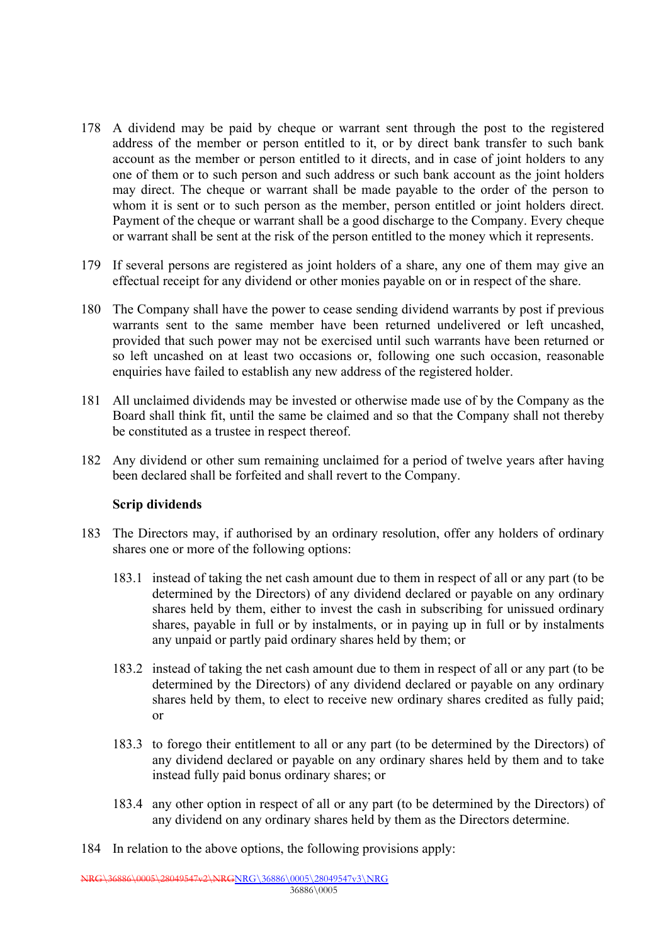- 178 A dividend may be paid by cheque or warrant sent through the post to the registered address of the member or person entitled to it, or by direct bank transfer to such bank account as the member or person entitled to it directs, and in case of joint holders to any one of them or to such person and such address or such bank account as the joint holders may direct. The cheque or warrant shall be made payable to the order of the person to whom it is sent or to such person as the member, person entitled or joint holders direct. Payment of the cheque or warrant shall be a good discharge to the Company. Every cheque or warrant shall be sent at the risk of the person entitled to the money which it represents.
- 179 If several persons are registered as joint holders of a share, any one of them may give an effectual receipt for any dividend or other monies payable on or in respect of the share.
- 180 The Company shall have the power to cease sending dividend warrants by post if previous warrants sent to the same member have been returned undelivered or left uncashed, provided that such power may not be exercised until such warrants have been returned or so left uncashed on at least two occasions or, following one such occasion, reasonable enquiries have failed to establish any new address of the registered holder.
- 181 All unclaimed dividends may be invested or otherwise made use of by the Company as the Board shall think fit, until the same be claimed and so that the Company shall not thereby be constituted as a trustee in respect thereof.
- 182 Any dividend or other sum remaining unclaimed for a period of twelve years after having been declared shall be forfeited and shall revert to the Company.

#### **Scrip dividends**

- 183 The Directors may, if authorised by an ordinary resolution, offer any holders of ordinary shares one or more of the following options:
	- 183.1 instead of taking the net cash amount due to them in respect of all or any part (to be determined by the Directors) of any dividend declared or payable on any ordinary shares held by them, either to invest the cash in subscribing for unissued ordinary shares, payable in full or by instalments, or in paying up in full or by instalments any unpaid or partly paid ordinary shares held by them; or
	- 183.2 instead of taking the net cash amount due to them in respect of all or any part (to be determined by the Directors) of any dividend declared or payable on any ordinary shares held by them, to elect to receive new ordinary shares credited as fully paid; or
	- 183.3 to forego their entitlement to all or any part (to be determined by the Directors) of any dividend declared or payable on any ordinary shares held by them and to take instead fully paid bonus ordinary shares; or
	- 183.4 any other option in respect of all or any part (to be determined by the Directors) of any dividend on any ordinary shares held by them as the Directors determine.
- 184 In relation to the above options, the following provisions apply: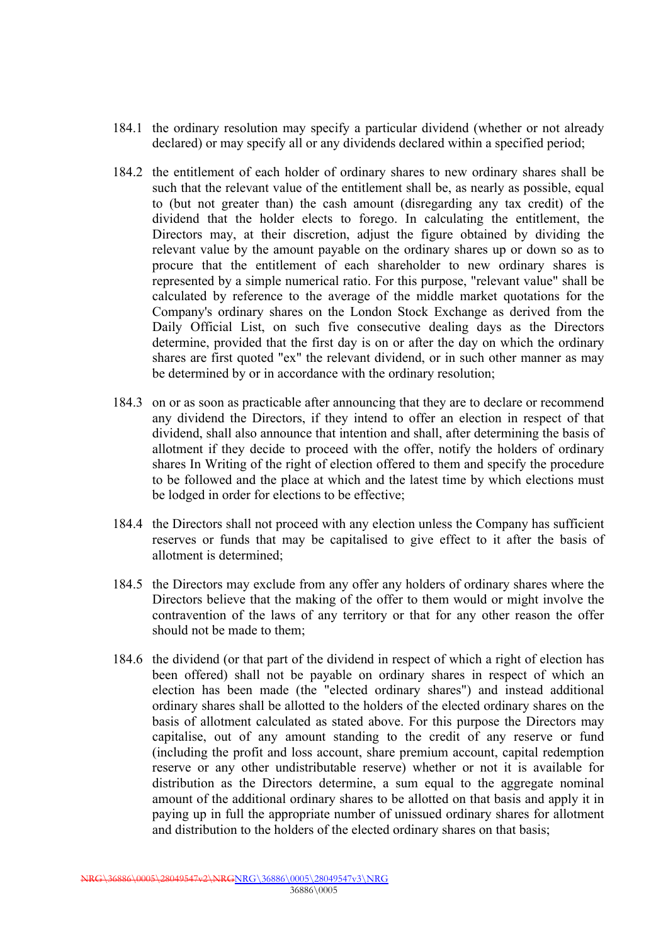- 184.1 the ordinary resolution may specify a particular dividend (whether or not already declared) or may specify all or any dividends declared within a specified period;
- 184.2 the entitlement of each holder of ordinary shares to new ordinary shares shall be such that the relevant value of the entitlement shall be, as nearly as possible, equal to (but not greater than) the cash amount (disregarding any tax credit) of the dividend that the holder elects to forego. In calculating the entitlement, the Directors may, at their discretion, adjust the figure obtained by dividing the relevant value by the amount payable on the ordinary shares up or down so as to procure that the entitlement of each shareholder to new ordinary shares is represented by a simple numerical ratio. For this purpose, "relevant value" shall be calculated by reference to the average of the middle market quotations for the Company's ordinary shares on the London Stock Exchange as derived from the Daily Official List, on such five consecutive dealing days as the Directors determine, provided that the first day is on or after the day on which the ordinary shares are first quoted "ex" the relevant dividend, or in such other manner as may be determined by or in accordance with the ordinary resolution;
- 184.3 on or as soon as practicable after announcing that they are to declare or recommend any dividend the Directors, if they intend to offer an election in respect of that dividend, shall also announce that intention and shall, after determining the basis of allotment if they decide to proceed with the offer, notify the holders of ordinary shares In Writing of the right of election offered to them and specify the procedure to be followed and the place at which and the latest time by which elections must be lodged in order for elections to be effective;
- 184.4 the Directors shall not proceed with any election unless the Company has sufficient reserves or funds that may be capitalised to give effect to it after the basis of allotment is determined;
- 184.5 the Directors may exclude from any offer any holders of ordinary shares where the Directors believe that the making of the offer to them would or might involve the contravention of the laws of any territory or that for any other reason the offer should not be made to them;
- 184.6 the dividend (or that part of the dividend in respect of which a right of election has been offered) shall not be payable on ordinary shares in respect of which an election has been made (the "elected ordinary shares") and instead additional ordinary shares shall be allotted to the holders of the elected ordinary shares on the basis of allotment calculated as stated above. For this purpose the Directors may capitalise, out of any amount standing to the credit of any reserve or fund (including the profit and loss account, share premium account, capital redemption reserve or any other undistributable reserve) whether or not it is available for distribution as the Directors determine, a sum equal to the aggregate nominal amount of the additional ordinary shares to be allotted on that basis and apply it in paying up in full the appropriate number of unissued ordinary shares for allotment and distribution to the holders of the elected ordinary shares on that basis;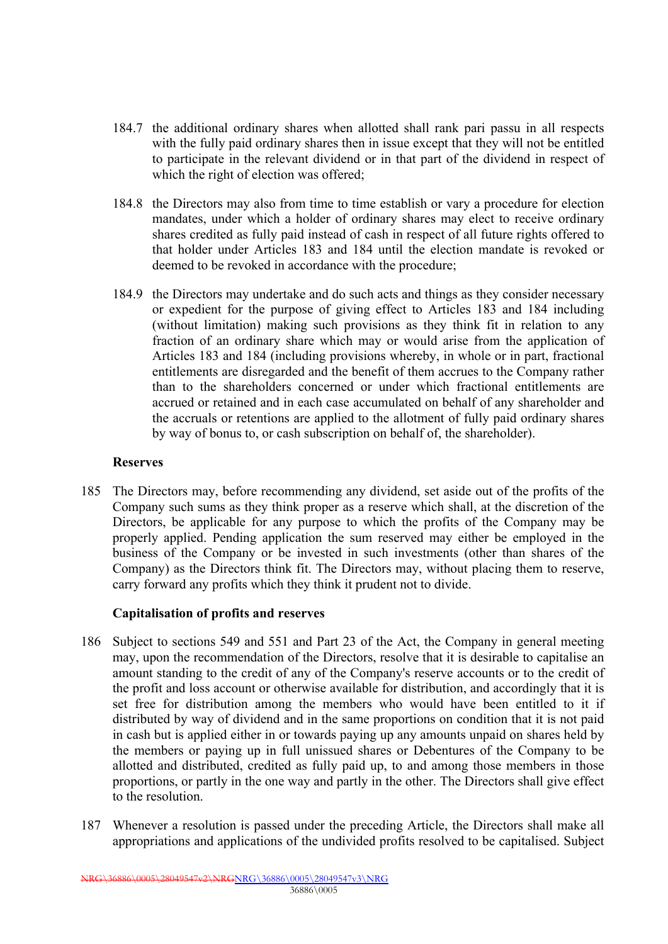- 184.7 the additional ordinary shares when allotted shall rank pari passu in all respects with the fully paid ordinary shares then in issue except that they will not be entitled to participate in the relevant dividend or in that part of the dividend in respect of which the right of election was offered;
- 184.8 the Directors may also from time to time establish or vary a procedure for election mandates, under which a holder of ordinary shares may elect to receive ordinary shares credited as fully paid instead of cash in respect of all future rights offered to that holder under Articles 183 and 184 until the election mandate is revoked or deemed to be revoked in accordance with the procedure;
- 184.9 the Directors may undertake and do such acts and things as they consider necessary or expedient for the purpose of giving effect to Articles 183 and 184 including (without limitation) making such provisions as they think fit in relation to any fraction of an ordinary share which may or would arise from the application of Articles 183 and 184 (including provisions whereby, in whole or in part, fractional entitlements are disregarded and the benefit of them accrues to the Company rather than to the shareholders concerned or under which fractional entitlements are accrued or retained and in each case accumulated on behalf of any shareholder and the accruals or retentions are applied to the allotment of fully paid ordinary shares by way of bonus to, or cash subscription on behalf of, the shareholder).

## **Reserves**

185 The Directors may, before recommending any dividend, set aside out of the profits of the Company such sums as they think proper as a reserve which shall, at the discretion of the Directors, be applicable for any purpose to which the profits of the Company may be properly applied. Pending application the sum reserved may either be employed in the business of the Company or be invested in such investments (other than shares of the Company) as the Directors think fit. The Directors may, without placing them to reserve, carry forward any profits which they think it prudent not to divide.

## **Capitalisation of profits and reserves**

- 186 Subject to sections 549 and 551 and Part 23 of the Act, the Company in general meeting may, upon the recommendation of the Directors, resolve that it is desirable to capitalise an amount standing to the credit of any of the Company's reserve accounts or to the credit of the profit and loss account or otherwise available for distribution, and accordingly that it is set free for distribution among the members who would have been entitled to it if distributed by way of dividend and in the same proportions on condition that it is not paid in cash but is applied either in or towards paying up any amounts unpaid on shares held by the members or paying up in full unissued shares or Debentures of the Company to be allotted and distributed, credited as fully paid up, to and among those members in those proportions, or partly in the one way and partly in the other. The Directors shall give effect to the resolution.
- 187 Whenever a resolution is passed under the preceding Article, the Directors shall make all appropriations and applications of the undivided profits resolved to be capitalised. Subject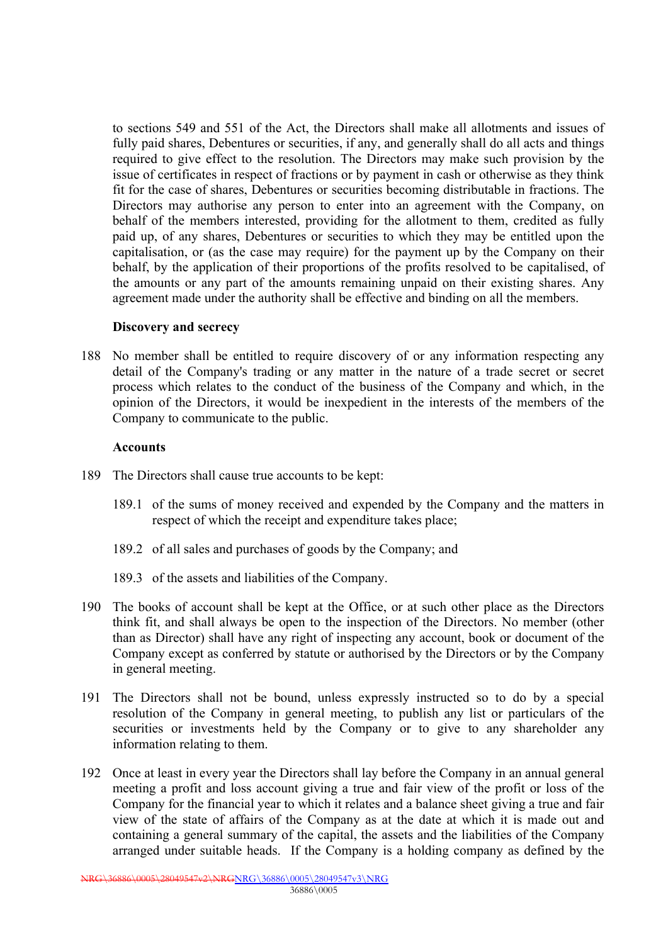to sections 549 and 551 of the Act, the Directors shall make all allotments and issues of fully paid shares, Debentures or securities, if any, and generally shall do all acts and things required to give effect to the resolution. The Directors may make such provision by the issue of certificates in respect of fractions or by payment in cash or otherwise as they think fit for the case of shares, Debentures or securities becoming distributable in fractions. The Directors may authorise any person to enter into an agreement with the Company, on behalf of the members interested, providing for the allotment to them, credited as fully paid up, of any shares, Debentures or securities to which they may be entitled upon the capitalisation, or (as the case may require) for the payment up by the Company on their behalf, by the application of their proportions of the profits resolved to be capitalised, of the amounts or any part of the amounts remaining unpaid on their existing shares. Any agreement made under the authority shall be effective and binding on all the members.

#### **Discovery and secrecy**

188 No member shall be entitled to require discovery of or any information respecting any detail of the Company's trading or any matter in the nature of a trade secret or secret process which relates to the conduct of the business of the Company and which, in the opinion of the Directors, it would be inexpedient in the interests of the members of the Company to communicate to the public.

#### **Accounts**

- 189 The Directors shall cause true accounts to be kept:
	- 189.1 of the sums of money received and expended by the Company and the matters in respect of which the receipt and expenditure takes place;
	- 189.2 of all sales and purchases of goods by the Company; and
	- 189.3 of the assets and liabilities of the Company.
- 190 The books of account shall be kept at the Office, or at such other place as the Directors think fit, and shall always be open to the inspection of the Directors. No member (other than as Director) shall have any right of inspecting any account, book or document of the Company except as conferred by statute or authorised by the Directors or by the Company in general meeting.
- 191 The Directors shall not be bound, unless expressly instructed so to do by a special resolution of the Company in general meeting, to publish any list or particulars of the securities or investments held by the Company or to give to any shareholder any information relating to them.
- 192 Once at least in every year the Directors shall lay before the Company in an annual general meeting a profit and loss account giving a true and fair view of the profit or loss of the Company for the financial year to which it relates and a balance sheet giving a true and fair view of the state of affairs of the Company as at the date at which it is made out and containing a general summary of the capital, the assets and the liabilities of the Company arranged under suitable heads. If the Company is a holding company as defined by the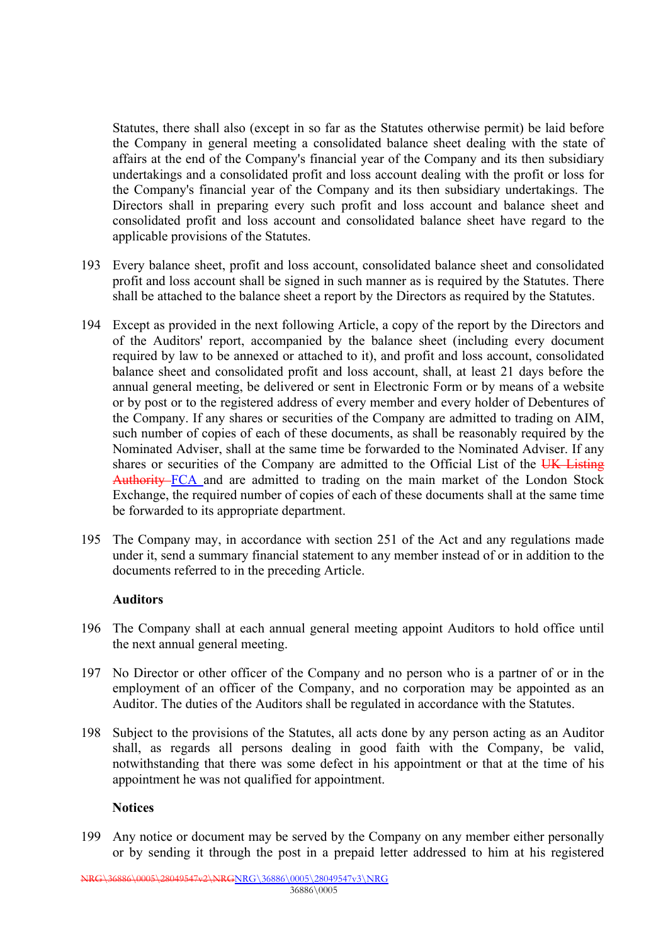Statutes, there shall also (except in so far as the Statutes otherwise permit) be laid before the Company in general meeting a consolidated balance sheet dealing with the state of affairs at the end of the Company's financial year of the Company and its then subsidiary undertakings and a consolidated profit and loss account dealing with the profit or loss for the Company's financial year of the Company and its then subsidiary undertakings. The Directors shall in preparing every such profit and loss account and balance sheet and consolidated profit and loss account and consolidated balance sheet have regard to the applicable provisions of the Statutes.

- 193 Every balance sheet, profit and loss account, consolidated balance sheet and consolidated profit and loss account shall be signed in such manner as is required by the Statutes. There shall be attached to the balance sheet a report by the Directors as required by the Statutes.
- 194 Except as provided in the next following Article, a copy of the report by the Directors and of the Auditors' report, accompanied by the balance sheet (including every document required by law to be annexed or attached to it), and profit and loss account, consolidated balance sheet and consolidated profit and loss account, shall, at least 21 days before the annual general meeting, be delivered or sent in Electronic Form or by means of a website or by post or to the registered address of every member and every holder of Debentures of the Company. If any shares or securities of the Company are admitted to trading on AIM, such number of copies of each of these documents, as shall be reasonably required by the Nominated Adviser, shall at the same time be forwarded to the Nominated Adviser. If any shares or securities of the Company are admitted to the Official List of the UK Listing Authority FCA and are admitted to trading on the main market of the London Stock Exchange, the required number of copies of each of these documents shall at the same time be forwarded to its appropriate department.
- 195 The Company may, in accordance with section 251 of the Act and any regulations made under it, send a summary financial statement to any member instead of or in addition to the documents referred to in the preceding Article.

#### **Auditors**

- 196 The Company shall at each annual general meeting appoint Auditors to hold office until the next annual general meeting.
- 197 No Director or other officer of the Company and no person who is a partner of or in the employment of an officer of the Company, and no corporation may be appointed as an Auditor. The duties of the Auditors shall be regulated in accordance with the Statutes.
- 198 Subject to the provisions of the Statutes, all acts done by any person acting as an Auditor shall, as regards all persons dealing in good faith with the Company, be valid, notwithstanding that there was some defect in his appointment or that at the time of his appointment he was not qualified for appointment.

#### **Notices**

199 Any notice or document may be served by the Company on any member either personally or by sending it through the post in a prepaid letter addressed to him at his registered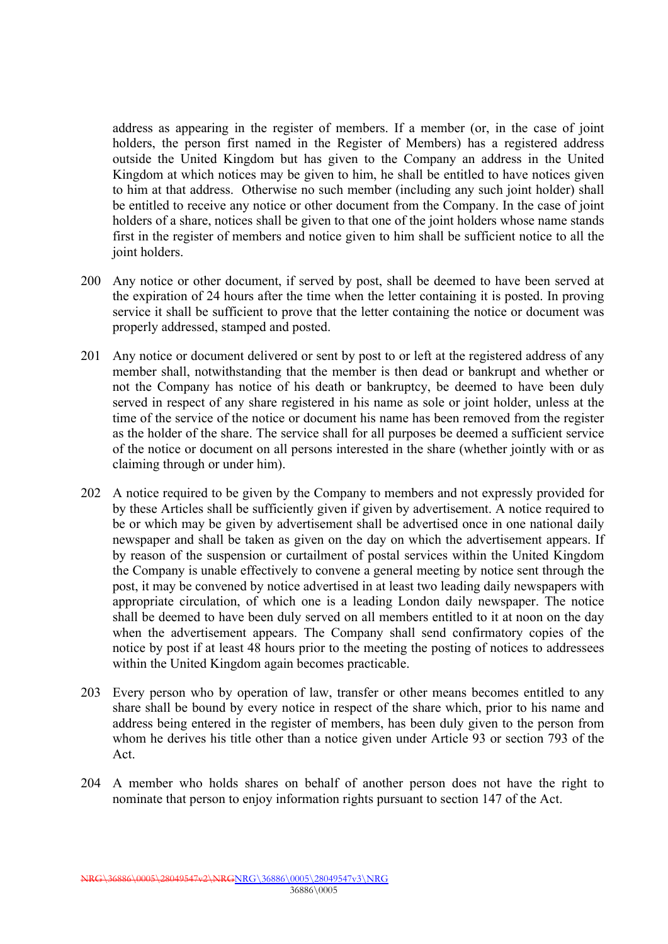address as appearing in the register of members. If a member (or, in the case of joint holders, the person first named in the Register of Members) has a registered address outside the United Kingdom but has given to the Company an address in the United Kingdom at which notices may be given to him, he shall be entitled to have notices given to him at that address. Otherwise no such member (including any such joint holder) shall be entitled to receive any notice or other document from the Company. In the case of joint holders of a share, notices shall be given to that one of the joint holders whose name stands first in the register of members and notice given to him shall be sufficient notice to all the joint holders.

- 200 Any notice or other document, if served by post, shall be deemed to have been served at the expiration of 24 hours after the time when the letter containing it is posted. In proving service it shall be sufficient to prove that the letter containing the notice or document was properly addressed, stamped and posted.
- 201 Any notice or document delivered or sent by post to or left at the registered address of any member shall, notwithstanding that the member is then dead or bankrupt and whether or not the Company has notice of his death or bankruptcy, be deemed to have been duly served in respect of any share registered in his name as sole or joint holder, unless at the time of the service of the notice or document his name has been removed from the register as the holder of the share. The service shall for all purposes be deemed a sufficient service of the notice or document on all persons interested in the share (whether jointly with or as claiming through or under him).
- 202 A notice required to be given by the Company to members and not expressly provided for by these Articles shall be sufficiently given if given by advertisement. A notice required to be or which may be given by advertisement shall be advertised once in one national daily newspaper and shall be taken as given on the day on which the advertisement appears. If by reason of the suspension or curtailment of postal services within the United Kingdom the Company is unable effectively to convene a general meeting by notice sent through the post, it may be convened by notice advertised in at least two leading daily newspapers with appropriate circulation, of which one is a leading London daily newspaper. The notice shall be deemed to have been duly served on all members entitled to it at noon on the day when the advertisement appears. The Company shall send confirmatory copies of the notice by post if at least 48 hours prior to the meeting the posting of notices to addressees within the United Kingdom again becomes practicable.
- 203 Every person who by operation of law, transfer or other means becomes entitled to any share shall be bound by every notice in respect of the share which, prior to his name and address being entered in the register of members, has been duly given to the person from whom he derives his title other than a notice given under Article 93 or section 793 of the Act.
- 204 A member who holds shares on behalf of another person does not have the right to nominate that person to enjoy information rights pursuant to section 147 of the Act.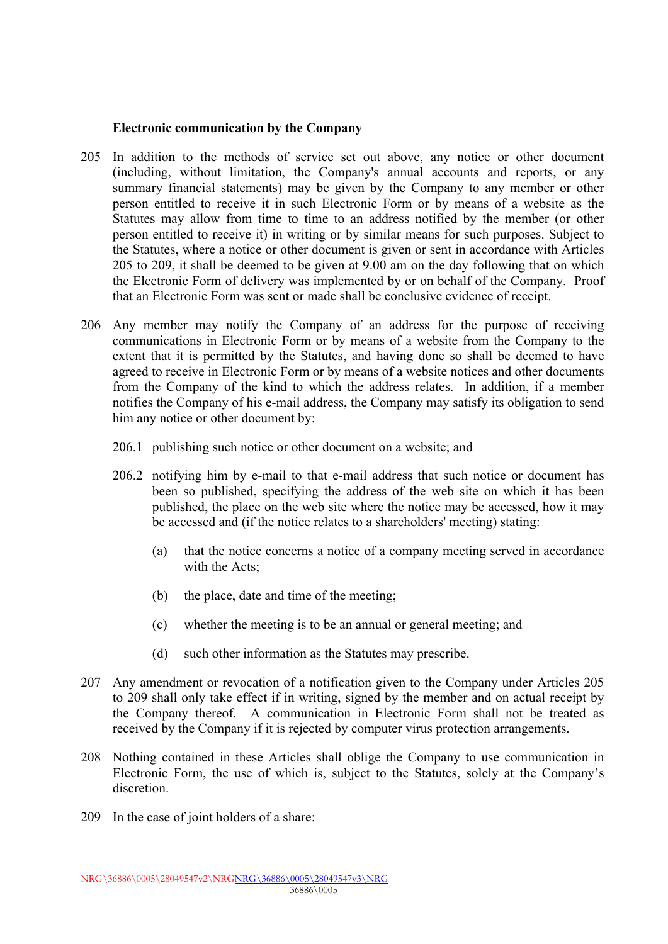#### **Electronic communication by the Company**

- 205 In addition to the methods of service set out above, any notice or other document (including, without limitation, the Company's annual accounts and reports, or any summary financial statements) may be given by the Company to any member or other person entitled to receive it in such Electronic Form or by means of a website as the Statutes may allow from time to time to an address notified by the member (or other person entitled to receive it) in writing or by similar means for such purposes. Subject to the Statutes, where a notice or other document is given or sent in accordance with Articles 205 to 209, it shall be deemed to be given at 9.00 am on the day following that on which the Electronic Form of delivery was implemented by or on behalf of the Company. Proof that an Electronic Form was sent or made shall be conclusive evidence of receipt.
- 206 Any member may notify the Company of an address for the purpose of receiving communications in Electronic Form or by means of a website from the Company to the extent that it is permitted by the Statutes, and having done so shall be deemed to have agreed to receive in Electronic Form or by means of a website notices and other documents from the Company of the kind to which the address relates. In addition, if a member notifies the Company of his e-mail address, the Company may satisfy its obligation to send him any notice or other document by:
	- 206.1 publishing such notice or other document on a website; and
	- 206.2 notifying him by e-mail to that e-mail address that such notice or document has been so published, specifying the address of the web site on which it has been published, the place on the web site where the notice may be accessed, how it may be accessed and (if the notice relates to a shareholders' meeting) stating:
		- (a) that the notice concerns a notice of a company meeting served in accordance with the Acts;
		- (b) the place, date and time of the meeting;
		- (c) whether the meeting is to be an annual or general meeting; and
		- (d) such other information as the Statutes may prescribe.
- 207 Any amendment or revocation of a notification given to the Company under Articles 205 to 209 shall only take effect if in writing, signed by the member and on actual receipt by the Company thereof. A communication in Electronic Form shall not be treated as received by the Company if it is rejected by computer virus protection arrangements.
- 208 Nothing contained in these Articles shall oblige the Company to use communication in Electronic Form, the use of which is, subject to the Statutes, solely at the Company's discretion.
- 209 In the case of joint holders of a share: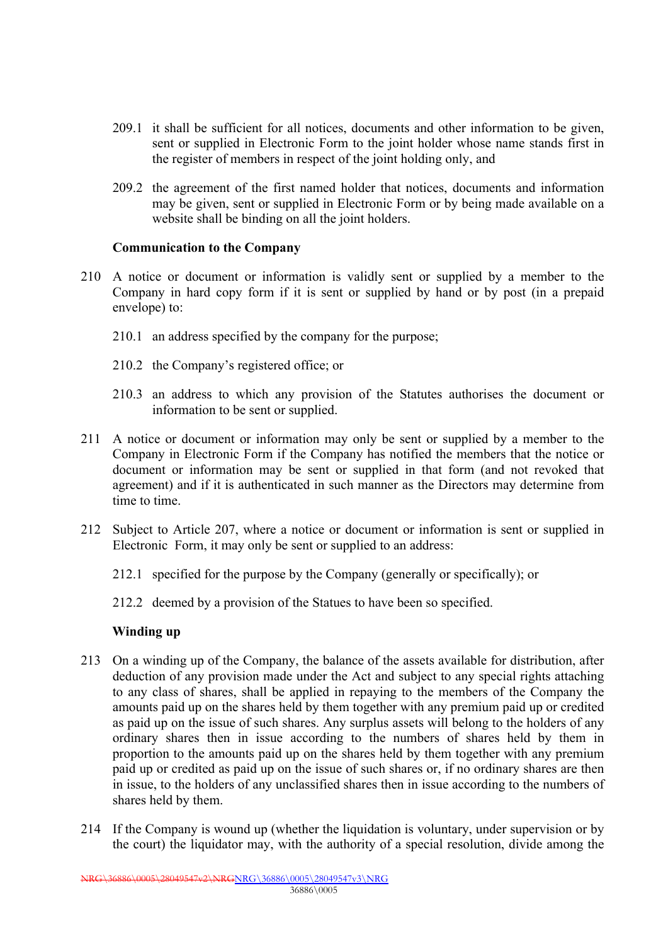- 209.1 it shall be sufficient for all notices, documents and other information to be given, sent or supplied in Electronic Form to the joint holder whose name stands first in the register of members in respect of the joint holding only, and
- 209.2 the agreement of the first named holder that notices, documents and information may be given, sent or supplied in Electronic Form or by being made available on a website shall be binding on all the joint holders.

#### **Communication to the Company**

- 210 A notice or document or information is validly sent or supplied by a member to the Company in hard copy form if it is sent or supplied by hand or by post (in a prepaid envelope) to:
	- 210.1 an address specified by the company for the purpose;
	- 210.2 the Company's registered office; or
	- 210.3 an address to which any provision of the Statutes authorises the document or information to be sent or supplied.
- 211 A notice or document or information may only be sent or supplied by a member to the Company in Electronic Form if the Company has notified the members that the notice or document or information may be sent or supplied in that form (and not revoked that agreement) and if it is authenticated in such manner as the Directors may determine from time to time.
- 212 Subject to Article 207, where a notice or document or information is sent or supplied in Electronic Form, it may only be sent or supplied to an address:
	- 212.1 specified for the purpose by the Company (generally or specifically); or
	- 212.2 deemed by a provision of the Statues to have been so specified.

## **Winding up**

- 213 On a winding up of the Company, the balance of the assets available for distribution, after deduction of any provision made under the Act and subject to any special rights attaching to any class of shares, shall be applied in repaying to the members of the Company the amounts paid up on the shares held by them together with any premium paid up or credited as paid up on the issue of such shares. Any surplus assets will belong to the holders of any ordinary shares then in issue according to the numbers of shares held by them in proportion to the amounts paid up on the shares held by them together with any premium paid up or credited as paid up on the issue of such shares or, if no ordinary shares are then in issue, to the holders of any unclassified shares then in issue according to the numbers of shares held by them.
- 214 If the Company is wound up (whether the liquidation is voluntary, under supervision or by the court) the liquidator may, with the authority of a special resolution, divide among the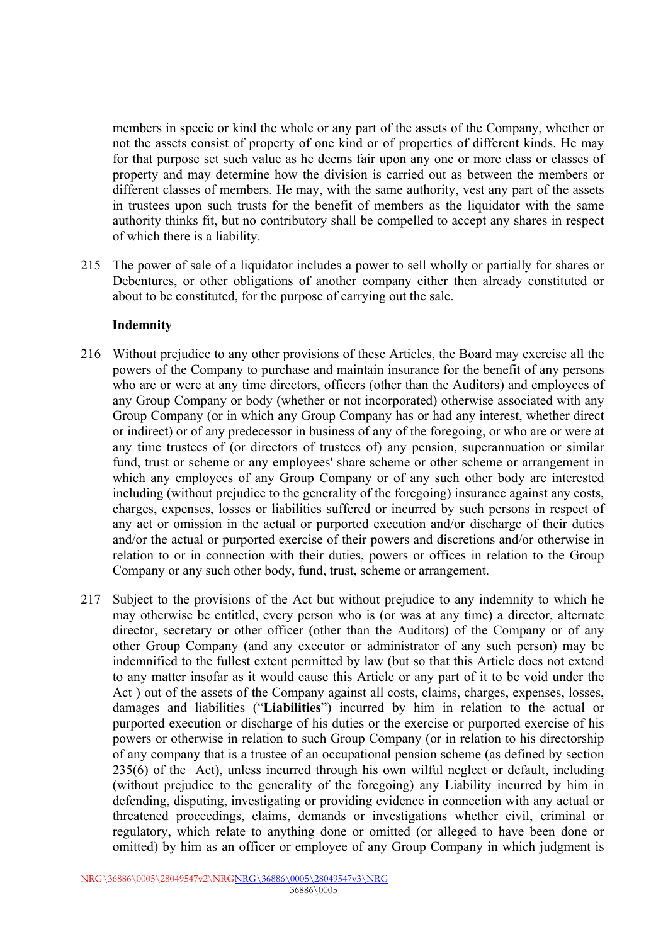members in specie or kind the whole or any part of the assets of the Company, whether or not the assets consist of property of one kind or of properties of different kinds. He may for that purpose set such value as he deems fair upon any one or more class or classes of property and may determine how the division is carried out as between the members or different classes of members. He may, with the same authority, vest any part of the assets in trustees upon such trusts for the benefit of members as the liquidator with the same authority thinks fit, but no contributory shall be compelled to accept any shares in respect of which there is a liability.

215 The power of sale of a liquidator includes a power to sell wholly or partially for shares or Debentures, or other obligations of another company either then already constituted or about to be constituted, for the purpose of carrying out the sale.

## **Indemnity**

- 216 Without prejudice to any other provisions of these Articles, the Board may exercise all the powers of the Company to purchase and maintain insurance for the benefit of any persons who are or were at any time directors, officers (other than the Auditors) and employees of any Group Company or body (whether or not incorporated) otherwise associated with any Group Company (or in which any Group Company has or had any interest, whether direct or indirect) or of any predecessor in business of any of the foregoing, or who are or were at any time trustees of (or directors of trustees of) any pension, superannuation or similar fund, trust or scheme or any employees' share scheme or other scheme or arrangement in which any employees of any Group Company or of any such other body are interested including (without prejudice to the generality of the foregoing) insurance against any costs, charges, expenses, losses or liabilities suffered or incurred by such persons in respect of any act or omission in the actual or purported execution and/or discharge of their duties and/or the actual or purported exercise of their powers and discretions and/or otherwise in relation to or in connection with their duties, powers or offices in relation to the Group Company or any such other body, fund, trust, scheme or arrangement.
- 217 Subject to the provisions of the Act but without prejudice to any indemnity to which he may otherwise be entitled, every person who is (or was at any time) a director, alternate director, secretary or other officer (other than the Auditors) of the Company or of any other Group Company (and any executor or administrator of any such person) may be indemnified to the fullest extent permitted by law (but so that this Article does not extend to any matter insofar as it would cause this Article or any part of it to be void under the Act ) out of the assets of the Company against all costs, claims, charges, expenses, losses, damages and liabilities ("**Liabilities**") incurred by him in relation to the actual or purported execution or discharge of his duties or the exercise or purported exercise of his powers or otherwise in relation to such Group Company (or in relation to his directorship of any company that is a trustee of an occupational pension scheme (as defined by section 235(6) of the Act), unless incurred through his own wilful neglect or default, including (without prejudice to the generality of the foregoing) any Liability incurred by him in defending, disputing, investigating or providing evidence in connection with any actual or threatened proceedings, claims, demands or investigations whether civil, criminal or regulatory, which relate to anything done or omitted (or alleged to have been done or omitted) by him as an officer or employee of any Group Company in which judgment is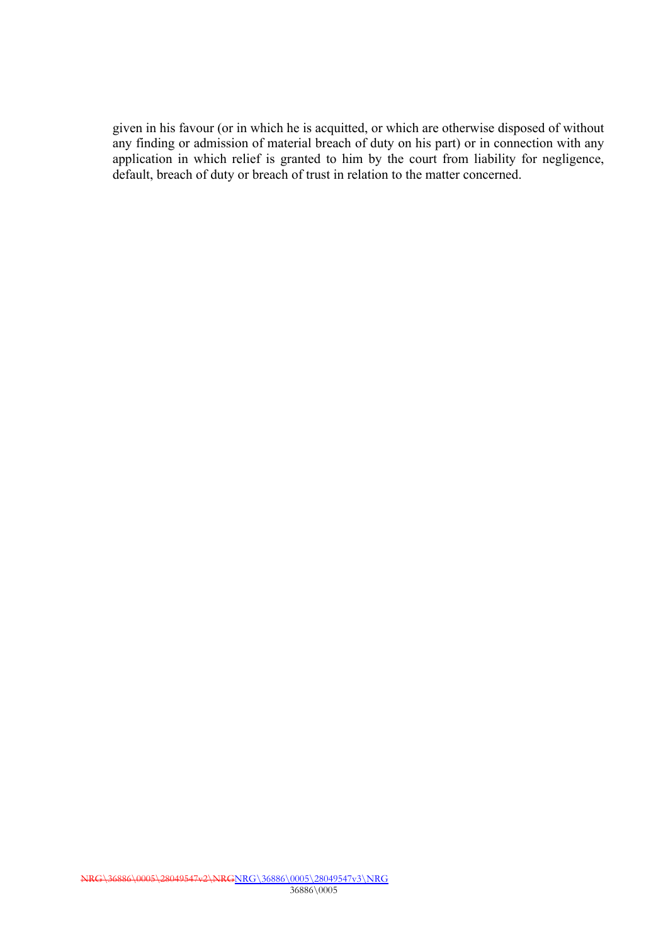given in his favour (or in which he is acquitted, or which are otherwise disposed of without any finding or admission of material breach of duty on his part) or in connection with any application in which relief is granted to him by the court from liability for negligence, default, breach of duty or breach of trust in relation to the matter concerned.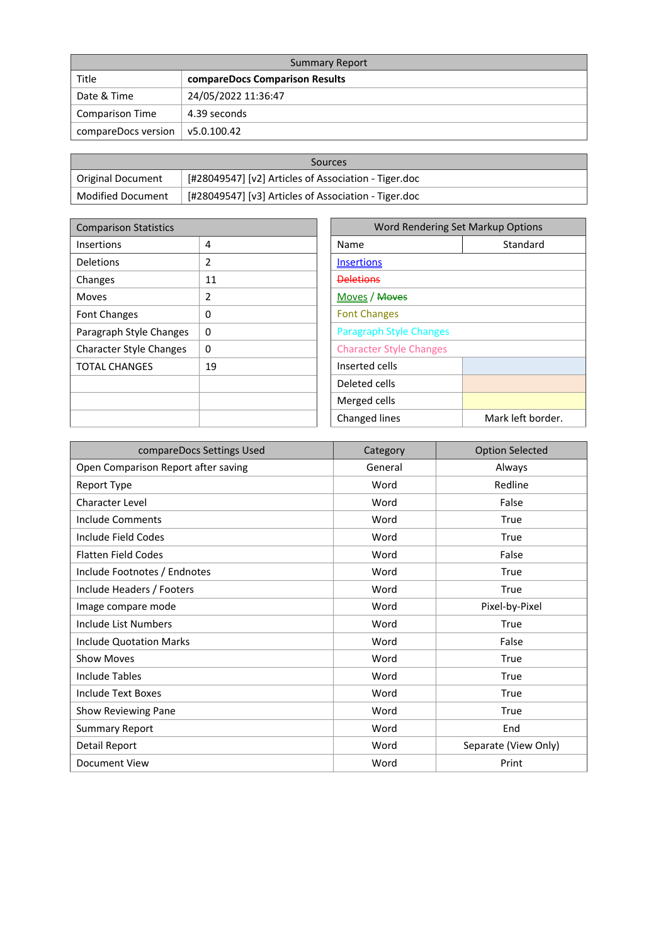| <b>Summary Report</b>  |                                |  |  |
|------------------------|--------------------------------|--|--|
| Title                  | compareDocs Comparison Results |  |  |
| Date & Time            | 24/05/2022 11:36:47            |  |  |
| <b>Comparison Time</b> | 4.39 seconds                   |  |  |
| compareDocs version    | $\sqrt{5.0.100.42}$            |  |  |

| Sources                  |                                                      |  |
|--------------------------|------------------------------------------------------|--|
| Original Document        | [#28049547] [v2] Articles of Association - Tiger.doc |  |
| <b>Modified Document</b> | [#28049547] [v3] Articles of Association - Tiger.doc |  |

| <b>Comparison Statistics</b>   |              | Word Rendering Set Markup Options |                   |  |
|--------------------------------|--------------|-----------------------------------|-------------------|--|
| <b>Insertions</b>              | 4            | Name                              | Standard          |  |
| <b>Deletions</b>               | 2            | <b>Insertions</b>                 |                   |  |
| Changes                        | 11           | <b>Deletions</b>                  |                   |  |
| Moves                          | 2            | Moves / Moves                     |                   |  |
| <b>Font Changes</b>            | 0            | <b>Font Changes</b>               |                   |  |
| Paragraph Style Changes        | $\mathbf{0}$ | <b>Paragraph Style Changes</b>    |                   |  |
| <b>Character Style Changes</b> | 0            | <b>Character Style Changes</b>    |                   |  |
| <b>TOTAL CHANGES</b>           | 19           | Inserted cells                    |                   |  |
|                                |              | Deleted cells                     |                   |  |
|                                |              | Merged cells                      |                   |  |
|                                |              | Changed lines                     | Mark left border. |  |

| compareDocs Settings Used           | Category | <b>Option Selected</b> |
|-------------------------------------|----------|------------------------|
| Open Comparison Report after saving | General  | Always                 |
| Report Type                         | Word     | Redline                |
| Character Level                     | Word     | False                  |
| Include Comments                    | Word     | True                   |
| Include Field Codes                 | Word     | True                   |
| <b>Flatten Field Codes</b>          | Word     | False                  |
| Include Footnotes / Endnotes        | Word     | True                   |
| Include Headers / Footers           | Word     | True                   |
| Image compare mode                  | Word     | Pixel-by-Pixel         |
| Include List Numbers                | Word     | True                   |
| <b>Include Quotation Marks</b>      | Word     | False                  |
| <b>Show Moves</b>                   | Word     | True                   |
| Include Tables                      | Word     | True                   |
| Include Text Boxes                  | Word     | True                   |
| Show Reviewing Pane                 | Word     | True                   |
| <b>Summary Report</b>               | Word     | End                    |
| Detail Report                       | Word     | Separate (View Only)   |
| Document View                       | Word     | Print                  |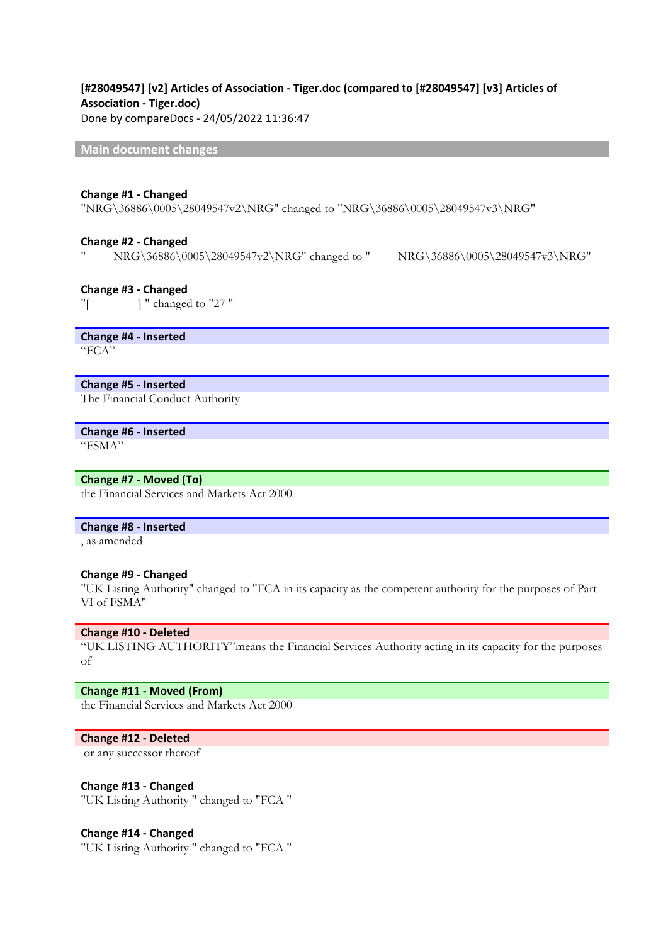# **[#28049547] [v2] Articles of Association - Tiger.doc (compared to [#28049547] [v3] Articles of Association - Tiger.doc)**

Done by compareDocs - 24/05/2022 11:36:47

**Main document changes**

#### **Change #1 - Changed**

"NRG\36886\0005\28049547v2\NRG" changed to "NRG\36886\0005\28049547v3\NRG"

#### **Change #2 - Changed**

" NRG\36886\0005\28049547v2\NRG" changed to " NRG\36886\0005\28049547v3\NRG"

#### **Change #3 - Changed**

"[ ] " changed to "27 "

**Change #4 - Inserted** "FCA"

#### **Change #5 - Inserted**

The Financial Conduct Authority

## **Change #6 - Inserted**

"FSMA"

#### **Change #7 - Moved (To)**

the Financial Services and Markets Act 2000

#### **Change #8 - Inserted**

, as amended

#### **Change #9 - Changed**

"UK Listing Authority" changed to "FCA in its capacity as the competent authority for the purposes of Part VI of FSMA"

#### **Change #10 - Deleted**

"UK LISTING AUTHORITY"means the Financial Services Authority acting in its capacity for the purposes of

### **Change #11 - Moved (From)**

the Financial Services and Markets Act 2000

#### **Change #12 - Deleted**

or any successor thereof

#### **Change #13 - Changed**

"UK Listing Authority " changed to "FCA "

#### **Change #14 - Changed**

"UK Listing Authority " changed to "FCA "